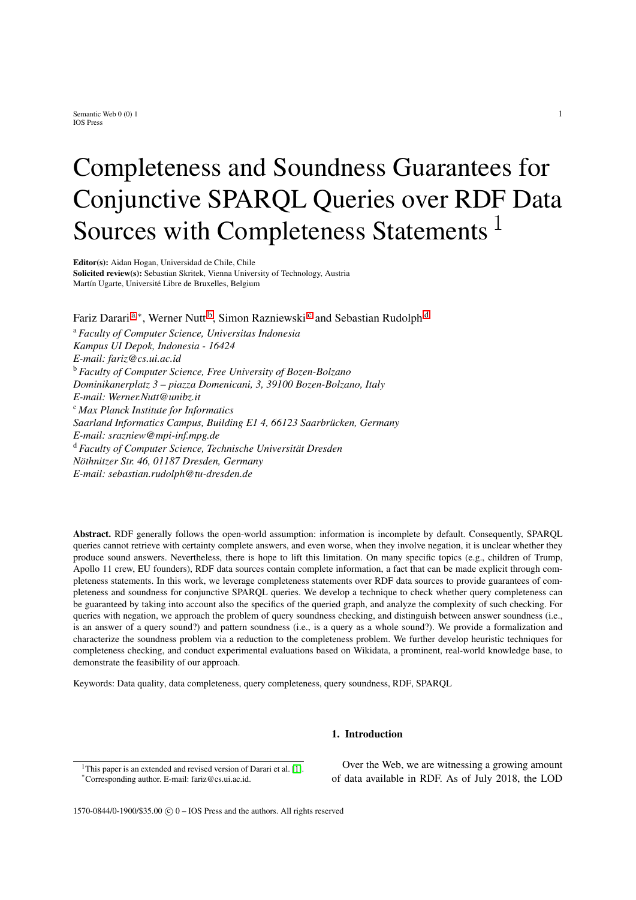Semantic Web  $0(0)$  1 1 IOS Press

# Completeness and Soundness Guarantees for Conjunctive SPARQL Queries over RDF Data Sources with Completeness Statements  $<sup>1</sup>$ </sup>

Editor(s): Aidan Hogan, Universidad de Chile, Chile Solicited review(s): Sebastian Skritek, Vienna University of Technology, Austria Martín Ugarte, Université Libre de Bruxelles, Belgium

<span id="page-0-0"></span>F[a](#page-0-0)riz Darari <sup>a,∗</sup>, Werner Nutt <sup>[b](#page-0-1)</sup>, Simon Razniewski <sup>[c](#page-0-2)</sup> an[d](#page-0-3) Sebastian Rudolph <sup>d</sup>

<span id="page-0-2"></span><span id="page-0-1"></span><sup>a</sup> *Faculty of Computer Science, Universitas Indonesia Kampus UI Depok, Indonesia - 16424 E-mail: fariz@cs.ui.ac.id* <sup>b</sup> *Faculty of Computer Science, Free University of Bozen-Bolzano Dominikanerplatz 3 – piazza Domenicani, 3, 39100 Bozen-Bolzano, Italy E-mail: Werner.Nutt@unibz.it* <sup>c</sup> *Max Planck Institute for Informatics Saarland Informatics Campus, Building E1 4, 66123 Saarbrücken, Germany E-mail: srazniew@mpi-inf.mpg.de* <sup>d</sup> *Faculty of Computer Science, Technische Universität Dresden Nöthnitzer Str. 46, 01187 Dresden, Germany E-mail: sebastian.rudolph@tu-dresden.de*

<span id="page-0-3"></span>Abstract. RDF generally follows the open-world assumption: information is incomplete by default. Consequently, SPARQL queries cannot retrieve with certainty complete answers, and even worse, when they involve negation, it is unclear whether they produce sound answers. Nevertheless, there is hope to lift this limitation. On many specific topics (e.g., children of Trump, Apollo 11 crew, EU founders), RDF data sources contain complete information, a fact that can be made explicit through completeness statements. In this work, we leverage completeness statements over RDF data sources to provide guarantees of completeness and soundness for conjunctive SPARQL queries. We develop a technique to check whether query completeness can be guaranteed by taking into account also the specifics of the queried graph, and analyze the complexity of such checking. For queries with negation, we approach the problem of query soundness checking, and distinguish between answer soundness (i.e., is an answer of a query sound?) and pattern soundness (i.e., is a query as a whole sound?). We provide a formalization and characterize the soundness problem via a reduction to the completeness problem. We further develop heuristic techniques for completeness checking, and conduct experimental evaluations based on Wikidata, a prominent, real-world knowledge base, to demonstrate the feasibility of our approach.

Keywords: Data quality, data completeness, query completeness, query soundness, RDF, SPARQL

# 1. Introduction

<span id="page-0-4"></span><sup>1</sup>This paper is an extended and revised version of Darari et al. [\[1\]](#page-31-0). \*Corresponding author. E-mail: fariz@cs.ui.ac.id.

Over the Web, we are witnessing a growing amount of data available in RDF. As of July 2018, the LOD

1570-0844/0-1900/\$35.00  $\odot$  0 – IOS Press and the authors. All rights reserved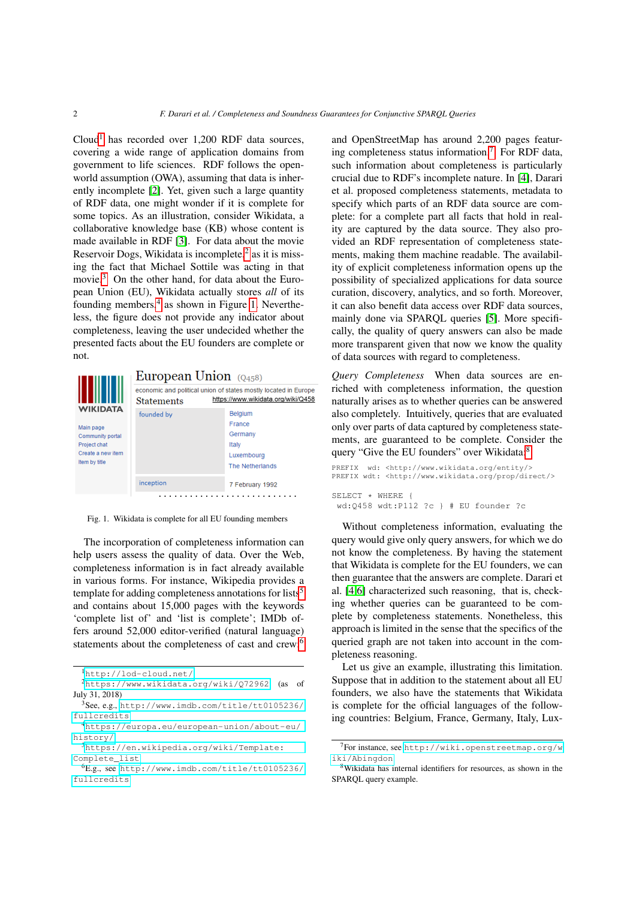$Cloud<sup>1</sup>$  $Cloud<sup>1</sup>$  $Cloud<sup>1</sup>$  has recorded over 1,200 RDF data sources, covering a wide range of application domains from government to life sciences. RDF follows the openworld assumption (OWA), assuming that data is inherently incomplete [\[2\]](#page-31-1). Yet, given such a large quantity of RDF data, one might wonder if it is complete for some topics. As an illustration, consider Wikidata, a collaborative knowledge base (KB) whose content is made available in RDF [\[3\]](#page-31-2). For data about the movie Reservoir Dogs, Wikidata is incomplete, $2$  as it is missing the fact that Michael Sottile was acting in that movie.<sup>[3](#page-1-2)</sup> On the other hand, for data about the European Union (EU), Wikidata actually stores *all* of its founding members,<sup>[4](#page-1-3)</sup> as shown in Figure [1.](#page-1-4) Nevertheless, the figure does not provide any indicator about completeness, leaving the user undecided whether the presented facts about the EU founders are complete or not.



<span id="page-1-4"></span>Fig. 1. Wikidata is complete for all EU founding members

The incorporation of completeness information can help users assess the quality of data. Over the Web, completeness information is in fact already available in various forms. For instance, Wikipedia provides a template for adding completeness annotations for lists<sup>[5](#page-1-5)</sup> and contains about 15,000 pages with the keywords 'complete list of' and 'list is complete'; IMDb offers around 52,000 editor-verified (natural language) statements about the completeness of cast and crew;<sup>[6](#page-1-6)</sup> and OpenStreetMap has around 2,200 pages featur-ing completeness status information.<sup>[7](#page-1-7)</sup> For RDF data, such information about completeness is particularly crucial due to RDF's incomplete nature. In [\[4\]](#page-31-3), Darari et al. proposed completeness statements, metadata to specify which parts of an RDF data source are complete: for a complete part all facts that hold in reality are captured by the data source. They also provided an RDF representation of completeness statements, making them machine readable. The availability of explicit completeness information opens up the possibility of specialized applications for data source curation, discovery, analytics, and so forth. Moreover, it can also benefit data access over RDF data sources, mainly done via SPARQL queries [\[5\]](#page-31-4). More specifically, the quality of query answers can also be made more transparent given that now we know the quality of data sources with regard to completeness.

*Query Completeness* When data sources are enriched with completeness information, the question naturally arises as to whether queries can be answered also completely. Intuitively, queries that are evaluated only over parts of data captured by completeness statements, are guaranteed to be complete. Consider the query "Give the EU founders" over Wikidata:[8](#page-1-8)

PREFIX wd: <http://www.wikidata.org/entity/> PREFIX wdt: <http://www.wikidata.org/prop/direct/> SELECT \* WHERE { wd:Q458 wdt:P112 ?c } # EU founder ?c

Without completeness information, evaluating the query would give only query answers, for which we do not know the completeness. By having the statement that Wikidata is complete for the EU founders, we can then guarantee that the answers are complete. Darari et al. [\[4,](#page-31-3)[6\]](#page-31-5) characterized such reasoning, that is, checking whether queries can be guaranteed to be complete by completeness statements. Nonetheless, this approach is limited in the sense that the specifics of the queried graph are not taken into account in the completeness reasoning.

Let us give an example, illustrating this limitation. Suppose that in addition to the statement about all EU founders, we also have the statements that Wikidata is complete for the official languages of the following countries: Belgium, France, Germany, Italy, Lux-

<span id="page-1-1"></span><span id="page-1-0"></span><sup>1</sup><http://lod-cloud.net/>

<sup>2</sup><https://www.wikidata.org/wiki/Q72962> (as of July 31, 2018)

<span id="page-1-2"></span> $3$ See, e.g., [http://www.imdb.com/title/tt0105236/](http://www.imdb.com/title/tt0105236/fullcredits) [fullcredits](http://www.imdb.com/title/tt0105236/fullcredits)

<span id="page-1-3"></span><sup>4</sup>[https://europa.eu/european-union/about-eu/](https://europa.eu/european-union/about-eu/history/) [history/](https://europa.eu/european-union/about-eu/history/)

<span id="page-1-5"></span><sup>5</sup>[https://en.wikipedia.org/wiki/Template:](https://en.wikipedia.org/wiki/Template:Complete_list) [Complete\\_list](https://en.wikipedia.org/wiki/Template:Complete_list)

<span id="page-1-6"></span><sup>6</sup>E.g., see [http://www.imdb.com/title/tt0105236/](http://www.imdb.com/title/tt0105236/fullcredits) [fullcredits](http://www.imdb.com/title/tt0105236/fullcredits)

<span id="page-1-7"></span><sup>7</sup>For instance, see [http://wiki.openstreetmap.org/w](http://wiki.openstreetmap.org/wiki/Abingdon) [iki/Abingdon](http://wiki.openstreetmap.org/wiki/Abingdon)

<span id="page-1-8"></span><sup>8</sup>Wikidata has internal identifiers for resources, as shown in the SPARQL query example.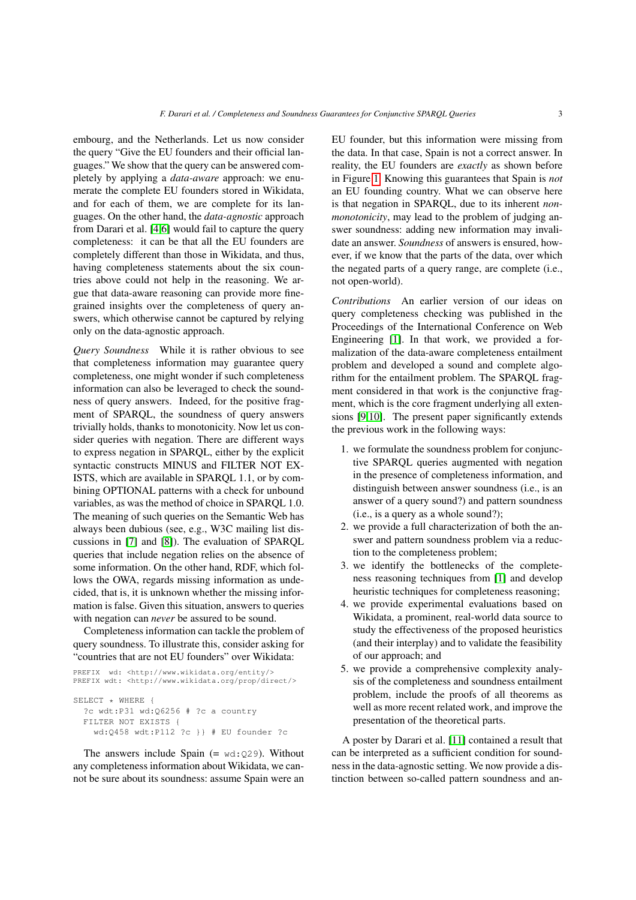embourg, and the Netherlands. Let us now consider the query "Give the EU founders and their official languages." We show that the query can be answered completely by applying a *data-aware* approach: we enumerate the complete EU founders stored in Wikidata, and for each of them, we are complete for its languages. On the other hand, the *data-agnostic* approach from Darari et al. [\[4,](#page-31-3)[6\]](#page-31-5) would fail to capture the query completeness: it can be that all the EU founders are completely different than those in Wikidata, and thus, having completeness statements about the six countries above could not help in the reasoning. We argue that data-aware reasoning can provide more finegrained insights over the completeness of query answers, which otherwise cannot be captured by relying only on the data-agnostic approach.

*Query Soundness* While it is rather obvious to see that completeness information may guarantee query completeness, one might wonder if such completeness information can also be leveraged to check the soundness of query answers. Indeed, for the positive fragment of SPARQL, the soundness of query answers trivially holds, thanks to monotonicity. Now let us consider queries with negation. There are different ways to express negation in SPARQL, either by the explicit syntactic constructs MINUS and FILTER NOT EX-ISTS, which are available in SPARQL 1.1, or by combining OPTIONAL patterns with a check for unbound variables, as was the method of choice in SPARQL 1.0. The meaning of such queries on the Semantic Web has always been dubious (see, e.g., W3C mailing list discussions in [\[7\]](#page-31-6) and [\[8\]](#page-31-7)). The evaluation of SPARQL queries that include negation relies on the absence of some information. On the other hand, RDF, which follows the OWA, regards missing information as undecided, that is, it is unknown whether the missing information is false. Given this situation, answers to queries with negation can *never* be assured to be sound.

Completeness information can tackle the problem of query soundness. To illustrate this, consider asking for "countries that are not EU founders" over Wikidata:

PREFIX wd: <http://www.wikidata.org/entity/> PREFIX wdt: <http://www.wikidata.org/prop/direct/> SELECT \* WHERE { ?c wdt:P31 wd:Q6256 # ?c a country FILTER NOT EXISTS { wd:Q458 wdt:P112 ?c }} # EU founder ?c

The answers include Spain  $(= wd:Q29)$ . Without any completeness information about Wikidata, we cannot be sure about its soundness: assume Spain were an EU founder, but this information were missing from the data. In that case, Spain is not a correct answer. In reality, the EU founders are *exactly* as shown before in Figure [1.](#page-1-4) Knowing this guarantees that Spain is *not* an EU founding country. What we can observe here is that negation in SPARQL, due to its inherent *nonmonotonicity*, may lead to the problem of judging answer soundness: adding new information may invalidate an answer. *Soundness* of answers is ensured, however, if we know that the parts of the data, over which the negated parts of a query range, are complete (i.e., not open-world).

*Contributions* An earlier version of our ideas on query completeness checking was published in the Proceedings of the International Conference on Web Engineering [\[1\]](#page-31-0). In that work, we provided a formalization of the data-aware completeness entailment problem and developed a sound and complete algorithm for the entailment problem. The SPARQL fragment considered in that work is the conjunctive fragment, which is the core fragment underlying all extensions [\[9,](#page-31-8)[10\]](#page-31-9). The present paper significantly extends the previous work in the following ways:

- 1. we formulate the soundness problem for conjunctive SPARQL queries augmented with negation in the presence of completeness information, and distinguish between answer soundness (i.e., is an answer of a query sound?) and pattern soundness (i.e., is a query as a whole sound?);
- 2. we provide a full characterization of both the answer and pattern soundness problem via a reduction to the completeness problem;
- 3. we identify the bottlenecks of the completeness reasoning techniques from [\[1\]](#page-31-0) and develop heuristic techniques for completeness reasoning;
- 4. we provide experimental evaluations based on Wikidata, a prominent, real-world data source to study the effectiveness of the proposed heuristics (and their interplay) and to validate the feasibility of our approach; and
- 5. we provide a comprehensive complexity analysis of the completeness and soundness entailment problem, include the proofs of all theorems as well as more recent related work, and improve the presentation of the theoretical parts.

A poster by Darari et al. [\[11\]](#page-31-10) contained a result that can be interpreted as a sufficient condition for soundness in the data-agnostic setting. We now provide a distinction between so-called pattern soundness and an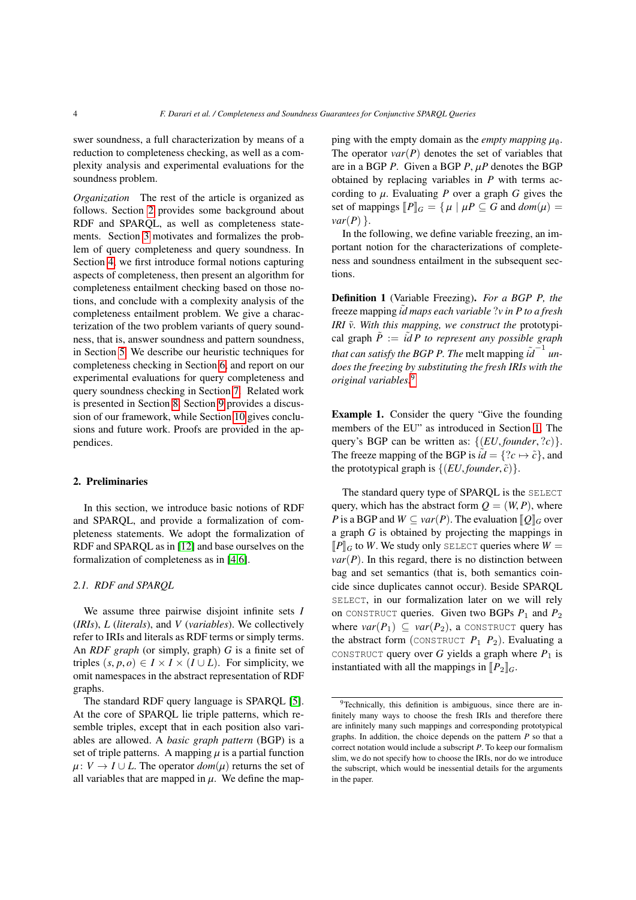swer soundness, a full characterization by means of a reduction to completeness checking, as well as a complexity analysis and experimental evaluations for the soundness problem.

*Organization* The rest of the article is organized as follows. Section [2](#page-3-0) provides some background about RDF and SPARQL, as well as completeness statements. Section [3](#page-5-0) motivates and formalizes the problem of query completeness and query soundness. In Section [4,](#page-8-0) we first introduce formal notions capturing aspects of completeness, then present an algorithm for completeness entailment checking based on those notions, and conclude with a complexity analysis of the completeness entailment problem. We give a characterization of the two problem variants of query soundness, that is, answer soundness and pattern soundness, in Section [5.](#page-13-0) We describe our heuristic techniques for completeness checking in Section [6,](#page-17-0) and report on our experimental evaluations for query completeness and query soundness checking in Section [7.](#page-22-0) Related work is presented in Section [8.](#page-26-0) Section [9](#page-29-0) provides a discussion of our framework, while Section [10](#page-30-0) gives conclusions and future work. Proofs are provided in the appendices.

### <span id="page-3-0"></span>2. Preliminaries

In this section, we introduce basic notions of RDF and SPARQL, and provide a formalization of completeness statements. We adopt the formalization of RDF and SPARQL as in [\[12\]](#page-32-0) and base ourselves on the formalization of completeness as in [\[4,](#page-31-3)[6\]](#page-31-5).

# <span id="page-3-2"></span>*2.1. RDF and SPARQL*

We assume three pairwise disjoint infinite sets *I* (*IRIs*), *L* (*literals*), and *V* (*variables*). We collectively refer to IRIs and literals as RDF terms or simply terms. An *RDF graph* (or simply, graph) *G* is a finite set of triples  $(s, p, o) \in I \times I \times (I \cup L)$ . For simplicity, we omit namespaces in the abstract representation of RDF graphs.

The standard RDF query language is SPARQL [\[5\]](#page-31-4). At the core of SPARQL lie triple patterns, which resemble triples, except that in each position also variables are allowed. A *basic graph pattern* (BGP) is a set of triple patterns. A mapping  $\mu$  is a partial function  $\mu: V \to I \cup L$ . The operator  $dom(\mu)$  returns the set of all variables that are mapped in  $\mu$ . We define the mapping with the empty domain as the *empty mapping*  $\mu_{\emptyset}$ . The operator  $var(P)$  denotes the set of variables that are in a BGP  $P$ . Given a BGP  $P$ ,  $\mu$ P denotes the BGP obtained by replacing variables in *P* with terms according to  $\mu$ . Evaluating *P* over a graph *G* gives the set of mappings  $[P]_G = \{ \mu \mid \mu \in G \text{ and } dom(\mu) =$ *var*(*P*) }.

In the following, we define variable freezing, an important notion for the characterizations of completeness and soundness entailment in the subsequent sections.

Definition 1 (Variable Freezing). *For a BGP P, the* freeze mapping *id maps each variable* ˜ ?*v in P to a fresh IRI*  $\tilde{v}$ *. With this mapping, we construct the* prototypical graph  $\tilde{P}$  :=  $\tilde{i}dP$  *to represent any possible graph that can satisfy the BGP P. The melt mapping*  $\tilde{id}^{-1}$  *undoes the freezing by substituting the fresh IRIs with the original variables.*[9](#page-3-1)

Example 1. Consider the query "Give the founding members of the EU" as introduced in Section [1.](#page-0-4) The query's BGP can be written as: {(*EU*, *founder*, ?*c*)}. The freeze mapping of the BGP is  $\tilde{id} = \{?c \mapsto \tilde{c}\}\$ , and the prototypical graph is  $\{(EU, founder, \tilde{c})\}.$ 

The standard query type of SPARQL is the SELECT query, which has the abstract form  $Q = (W, P)$ , where *P* is a BGP and  $W \subseteq \text{var}(P)$ . The evaluation  $\llbracket Q \rrbracket_G$  over a graph *G* is obtained by projecting the mappings in  $\Vert P \Vert_G$  to *W*. We study only SELECT queries where  $W =$  $var(P)$ . In this regard, there is no distinction between bag and set semantics (that is, both semantics coincide since duplicates cannot occur). Beside SPARQL SELECT, in our formalization later on we will rely on CONSTRUCT queries. Given two BGPs  $P_1$  and  $P_2$ where  $var(P_1) \subseteq var(P_2)$ , a CONSTRUCT query has the abstract form (CONSTRUCT  $P_1$   $P_2$ ). Evaluating a CONSTRUCT query over *G* yields a graph where  $P_1$  is instantiated with all the mappings in  $\llbracket P_2 \rrbracket_G$ .

<span id="page-3-1"></span><sup>9</sup>Technically, this definition is ambiguous, since there are infinitely many ways to choose the fresh IRIs and therefore there are infinitely many such mappings and corresponding prototypical graphs. In addition, the choice depends on the pattern *P* so that a correct notation would include a subscript *P*. To keep our formalism slim, we do not specify how to choose the IRIs, nor do we introduce the subscript, which would be inessential details for the arguments in the paper.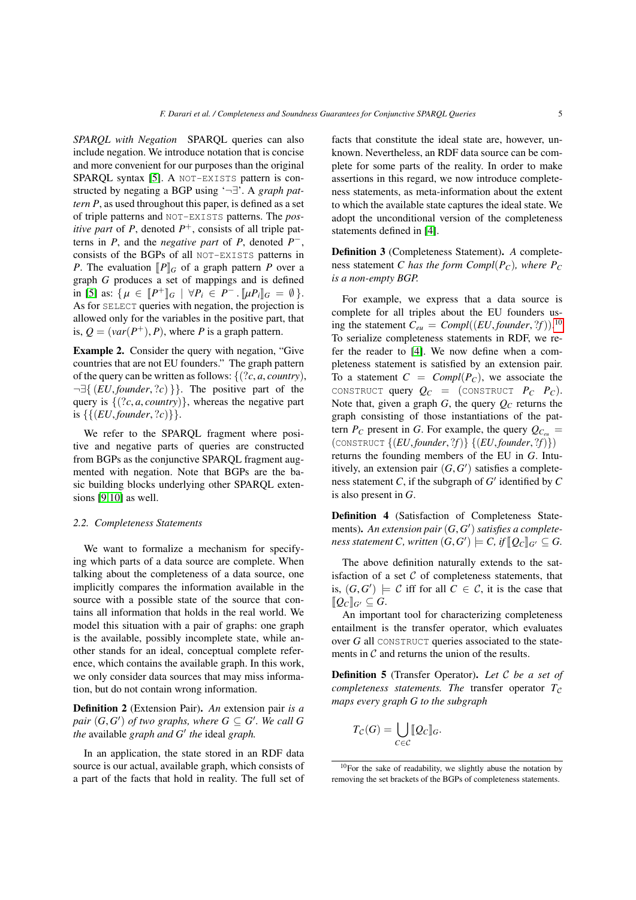*SPARQL with Negation* SPARQL queries can also include negation. We introduce notation that is concise and more convenient for our purposes than the original SPARQL syntax [\[5\]](#page-31-4). A NOT-EXISTS pattern is constructed by negating a BGP using '¬∃'. A *graph pattern P*, as used throughout this paper, is defined as a set of triple patterns and NOT-EXISTS patterns. The *positive part* of *P*, denoted *P* <sup>+</sup>, consists of all triple patterns in *P*, and the *negative part* of *P*, denoted *P* −, consists of the BGPs of all NOT-EXISTS patterns in *P*. The evaluation  $\llbracket P \rrbracket_G$  of a graph pattern *P* over a graph *G* produces a set of mappings and is defined in [\[5\]](#page-31-4) as:  $\{\mu \in [P^+]_G \mid \forall P_i \in P^- \cdot [\mu P_i]_G = \emptyset\}$ .<br>As for SEI ECT queries with negation the projection is As for SELECT queries with negation, the projection is allowed only for the variables in the positive part, that is,  $Q = (var(P^+), P)$ , where *P* is a graph pattern.

Example 2. Consider the query with negation, "Give countries that are not EU founders." The graph pattern of the query can be written as follows:  $\{(?c, a, country),\}$ ¬∃{ (*EU*, *founder*, ?*c*) }}. The positive part of the query is  $\{(?c, a, country)\}$ , whereas the negative part is  $\{ \{ (EU, founder, ?c) \} \}.$ 

We refer to the SPARQL fragment where positive and negative parts of queries are constructed from BGPs as the conjunctive SPARQL fragment augmented with negation. Note that BGPs are the basic building blocks underlying other SPARQL extensions [\[9](#page-31-8)[,10\]](#page-31-9) as well.

# <span id="page-4-2"></span>*2.2. Completeness Statements*

We want to formalize a mechanism for specifying which parts of a data source are complete. When talking about the completeness of a data source, one implicitly compares the information available in the source with a possible state of the source that contains all information that holds in the real world. We model this situation with a pair of graphs: one graph is the available, possibly incomplete state, while another stands for an ideal, conceptual complete reference, which contains the available graph. In this work, we only consider data sources that may miss information, but do not contain wrong information.

Definition 2 (Extension Pair). *An* extension pair *is a pair*  $(G, G')$  *of two graphs, where*  $G \subseteq G'$ *. We call*  $G$  *the available graph and*  $G'$  *the ideal graph the* available *graph and G* 0 *the* ideal *graph.*

In an application, the state stored in an RDF data source is our actual, available graph, which consists of a part of the facts that hold in reality. The full set of facts that constitute the ideal state are, however, unknown. Nevertheless, an RDF data source can be complete for some parts of the reality. In order to make assertions in this regard, we now introduce completeness statements, as meta-information about the extent to which the available state captures the ideal state. We adopt the unconditional version of the completeness statements defined in [\[4\]](#page-31-3).

Definition 3 (Completeness Statement). *A* completeness statement *C* has the form  $Compl(P_C)$ *, where*  $P_C$ *is a non-empty BGP.*

For example, we express that a data source is complete for all triples about the EU founders using the statement  $C_{eu} = Compl((EU, founder, ?f))$ .<sup>[10](#page-4-0)</sup><br>To serialize completeness statements in PDF, we re To serialize completeness statements in RDF, we refer the reader to [\[4\]](#page-31-3). We now define when a completeness statement is satisfied by an extension pair. To a statement  $C = Compl(P_C)$ , we associate the CONSTRUCT query  $Q_C =$  (CONSTRUCT  $P_C$   $P_C$ ). Note that, given a graph  $G$ , the query  $Q_C$  returns the graph consisting of those instantiations of the pattern  $P_C$  present in *G*. For example, the query  $Q_{C_{eu}} =$  $($ CONSTRUCT $\{(EU, founder, ?f)\}\{(EU, founder, ?f)\})$ returns the founding members of the EU in *G*. Intuitively, an extension pair  $(G, G')$  satisfies a complete-<br>ness statement C, if the subgraph of  $G'$  identified by C ness statement  $C$ , if the subgraph of  $G'$  identified by  $C$ is also present in *G*.

Definition 4 (Satisfaction of Completeness Statements). An extension pair  $(G, G')$  satisfies a complete-<br>pass statement C, written  $(G, G') \models C$ , if  $[Q_{\sigma}]_{\sigma \in C}$  $\nu$  *ness statement C, written*  $(G, G') \models C$ , if  $[\![\mathcal{Q}_C]\!]_{G'} \subseteq G$ .

The above definition naturally extends to the satisfaction of a set  $C$  of completeness statements, that is,  $(G, G') \models C$  iff for all  $C \in C$ , it is the case that  $\llbracket O \llbracket \cdot C \mid C$  $[Q_C]$ <sub>*G'*</sub> ⊆ *G*.

An important tool for characterizing completeness entailment is the transfer operator, which evaluates over *G* all CONSTRUCT queries associated to the statements in  $\mathcal C$  and returns the union of the results.

<span id="page-4-1"></span>Definition 5 (Transfer Operator). *Let* C *be a set of completeness statements. The* transfer operator  $T_c$ *maps every graph G to the subgraph*

$$
T_{\mathcal{C}}(G) = \bigcup_{C \in \mathcal{C}} [Q_C]_G.
$$

<span id="page-4-0"></span> $10$ For the sake of readability, we slightly abuse the notation by removing the set brackets of the BGPs of completeness statements.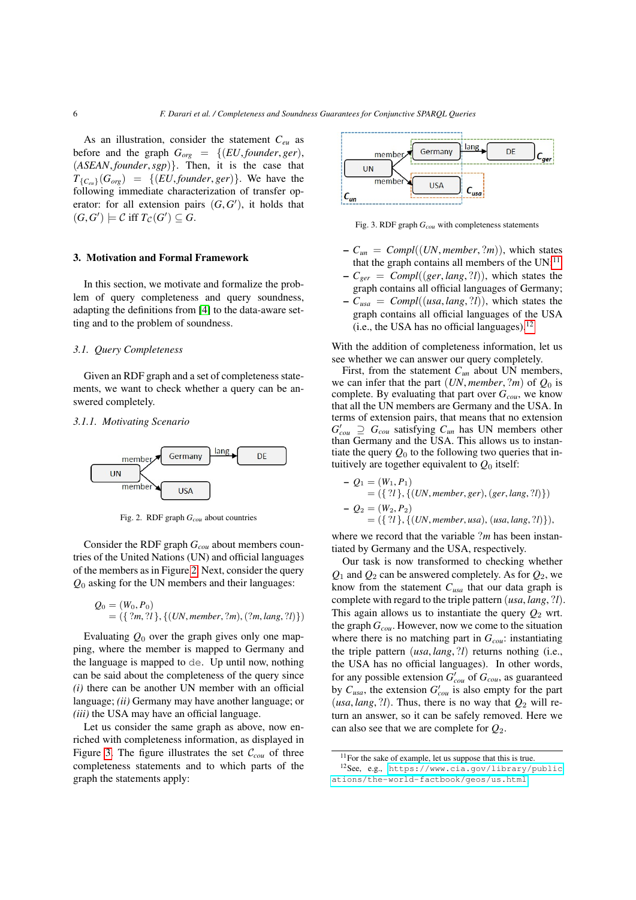As an illustration, consider the statement *Ceu* as before and the graph  $G_{org} = \{(EU, founder, ger),\}$ (*ASEAN*, *founder*,*sgp*)}. Then, it is the case that  $T_{\{C_{\text{eul}}\}}(G_{\text{org}}) = \{(EU, founder, ger)\}.$  We have the following immediate characterization of transfer operator: for all extension pairs  $(G, G')$ , it holds that  $(G, G') \sqsubset C$  $(G, G') \models C$  iff  $T_C(G') \subseteq G$ .

# <span id="page-5-0"></span>3. Motivation and Formal Framework

In this section, we motivate and formalize the problem of query completeness and query soundness, adapting the definitions from [\[4\]](#page-31-3) to the data-aware setting and to the problem of soundness.

# *3.1. Query Completeness*

Given an RDF graph and a set of completeness statements, we want to check whether a query can be answered completely.

#### <span id="page-5-5"></span>*3.1.1. Motivating Scenario*



<span id="page-5-1"></span>Fig. 2. RDF graph *Gcou* about countries

Consider the RDF graph *Gcou* about members countries of the United Nations (UN) and official languages of the members as in Figure [2.](#page-5-1) Next, consider the query *Q*<sup>0</sup> asking for the UN members and their languages:

$$
Q_0 = (W_0, P_0)
$$
  
= ({?m, ?l}, {(UN, member, ?m), (?m, lang, ?l)})

Evaluating *Q*<sup>0</sup> over the graph gives only one mapping, where the member is mapped to Germany and the language is mapped to de. Up until now, nothing can be said about the completeness of the query since *(i)* there can be another UN member with an official language; *(ii)* Germany may have another language; or *(iii)* the USA may have an official language.

Let us consider the same graph as above, now enriched with completeness information, as displayed in Figure [3.](#page-5-2) The figure illustrates the set  $\mathcal{C}_{cou}$  of three completeness statements and to which parts of the graph the statements apply:



<span id="page-5-2"></span>Fig. 3. RDF graph *Gcou* with completeness statements

- $-C_{un} = Compl((UN, member, ?m))$ , which states that the graph contains all members of the UN;<sup>[11](#page-5-3)</sup>
- $-C_{ger} = Compl((ger, lang, ?l))$ , which states the graph contains all official languages of Germany;
- $-C_{usa} = Compl((usa, lang, ?l))$ , which states the graph contains all official languages of the USA (i.e., the USA has no official languages). $12$

With the addition of completeness information, let us see whether we can answer our query completely.

First, from the statement  $C_{un}$  about UN members, we can infer that the part  $(UN, member, ?m)$  of  $Q_0$  is complete. By evaluating that part over *Gcou*, we know that all the UN members are Germany and the USA. In terms of extension pairs, that means that no extension  $G'_{cou} \supseteq G_{cou}$  satisfying  $C_{un}$  has UN members other than Germany and the USA. This allows us to instantiate the query  $Q_0$  to the following two queries that intuitively are together equivalent to  $Q_0$  itself:

$$
Q_1 = (W_1, P_1)
$$
  
= ({?1}, {(*UN*, *member*, *ger*), (*ger*, *lang*, ?*l*)})  

$$
Q_2 = (W_2, P_2)
$$
  
= ({?1}, {(*UN*, *member*, *usa*), (*usa*, *lang*, ?*l*)}),

where we record that the variable ?*m* has been instantiated by Germany and the USA, respectively.

Our task is now transformed to checking whether  $Q_1$  and  $Q_2$  can be answered completely. As for  $Q_2$ , we know from the statement *Cusa* that our data graph is complete with regard to the triple pattern (*usa*, *lang*, ?*l*). This again allows us to instantiate the query  $Q_2$  wrt. the graph *Gcou*. However, now we come to the situation where there is no matching part in *Gcou*: instantiating the triple pattern (*usa*, *lang*, ?*l*) returns nothing (i.e., the USA has no official languages). In other words, for any possible extension  $G'_{cou}$  of  $G_{cou}$ , as guaranteed by  $C_{usa}$ , the extension  $G'_{cou}$  is also empty for the part (*usa*, *lang*, ?*l*). Thus, there is no way that  $Q_2$  will return an answer, so it can be safely removed. Here we can also see that we are complete for *Q*2.

<span id="page-5-4"></span><span id="page-5-3"></span><sup>&</sup>lt;sup>11</sup>For the sake of example, let us suppose that this is true.

<sup>12</sup>See, e.g., [https://www.cia.gov/library/public](https://www.cia.gov/library/publications/the-world-factbook/geos/us.html) [ations/the-world-factbook/geos/us.html](https://www.cia.gov/library/publications/the-world-factbook/geos/us.html)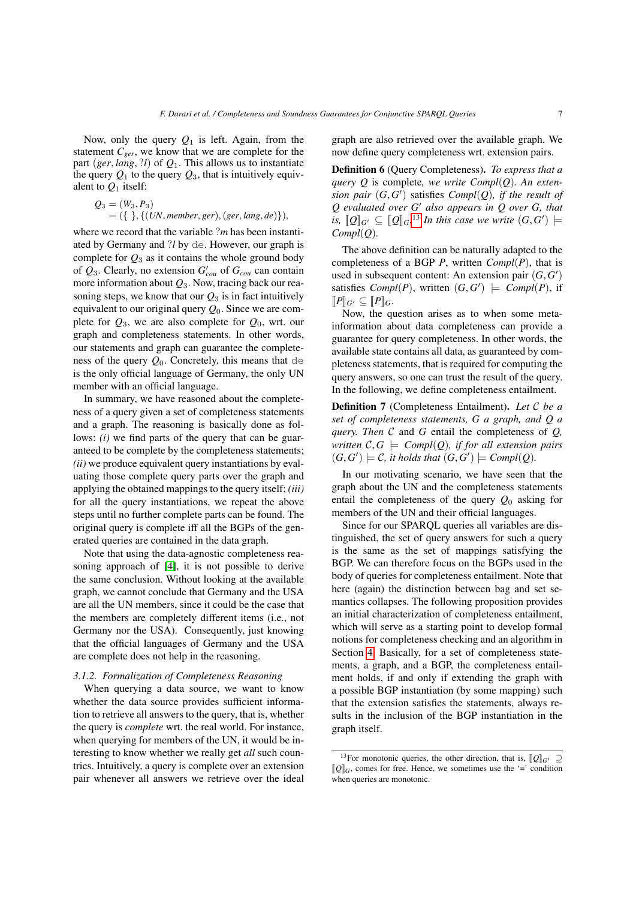Now, only the query  $Q_1$  is left. Again, from the statement  $C_{ger}$ , we know that we are complete for the part (*ger*, *lang*, ?*l*) of *<sup>Q</sup>*1. This allows us to instantiate the query  $Q_1$  to the query  $Q_3$ , that is intuitively equivalent to  $Q_1$  itself:

$$
Q_3 = (W_3, P_3)
$$
  
= ({ }  $\{ \}, \{ (UN, member, ger), (ger, lang, de) \}),$ 

where we record that the variable ?*m* has been instantiated by Germany and ?*l* by de. However, our graph is complete for  $Q_3$  as it contains the whole ground body of  $Q_3$ . Clearly, no extension  $G'_{cou}$  of  $G_{cou}$  can contain more information about *Q*3. Now, tracing back our reasoning steps, we know that our  $Q_3$  is in fact intuitively equivalent to our original query *Q*0. Since we are complete for  $Q_3$ , we are also complete for  $Q_0$ , wrt. our graph and completeness statements. In other words, our statements and graph can guarantee the completeness of the query  $Q_0$ . Concretely, this means that de is the only official language of Germany, the only UN member with an official language.

In summary, we have reasoned about the completeness of a query given a set of completeness statements and a graph. The reasoning is basically done as follows: *(i)* we find parts of the query that can be guaranteed to be complete by the completeness statements; *(ii)* we produce equivalent query instantiations by evaluating those complete query parts over the graph and applying the obtained mappings to the query itself; *(iii)* for all the query instantiations, we repeat the above steps until no further complete parts can be found. The original query is complete iff all the BGPs of the generated queries are contained in the data graph.

Note that using the data-agnostic completeness reasoning approach of [\[4\]](#page-31-3), it is not possible to derive the same conclusion. Without looking at the available graph, we cannot conclude that Germany and the USA are all the UN members, since it could be the case that the members are completely different items (i.e., not Germany nor the USA). Consequently, just knowing that the official languages of Germany and the USA are complete does not help in the reasoning.

# *3.1.2. Formalization of Completeness Reasoning*

When querying a data source, we want to know whether the data source provides sufficient information to retrieve all answers to the query, that is, whether the query is *complete* wrt. the real world. For instance, when querying for members of the UN, it would be interesting to know whether we really get *all* such countries. Intuitively, a query is complete over an extension pair whenever all answers we retrieve over the ideal graph are also retrieved over the available graph. We now define query completeness wrt. extension pairs.

Definition 6 (Query Completeness). *To express that a query Q* is complete*, we write Compl*(*Q*)*. An extension pair*  $(G, G')$  satisfies  $Compl(Q)$ , if the result of  $G$  evaluated over  $G'$  also appears in  $Q$  over  $G$  that *Q evaluated over G* <sup>0</sup> *also appears in Q over G, that is,*  $[\![Q]\!]_{G'} \subseteq [\![Q]\!]_G$ .<sup>[13](#page-6-0)</sup> *In this case we write*  $(G, G') \models$ <br>*Compl(O)*  $Compl(Q)$ .

The above definition can be naturally adapted to the completeness of a BGP *P*, written *Compl*(*P*), that is used in subsequent content: An extension pair  $(G, G')$ <br>satisfies  $Compl(P)$  written  $(G, G')$   $\vdash$   $Compl(P)$  if satisfies *Compl*(*P*), written  $(G, G') \models Compl(P)$ , if  $[P]_{G'} \subseteq [P]_G.$ 

Now, the question arises as to when some metainformation about data completeness can provide a guarantee for query completeness. In other words, the available state contains all data, as guaranteed by completeness statements, that is required for computing the query answers, so one can trust the result of the query. In the following, we define completeness entailment.

Definition 7 (Completeness Entailment). *Let* C *be a set of completeness statements, G a graph, and Q a query. Then* C and *G* entail the completeness of *Q, written*  $C, G \models Compl(Q)$ *, if for all extension pairs*  $(G, G') \models C$ *, it holds that*  $(G, G') \models Compl(Q)$ .

In our motivating scenario, we have seen that the graph about the UN and the completeness statements entail the completeness of the query  $Q_0$  asking for members of the UN and their official languages.

Since for our SPARQL queries all variables are distinguished, the set of query answers for such a query is the same as the set of mappings satisfying the BGP. We can therefore focus on the BGPs used in the body of queries for completeness entailment. Note that here (again) the distinction between bag and set semantics collapses. The following proposition provides an initial characterization of completeness entailment, which will serve as a starting point to develop formal notions for completeness checking and an algorithm in Section [4.](#page-8-0) Basically, for a set of completeness statements, a graph, and a BGP, the completeness entailment holds, if and only if extending the graph with a possible BGP instantiation (by some mapping) such that the extension satisfies the statements, always results in the inclusion of the BGP instantiation in the graph itself.

<span id="page-6-0"></span><sup>&</sup>lt;sup>13</sup>For monotonic queries, the other direction, that is,  $\llbracket \mathcal{Q} \rrbracket_{G}$ <sup>0</sup>  $\supseteq$  $\llbracket Q \rrbracket_G$ , comes for free. Hence, we sometimes use the '=' condition when queries are monotonic.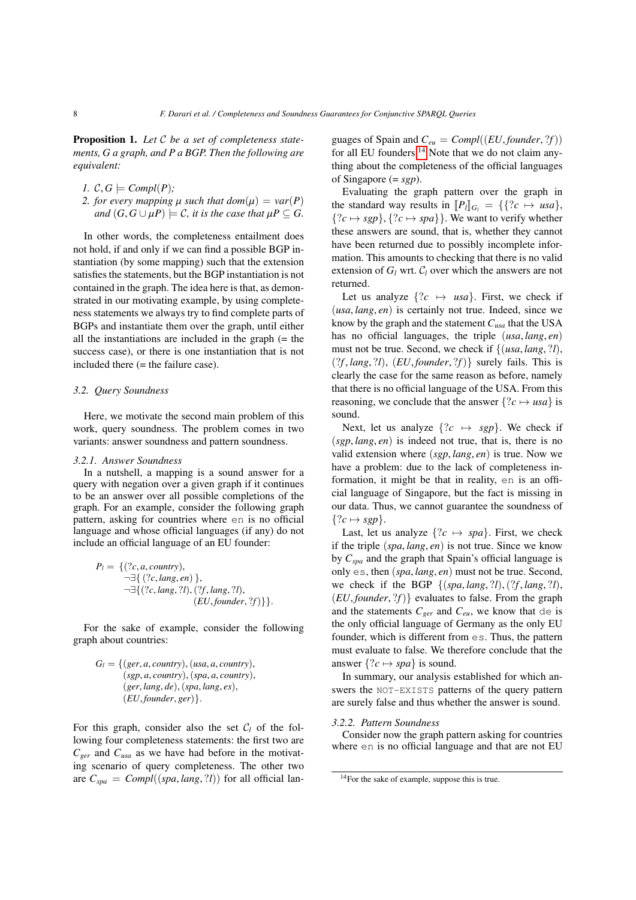<span id="page-7-1"></span>Proposition 1. *Let* C *be a set of completeness statements, G a graph, and P a BGP. Then the following are equivalent:*

- *1.*  $C, G \models Compl(P);$
- *2. for every mapping*  $\mu$  *such that dom* $(\mu) = \text{var}(P)$ *and*  $(G, G \cup \mu) \models C$ , *it is the case that*  $\mu$ *P*  $\subseteq$  *G*.

In other words, the completeness entailment does not hold, if and only if we can find a possible BGP instantiation (by some mapping) such that the extension satisfies the statements, but the BGP instantiation is not contained in the graph. The idea here is that, as demonstrated in our motivating example, by using completeness statements we always try to find complete parts of BGPs and instantiate them over the graph, until either all the instantiations are included in the graph  $(=$  the success case), or there is one instantiation that is not included there (= the failure case).

# *3.2. Query Soundness*

Here, we motivate the second main problem of this work, query soundness. The problem comes in two variants: answer soundness and pattern soundness.

# <span id="page-7-2"></span>*3.2.1. Answer Soundness*

In a nutshell, a mapping is a sound answer for a query with negation over a given graph if it continues to be an answer over all possible completions of the graph. For an example, consider the following graph pattern, asking for countries where en is no official language and whose official languages (if any) do not include an official language of an EU founder:

$$
P_l = \{ (?c, a, country),
$$
  
\n
$$
\neg \exists \{ (?c, lang, en) \},
$$
  
\n
$$
\neg \exists \{ (?c, lang, ?l), (?f, lang, ?l),
$$
  
\n
$$
(EU, founder, ?f) \}.
$$

For the sake of example, consider the following graph about countries:

$$
G_l = \{ (ger, a, country), (usa, a, country), (sgp, a, country), (spa, a, country), (ger, lang, de), (spa, lang, es), (EU, founder, ger) \}.
$$

For this graph, consider also the set  $C_l$  of the following four completeness statements: the first two are *Cger* and *Cusa* as we have had before in the motivating scenario of query completeness. The other two are  $C_{spa} = Compl((spa, lang, ?l))$  for all official languages of Spain and  $C_{eu} = Compl((EU, founder, ?f))$ for all EU founders.<sup>[14](#page-7-0)</sup> Note that we do not claim anything about the completeness of the official languages of Singapore (= *sgp*).

Evaluating the graph pattern over the graph in the standard way results in  $\llbracket P_l \rrbracket_{G_l} = \{ \{ ?c \mapsto usa \},\$  ${?c \mapsto sgp}, {?c \mapsto spa}$ . We want to verify whether these answers are sound, that is, whether they cannot have been returned due to possibly incomplete information. This amounts to checking that there is no valid extension of  $G_l$  wrt.  $C_l$  over which the answers are not returned.

Let us analyze  $\{?c \mapsto \textit{usa}\}.$  First, we check if (*usa*, *lang*, *en*) is certainly not true. Indeed, since we know by the graph and the statement *Cusa* that the USA has no official languages, the triple (*usa*, *lang*, *en*) must not be true. Second, we check if {(*usa*, *lang*, ?*l*),  $(?f, lang, ?l), (EU, founder, ?f)$ } surely fails. This is clearly the case for the same reason as before, namely that there is no official language of the USA. From this reasoning, we conclude that the answer  $\{?c \mapsto usa\}$  is sound.

Next, let us analyze  $\{?c \mapsto sgp\}$ . We check if (*sgp*, *lang*, *en*) is indeed not true, that is, there is no valid extension where (*sgp*, *lang*, *en*) is true. Now we have a problem: due to the lack of completeness information, it might be that in reality, en is an official language of Singapore, but the fact is missing in our data. Thus, we cannot guarantee the soundness of  ${?c \mapsto sgp}.$ 

Last, let us analyze  $\{?c \mapsto spa\}$ . First, we check if the triple (*spa*, *lang*, *en*) is not true. Since we know by *Cspa* and the graph that Spain's official language is only es, then (*spa*, *lang*, *en*) must not be true. Second, we check if the BGP  $\{(spa, lang, ?l), (?f, lang, ?l),$ (*EU*, *founder*, ?*f*)} evaluates to false. From the graph and the statements  $C_{ger}$  and  $C_{eu}$ , we know that de is the only official language of Germany as the only EU founder, which is different from es. Thus, the pattern must evaluate to false. We therefore conclude that the answer  ${?c \mapsto spa}$  is sound.

In summary, our analysis established for which answers the NOT-EXISTS patterns of the query pattern are surely false and thus whether the answer is sound.

# <span id="page-7-3"></span>*3.2.2. Pattern Soundness*

Consider now the graph pattern asking for countries where en is no official language and that are not EU

<span id="page-7-0"></span><sup>&</sup>lt;sup>14</sup>For the sake of example, suppose this is true.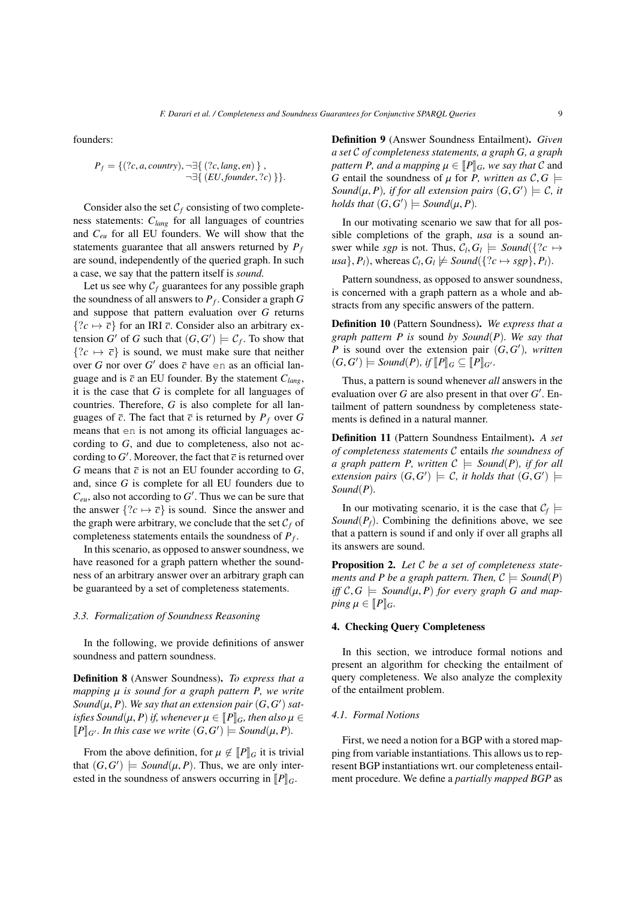founders:

$$
P_f = \{ (?c, a, country), \neg \exists \{ (?c, lang, en) \}, \neg \exists \{ (EU, founder, ?c) \} \}.
$$

Consider also the set  $C_f$  consisting of two completeness statements: *Clang* for all languages of countries and *Ceu* for all EU founders. We will show that the statements guarantee that all answers returned by *P<sup>f</sup>* are sound, independently of the queried graph. In such a case, we say that the pattern itself is *sound.*

Let us see why  $C_f$  guarantees for any possible graph the soundness of all answers to *P<sup>f</sup>* . Consider a graph *G* and suppose that pattern evaluation over *G* returns  ${?c \mapsto \overline{c}}$  for an IRI  $\overline{c}$ . Consider also an arbitrary extension *G'* of *G* such that  $(G, G') \models C_f$ . To show that  $\Omega^2 c \mapsto \overline{c} \setminus R$  is sound, we must make sure that neither  ${?c \mapsto \overline{c}}$  is sound, we must make sure that neither over *G* nor over *G*<sup> $\prime$ </sup> does  $\bar{c}$  have en as an official language and is  $\bar{c}$  an EU founder. By the statement  $C_{lang}$ , it is the case that *G* is complete for all languages of countries. Therefore, *G* is also complete for all languages of  $\overline{c}$ . The fact that  $\overline{c}$  is returned by  $P_f$  over  $G$ means that en is not among its official languages according to *G*, and due to completeness, also not according to  $G'$ . Moreover, the fact that  $\overline{c}$  is returned over *G* means that  $\bar{c}$  is not an EU founder according to *G*, and, since *G* is complete for all EU founders due to  $C_{eu}$ , also not according to  $G'$ . Thus we can be sure that the answer  $\{?c \mapsto \overline{c}\}$  is sound. Since the answer and the graph were arbitrary, we conclude that the set  $C_f$  of completeness statements entails the soundness of *P<sup>f</sup>* .

In this scenario, as opposed to answer soundness, we have reasoned for a graph pattern whether the soundness of an arbitrary answer over an arbitrary graph can be guaranteed by a set of completeness statements.

# *3.3. Formalization of Soundness Reasoning*

In the following, we provide definitions of answer soundness and pattern soundness.

Definition 8 (Answer Soundness). *To express that a mapping* µ *is sound for a graph pattern P, we write Sound*( $\mu$ , *P*). We say that an extension pair (*G*, *G'*) sat-<br>is fies Sound( $\mu$ , *P*) if whenever  $\mu \in \mathbb{P}$   $\mathbb{P}$  a then also  $\mu \in$ *isfies Sound*( $\mu$ , *P*) *if, whenever*  $\mu \in [P]_G$ *, then also*  $\mu \in$  $[P]$ <sub>*G'*</sub>. In this case we write  $(G, G') \models Sound(\mu, P)$ .

From the above definition, for  $\mu \notin [P]_G$  it is trivial that  $(G, G') \models Sound(\mu, P)$ . Thus, we are only inter-<br>ested in the soundness of answers occurring in  $\mathbb{P} \mathbb{P}_+$ ested in the soundness of answers occurring in  $\llbracket P \rrbracket_G$ .

Definition 9 (Answer Soundness Entailment). *Given a set* C *of completeness statements, a graph G, a graph pattern P, and a mapping*  $\mu \in [P]_G$ *, we say that* C and *G* entail the soundness of  $\mu$  for *P*, written as  $\mathcal{C}, G \models$ *Sound*( $\mu$ , *P*)*, if for all extension pairs*  $(G, G') \models C$ *, it*<br>holds that  $(G, G') \models$  Sound( $\mu$ , *P*)  $holds that (G, G') \models Sound(\mu, P).$ 

In our motivating scenario we saw that for all possible completions of the graph, *usa* is a sound answer while *sgp* is not. Thus,  $C_l$ ,  $G_l \models$  *Sound*({ $?c \mapsto$  *sgp*} $P_l$ ) whereas  $C_l$ ,  $G_l \not\models$  *Sound*({ $?c \mapsto$  *sgp*} $P_l$ ) *<i>sa*},  $P_l$ ), whereas  $C_l$ ,  $G_l \not\models$  *Sound*({?*c*  $\mapsto$  *sgp*},  $P_l$ ).

Pattern soundness, as opposed to answer soundness, is concerned with a graph pattern as a whole and abstracts from any specific answers of the pattern.

Definition 10 (Pattern Soundness). *We express that a graph pattern P is* sound *by Sound*(*P*)*. We say that P* is sound over the extension pair  $(G, G')$ , written<br> $(G, G') \models$  Sound(*P*) if  $\llbracket P \rrbracket_{\alpha} \subset \llbracket P \rrbracket_{\alpha}$  $(G, G') \models Sound(P), \text{ if } [P]_G \subseteq [P]_G'.$ 

Thus, a pattern is sound whenever *all* answers in the evaluation over  $G$  are also present in that over  $G'$ . Entailment of pattern soundness by completeness statements is defined in a natural manner.

Definition 11 (Pattern Soundness Entailment). *A set of completeness statements* C entails *the soundness of a graph pattern P, written*  $C \models$  *Sound*(*P*)*, if for all extension pairs*  $(G, G') \models C$ *, it holds that*  $(G, G') \models$ *Sound*(*P*)*.*

In our motivating scenario, it is the case that  $C_f$   $\models$ *Sound*( $P_f$ ). Combining the definitions above, we see that a pattern is sound if and only if over all graphs all its answers are sound.

<span id="page-8-1"></span>Proposition 2. *Let* C *be a set of completeness statements and P be a graph pattern. Then,*  $C \models Sound(P)$  $\text{if } C, G \models \text{Sound}(\mu, P) \text{ for every graph } G \text{ and map-}$ *ping*  $\mu \in [P]_G$ *.* 

# <span id="page-8-0"></span>4. Checking Query Completeness

In this section, we introduce formal notions and present an algorithm for checking the entailment of query completeness. We also analyze the complexity of the entailment problem.

#### <span id="page-8-2"></span>*4.1. Formal Notions*

First, we need a notion for a BGP with a stored mapping from variable instantiations. This allows us to represent BGP instantiations wrt. our completeness entailment procedure. We define a *partially mapped BGP* as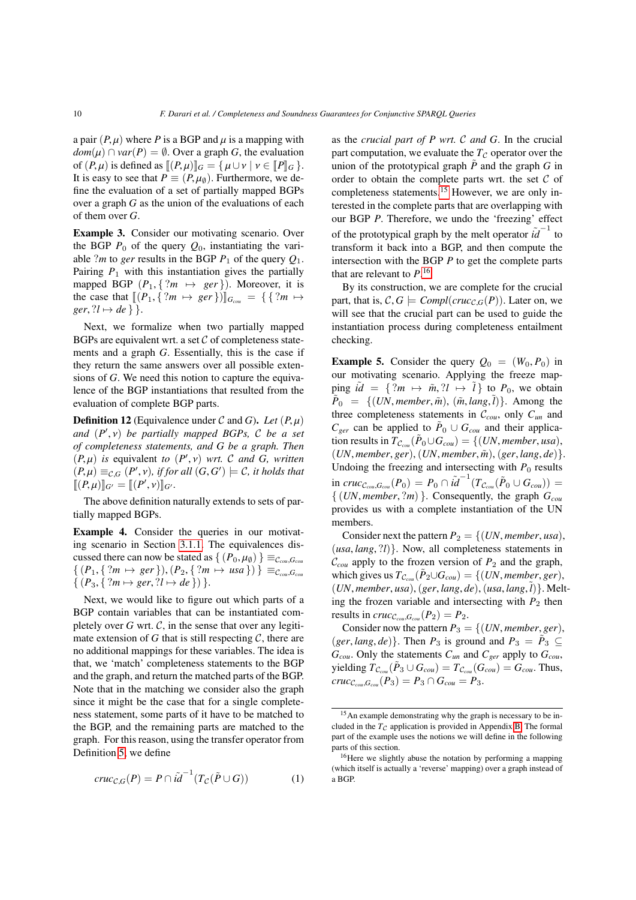a pair  $(P, \mu)$  where *P* is a BGP and  $\mu$  is a mapping with  $dom(\mu) \cap var(P) = \emptyset$ . Over a graph *G*, the evaluation of  $(P, \mu)$  is defined as  $[(P, \mu)]_G = {\mu \cup \nu \mid \nu \in [P]_G}$ . It is easy to see that  $P \equiv (P, \mu_{\emptyset})$ . Furthermore, we define the evaluation of a set of partially mapped BGPs over a graph *G* as the union of the evaluations of each of them over *G*.

Example 3. Consider our motivating scenario. Over the BGP  $P_0$  of the query  $Q_0$ , instantiating the variable ?*m* to *ger* results in the BGP  $P_1$  of the query  $Q_1$ . Pairing  $P_1$  with this instantiation gives the partially mapped BGP  $(P_1, \{ ?m \mapsto ger \})$ . Moreover, it is the case that  $[(P_1, \{?m \mapsto ger\})]_{G_{cou}} = \{\{?m \mapsto$  $ger, ?l \mapsto de$  } }.

Next, we formalize when two partially mapped BGPs are equivalent wrt. a set  $\mathcal C$  of completeness statements and a graph *G*. Essentially, this is the case if they return the same answers over all possible extensions of *G*. We need this notion to capture the equivalence of the BGP instantiations that resulted from the evaluation of complete BGP parts.

**Definition 12** (Equivalence under C and G). Let  $(P, \mu)$ *and*  $(P', v)$  *be partially mapped BGPs, C be a set of completeness statements and G be a graph Then of completeness statements, and G be a graph. Then*  $(P, \mu)$  *is* equivalent *to*  $(P', \nu)$  *wrt.* C *and G, written*<br> $(P, \mu) = \sigma e(P', \nu)$  *if for all*  $(G, G') \vdash C$  *it holds that*  $(P, \mu) \equiv_{\mathcal{C}, G} (P', \nu)$ , if for all  $(G, G') \models \mathcal{C}$ , it holds that  $\mathbb{F}(P, \mu)\mathbb{I}_{\alpha} = \mathbb{F}(P', \nu)\mathbb{I}_{\alpha}$  $[[(P,\mu)]]_{G'} = [[(P',\nu)]]_{G'}$ .

The above definition naturally extends to sets of partially mapped BGPs.

Example 4. Consider the queries in our motivating scenario in Section [3.1.1.](#page-5-5) The equivalences discussed there can now be stated as  $\{ (P_0, \mu_{\emptyset}) \} \equiv_{\mathcal{C}_{con}, G_{con}}$  $\{(P_1, \{?m \mapsto ger\}), (P_2, \{?m \mapsto usa\})\} \equiv_{C_{cou}, G_{cou}}$  $\{(P_3, \{?m \mapsto ger, ?l \mapsto de\})\}.$ 

Next, we would like to figure out which parts of a BGP contain variables that can be instantiated completely over  $G$  wrt.  $C$ , in the sense that over any legitimate extension of  $G$  that is still respecting  $C$ , there are no additional mappings for these variables. The idea is that, we 'match' completeness statements to the BGP and the graph, and return the matched parts of the BGP. Note that in the matching we consider also the graph since it might be the case that for a single completeness statement, some parts of it have to be matched to the BGP, and the remaining parts are matched to the graph. For this reason, using the transfer operator from Definition [5,](#page-4-1) we define

<span id="page-9-3"></span>
$$
cruc_{\mathcal{C},G}(P) = P \cap \tilde{id}^{-1}(T_{\mathcal{C}}(\tilde{P} \cup G))
$$
 (1)

as the *crucial part of P wrt.* C *and G*. In the crucial part computation, we evaluate the  $T_c$  operator over the union of the prototypical graph  $\tilde{P}$  and the graph *G* in order to obtain the complete parts wrt. the set  $C$  of completeness statements.[15](#page-9-0) However, we are only interested in the complete parts that are overlapping with our BGP *P*. Therefore, we undo the 'freezing' effect of the prototypical graph by the melt operator  $\tilde{i}d^{-1}$  to transform it back into a BGP, and then compute the intersection with the BGP *P* to get the complete parts that are relevant to  $P^{16}$  $P^{16}$  $P^{16}$ 

By its construction, we are complete for the crucial part, that is,  $C, G \models Compl(cruc_{C,G}(P))$ . Later on, we will see that the crucial part can be used to guide the instantiation process during completeness entailment checking.

<span id="page-9-2"></span>**Example 5.** Consider the query  $Q_0 = (W_0, P_0)$  in our motivating scenario. Applying the freeze mapping  $\tilde{u} = \{ ?m \mapsto \tilde{m}, ?l \mapsto \tilde{l} \}$  to  $P_0$ , we obtain  $\tilde{P}_0 = \{(UN, member, \tilde{m}), (\tilde{m}, lang, \tilde{l})\}.$  Among the three completeness statements in C*cou*, only *Cun* and  $C_{\text{ger}}$  can be applied to  $\tilde{P}_0 \cup G_{\text{cou}}$  and their application results in  $T_{\mathcal{C}_{con}}(\tilde{P}_0 \cup G_{con}) = \{(UN, member, usa),$ <br>(*IIN*, *member, aer*), (*IIN*, *member*,  $\tilde{m}$ ), (ger, lang, de)  $(UN, member, ger), (UN, member, \tilde{m}), (ger, lang, de)$ Undoing the freezing and intersecting with  $P_0$  results  $\text{in } \text{cruc}_{\text{Coul}}(P_0) = P_0 \cap \tilde{id}^{-1}(T_{\text{Coul}}(\tilde{P}_0 \cup G_{\text{coul}})) =$  $\{(UN, member, ?m)\}$ . Consequently, the graph  $G_{coul}$ <br>provides us with a complete instantiation of the UN provides us with a complete instantiation of the UN members.

Consider next the pattern  $P_2 = \{(UN, member, usa),\}$ (*usa*, *lang*, ?*l*)}. Now, all completeness statements in  $C_{\text{cou}}$  apply to the frozen version of  $P_2$  and the graph, which gives us  $T_{C_{coul}}(\tilde{P}_2 \cup G_{coul}) = \{(UN, member, ger), (UN, member, ger), (UN, member, uca), (gar, lang, de), (usal, ang, \tilde{P}_1)\}$ . Mal  $(UN, member, usa), (ger, lang, de), (usa, lang,  $\tilde{l}$ )}. Melt$ ing the frozen variable and intersecting with  $P_2$  then results in  $cruc_{\mathcal{C}_{cou}}$ ,  $G_{cou}$  ( $P_2$ ) =  $P_2$ .

Consider now the pattern  $P_3 = \{(UN, member, ger),\}$ (*ger*, *lang*, *de*)}. Then  $P_3$  is ground and  $P_3 = \tilde{P}_3$  ⊆  $G_{cou}$ . Only the statements  $C_{un}$  and  $C_{ger}$  apply to  $G_{cou}$ ,  $y$ ielding  $T_{C_{cou}}(\tilde{P}_3 \cup G_{cou}) = T_{C_{cou}}(G_{cou}) = G_{cou}$ . Thus,  $\mathit{cruc}_{\mathcal{C}_{\mathit{cou}}}, G_{\mathit{cou}}}(P_3) = P_3 \cap G_{\mathit{cou}} = P_3.$ 

<span id="page-9-0"></span><sup>15</sup>An example demonstrating why the graph is necessary to be included in the  $T_C$  application is provided in Appendix [B.](#page-34-0) The formal part of the example uses the notions we will define in the following parts of this section.

<span id="page-9-1"></span><sup>&</sup>lt;sup>16</sup>Here we slightly abuse the notation by performing a mapping (which itself is actually a 'reverse' mapping) over a graph instead of a BGP.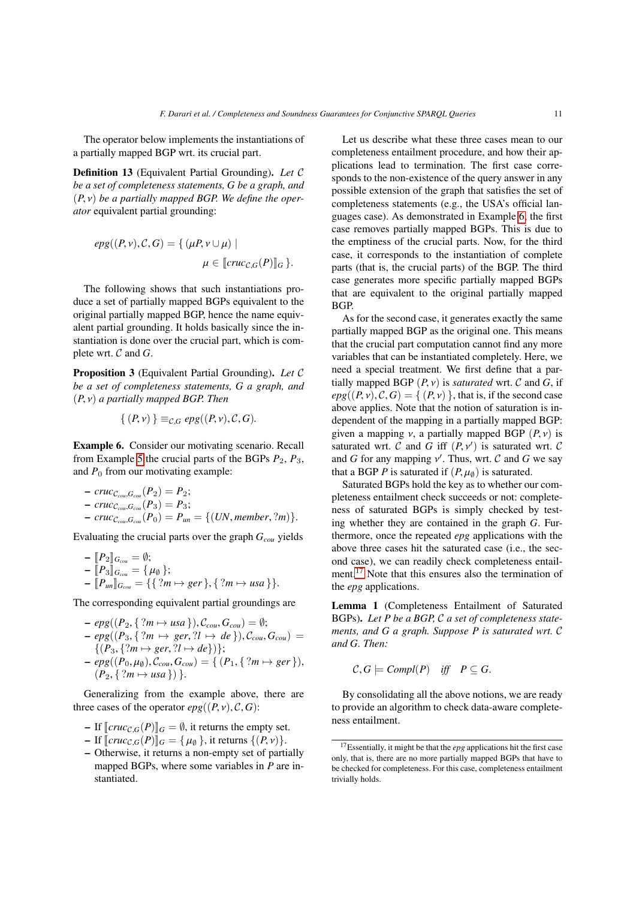The operator below implements the instantiations of a partially mapped BGP wrt. its crucial part.

Definition 13 (Equivalent Partial Grounding). *Let* C *be a set of completeness statements, G be a graph, and* (*P*, ν) *be a partially mapped BGP. We define the operator* equivalent partial grounding:

$$
epg((P,v), C, G) = \{ (\mu P, v \cup \mu) \mid
$$
  

$$
\mu \in [cruc_{C,G}(P)]_G \}.
$$

The following shows that such instantiations produce a set of partially mapped BGPs equivalent to the original partially mapped BGP, hence the name equivalent partial grounding. It holds basically since the instantiation is done over the crucial part, which is complete wrt. C and *G*.

<span id="page-10-2"></span>Proposition 3 (Equivalent Partial Grounding). *Let* C *be a set of completeness statements, G a graph, and* (*P*, ν) *a partially mapped BGP. Then*

$$
\{ (P, v) \} \equiv_{\mathcal{C}, G} \exp((P, v), \mathcal{C}, G).
$$

<span id="page-10-0"></span>Example 6. Consider our motivating scenario. Recall from Example [5](#page-9-2) the crucial parts of the BGPs  $P_2$ ,  $P_3$ , and  $P_0$  from our motivating example:

- 
$$
cruc_{C_{con},G_{con}}(P_2) = P_2;
$$
  
- 
$$
cruc_{C_{con},G_{con}}(P_3) = P_3;
$$
  
- 
$$
cruc_{C_{con},G_{con}}(P_0) = P_{un} = \{(UN, member, ?m)\}.
$$

Evaluating the crucial parts over the graph *Gcou* yields

$$
- [P2]Gcou = \emptyset;
$$
  
\n
$$
- [P3]Gcou = {\mu\emptyset};
$$
  
\n
$$
- [Pun]Gcou = {\{\Im m \mapsto ger\}, {\Im m \mapsto usa\}}.
$$

The corresponding equivalent partial groundings are

$$
- epg((P_2, \{?m \mapsto usa\}), C_{cou}, G_{cou}) = \emptyset; - epg((P_3, \{?m \mapsto ger, ?l \mapsto de\}), C_{cou}, G_{cou}) = \{(P_3, \{?m \mapsto ger, ?l \mapsto de\})\}; - epg((P_0, \mu_{\emptyset}), C_{cou}, G_{cou}) = \{(P_1, \{?m \mapsto ger\}), (P_2, \{?m \mapsto usa\})\}.
$$

Generalizing from the example above, there are three cases of the operator  $epg((P, v), C, G)$ :

- $-If$   $\llbracket cruc_{C,G}(P) \rrbracket_G = \emptyset$ , it returns the empty set.
- $-I$  If  $\llbracket \text{cruc}_{\mathcal{C},G}(P) \rrbracket_G = {\mu_{\emptyset}}$ , it returns  $\{(P, v)\}.$
- Otherwise, it returns a non-empty set of partially mapped BGPs, where some variables in *P* are instantiated.

Let us describe what these three cases mean to our completeness entailment procedure, and how their applications lead to termination. The first case corresponds to the non-existence of the query answer in any possible extension of the graph that satisfies the set of completeness statements (e.g., the USA's official languages case). As demonstrated in Example [6,](#page-10-0) the first case removes partially mapped BGPs. This is due to the emptiness of the crucial parts. Now, for the third case, it corresponds to the instantiation of complete parts (that is, the crucial parts) of the BGP. The third case generates more specific partially mapped BGPs that are equivalent to the original partially mapped BGP.

As for the second case, it generates exactly the same partially mapped BGP as the original one. This means that the crucial part computation cannot find any more variables that can be instantiated completely. Here, we need a special treatment. We first define that a partially mapped BGP  $(P, v)$  is *saturated* wrt. C and G, if  $epg((P, v), C, G) = \{ (P, v) \}$ , that is, if the second case above applies. Note that the notion of saturation is independent of the mapping in a partially mapped BGP: given a mapping  $\nu$ , a partially mapped BGP  $(P, \nu)$  is saturated wrt. C and G iff  $(P, v')$  is saturated wrt. C<br>and G for any manning  $v'$ . Thus, wrt. C and G we say and *G* for any mapping  $v'$ . Thus, wrt. *C* and *G* we say that a BGP *P* is saturated if  $(P, u_0)$  is saturated that a BGP *P* is saturated if  $(P, \mu_{\emptyset})$  is saturated.

Saturated BGPs hold the key as to whether our completeness entailment check succeeds or not: completeness of saturated BGPs is simply checked by testing whether they are contained in the graph *G*. Furthermore, once the repeated *epg* applications with the above three cases hit the saturated case (i.e., the second case), we can readily check completeness entail-ment.<sup>[17](#page-10-1)</sup> Note that this ensures also the termination of the *epg* applications.

<span id="page-10-3"></span>Lemma 1 (Completeness Entailment of Saturated BGPs). *Let P be a BGP,* C *a set of completeness statements, and G a graph. Suppose P is saturated wrt.* C *and G. Then:*

$$
C, G \models Compl(P) \quad \text{iff} \quad P \subseteq G.
$$

By consolidating all the above notions, we are ready to provide an algorithm to check data-aware completeness entailment.

<span id="page-10-1"></span><sup>17</sup>Essentially, it might be that the *epg* applications hit the first case only, that is, there are no more partially mapped BGPs that have to be checked for completeness. For this case, completeness entailment trivially holds.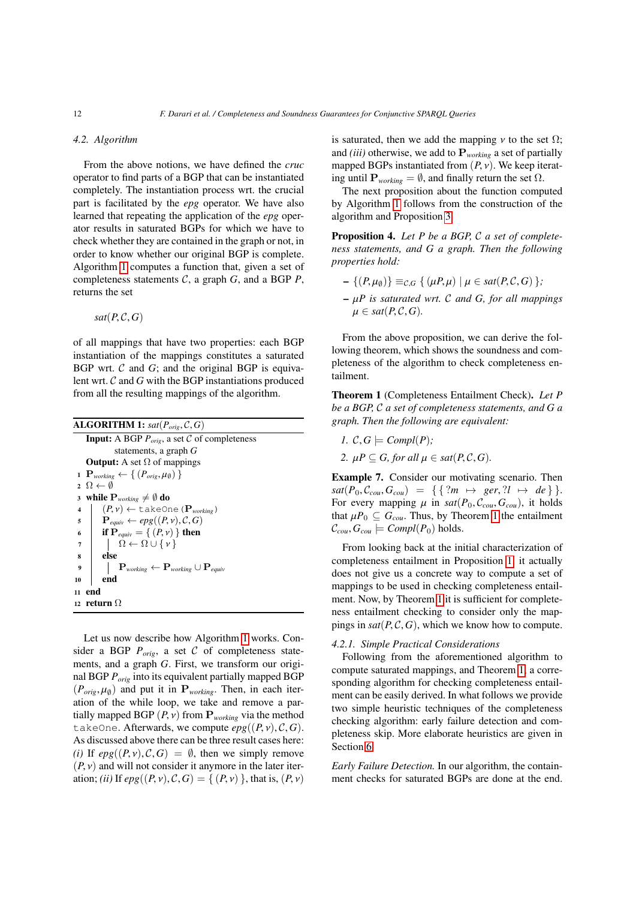# *4.2. Algorithm*

From the above notions, we have defined the *cruc* operator to find parts of a BGP that can be instantiated completely. The instantiation process wrt. the crucial part is facilitated by the *epg* operator. We have also learned that repeating the application of the *epg* operator results in saturated BGPs for which we have to check whether they are contained in the graph or not, in order to know whether our original BGP is complete. Algorithm [1](#page-11-0) computes a function that, given a set of completeness statements  $C$ , a graph  $G$ , and a BGP  $P$ , returns the set

 $sat(P, \mathcal{C}, G)$ 

of all mappings that have two properties: each BGP instantiation of the mappings constitutes a saturated BGP wrt. C and G; and the original BGP is equivalent wrt. C and *G* with the BGP instantiations produced from all the resulting mappings of the algorithm.

|                  | <b>ALGORITHM 1:</b> $sat(P_{orie}, C, G)$                                      |  |  |  |  |
|------------------|--------------------------------------------------------------------------------|--|--|--|--|
|                  | <b>Input:</b> A BGP $P_{orig}$ , a set C of completeness                       |  |  |  |  |
|                  | statements, a graph $G$                                                        |  |  |  |  |
|                  | <b>Output:</b> A set $\Omega$ of mappings                                      |  |  |  |  |
|                  | 1 $\mathbf{P}_{working} \leftarrow \{ (P_{orig}, \mu_{\emptyset}) \}$          |  |  |  |  |
|                  | $2 \Omega \leftarrow \emptyset$                                                |  |  |  |  |
|                  | 3 while $\mathbf{P}_{working} \neq \emptyset$ do                               |  |  |  |  |
| $\overline{4}$   | $(P, v) \leftarrow$ takeOne ( $\mathbf{P}_{working}$ )                         |  |  |  |  |
| 5                | $\mathbf{P}_{\text{equiv}} \leftarrow \text{epg}((P, \nu), C, G)$              |  |  |  |  |
| 6                | if $\mathbf{P}_{equiv} = \{ (P, v) \}$ then                                    |  |  |  |  |
| $\overline{7}$   | $\Omega \leftarrow \Omega \cup \{\nu\}$                                        |  |  |  |  |
| 8                | else                                                                           |  |  |  |  |
| $\boldsymbol{9}$ | $\mathbf{P}_{working} \leftarrow \mathbf{P}_{working} \cup \mathbf{P}_{equiv}$ |  |  |  |  |
| 10               | end                                                                            |  |  |  |  |
| 11               | end                                                                            |  |  |  |  |
|                  | 12 return $\Omega$                                                             |  |  |  |  |

<span id="page-11-0"></span>Let us now describe how Algorithm [1](#page-11-0) works. Consider a BGP  $P_{orig}$ , a set C of completeness statements, and a graph *G*. First, we transform our original BGP *Porig* into its equivalent partially mapped BGP  $(P_{orig}, \mu_{\emptyset})$  and put it in  $\mathbf{P}_{working}$ . Then, in each iteration of the while loop, we take and remove a partially mapped BGP  $(P, v)$  from  $\mathbf{P}_{working}$  via the method takeOne. Afterwards, we compute  $epg((P, v), C, G)$ . As discussed above there can be three result cases here: *(i)* If  $epg((P, v), C, G) = \emptyset$ , then we simply remove  $(P, v)$  and will not consider it anymore in the later iteration; *(ii)* If  $epg((P, v), C, G) = \{ (P, v) \}$ , that is,  $(P, v)$ 

is saturated, then we add the mapping  $\nu$  to the set  $\Omega$ ; and *(iii)* otherwise, we add to P*working* a set of partially mapped BGPs instantiated from  $(P, v)$ . We keep iterating until  $\mathbf{P}_{working} = \emptyset$ , and finally return the set  $\Omega$ .

The next proposition about the function computed by Algorithm [1](#page-11-0) follows from the construction of the algorithm and Proposition [3.](#page-10-2)

<span id="page-11-2"></span>Proposition 4. *Let P be a BGP,* C *a set of completeness statements, and G a graph. Then the following properties hold:*

- $\{ (P, \mu_{\emptyset}) \} \equiv_{\mathcal{C}, G} \{ (\mu P, \mu) | \mu \in \mathit{sat}(P, \mathcal{C}, G) \};$
- µ*<sup>P</sup> is saturated wrt.* <sup>C</sup> *and G, for all mappings*  $\mu \in sat(P, \mathcal{C}, G)$ .

From the above proposition, we can derive the following theorem, which shows the soundness and completeness of the algorithm to check completeness entailment.

<span id="page-11-1"></span>Theorem 1 (Completeness Entailment Check). *Let P be a BGP,* C *a set of completeness statements, and G a graph. Then the following are equivalent:*

- *1.*  $C$ *,*  $G \models Compl(P)$ *;*
- *2.*  $\mu P$  ⊆ *G, for all*  $\mu$  ∈ *sat*(*P, C, G*)*.*

Example 7. Consider our motivating scenario. Then  $sat(P_0, C_{cou}, G_{cou}) = \{ \{ ?m \mapsto ger, ?l \mapsto de \} \}.$ For every mapping  $\mu$  in  $sat(P_0, C_{cou}, G_{cou})$ , it holds that  $\mu P_0 \subseteq G_{\text{cou}}$ . Thus, by Theorem [1](#page-11-1) the entailment  $\mathcal{C}_{cou}$ ,  $G_{cou} \models Compl(P_0)$  holds.

From looking back at the initial characterization of completeness entailment in Proposition [1,](#page-7-1) it actually does not give us a concrete way to compute a set of mappings to be used in checking completeness entailment. Now, by Theorem [1](#page-11-1) it is sufficient for completeness entailment checking to consider only the mappings in  $sat(P, C, G)$ , which we know how to compute.

### *4.2.1. Simple Practical Considerations*

Following from the aforementioned algorithm to compute saturated mappings, and Theorem [1,](#page-11-1) a corresponding algorithm for checking completeness entailment can be easily derived. In what follows we provide two simple heuristic techniques of the completeness checking algorithm: early failure detection and completeness skip. More elaborate heuristics are given in Section [6.](#page-17-0)

*Early Failure Detection.* In our algorithm, the containment checks for saturated BGPs are done at the end.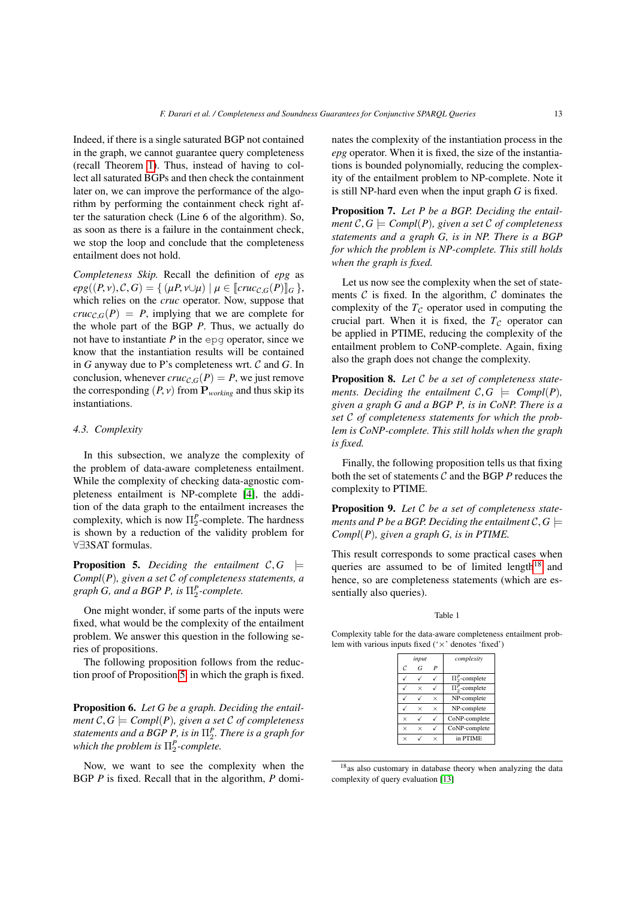Indeed, if there is a single saturated BGP not contained in the graph, we cannot guarantee query completeness (recall Theorem [1\)](#page-11-1). Thus, instead of having to collect all saturated BGPs and then check the containment later on, we can improve the performance of the algorithm by performing the containment check right after the saturation check (Line 6 of the algorithm). So, as soon as there is a failure in the containment check, we stop the loop and conclude that the completeness entailment does not hold.

*Completeness Skip.* Recall the definition of *epg* as  $epg((P, v), C, G) = \{ (\mu P, v \cup \mu) \mid \mu \in \llbracket \text{cruc}_{C, G}(P) \rrbracket_G \},\$ which relies on the *cruc* operator. Now, suppose that  $cruc_{C,G}(P) = P$ , implying that we are complete for the whole part of the BGP *P*. Thus, we actually do not have to instantiate *P* in the epg operator, since we know that the instantiation results will be contained in *G* anyway due to P's completeness wrt. C and *G*. In conclusion, whenever  $cruc_{\mathcal{C},G}(P) = P$ , we just remove the corresponding  $(P, v)$  from  $\mathbf{P}_{working}$  and thus skip its instantiations.

# *4.3. Complexity*

In this subsection, we analyze the complexity of the problem of data-aware completeness entailment. While the complexity of checking data-agnostic completeness entailment is NP-complete [\[4\]](#page-31-3), the addition of the data graph to the entailment increases the complexity, which is now  $\Pi_2^P$ -complete. The hardness is shown by a reduction of the validity problem for ∀∃3SAT formulas.

<span id="page-12-0"></span>**Proposition 5.** *Deciding the entailment*  $C, G$   $=$ *Compl*(*P*)*, given a set* C *of completeness statements, a*  $graph G$ , and a  $BGP P$ , is  $\Pi_2^P$ -complete.

One might wonder, if some parts of the inputs were fixed, what would be the complexity of the entailment problem. We answer this question in the following series of propositions.

The following proposition follows from the reduction proof of Proposition [5,](#page-12-0) in which the graph is fixed.

Proposition 6. *Let G be a graph. Deciding the entailment*  $C$ *,*  $G \models \text{Compl}(P)$ *, given a set* C *of completeness statements and a BGP P, is in* Π*<sup>P</sup>* 2 *. There is a graph for* which the problem is  $\Pi_2^P$ -complete.

Now, we want to see the complexity when the BGP *P* is fixed. Recall that in the algorithm, *P* dominates the complexity of the instantiation process in the *epg* operator. When it is fixed, the size of the instantiations is bounded polynomially, reducing the complexity of the entailment problem to NP-complete. Note it is still NP-hard even when the input graph *G* is fixed.

Proposition 7. *Let P be a BGP. Deciding the entailment*  $C$ *,*  $G \models Compl(P)$ *, given a set*  $C$  *of completeness statements and a graph G, is in NP. There is a BGP for which the problem is NP-complete. This still holds when the graph is fixed.*

Let us now see the complexity when the set of statements  $C$  is fixed. In the algorithm,  $C$  dominates the complexity of the  $T_c$  operator used in computing the crucial part. When it is fixed, the  $T_c$  operator can be applied in PTIME, reducing the complexity of the entailment problem to CoNP-complete. Again, fixing also the graph does not change the complexity.

Proposition 8. *Let* C *be a set of completeness statements. Deciding the entailment*  $\mathcal{C}, G \models \text{Compl}(P)$ *, given a graph G and a BGP P, is in CoNP. There is a set* C *of completeness statements for which the problem is CoNP-complete. This still holds when the graph is fixed.*

Finally, the following proposition tells us that fixing both the set of statements  $C$  and the BGP  $P$  reduces the complexity to PTIME.

Proposition 9. *Let* C *be a set of completeness statements and P be a BGP. Deciding the entailment*  $C, G \models$ *Compl*(*P*)*, given a graph G, is in PTIME.*

This result corresponds to some practical cases when queries are assumed to be of limited length<sup>[18](#page-12-1)</sup> and hence, so are completeness statements (which are essentially also queries).

Table 1

<span id="page-12-2"></span>Complexity table for the data-aware completeness entailment problem with various inputs fixed  $(\forall x$  denotes 'fixed')

| input    |          |          | complexity          |
|----------|----------|----------|---------------------|
| C        | G        | P        |                     |
|          |          |          | $\Pi_2^P$ -complete |
|          | $\times$ |          | $\Pi_2^P$ -complete |
|          |          | ×        | NP-complete         |
|          | $\times$ | $\times$ | NP-complete         |
| $\times$ |          |          | CoNP-complete       |
| $\times$ | ×        |          | CoNP-complete       |
| $\times$ |          | $\times$ | in PTIME            |

<span id="page-12-1"></span><sup>18</sup>as also customary in database theory when analyzing the data complexity of query evaluation [\[13\]](#page-32-1)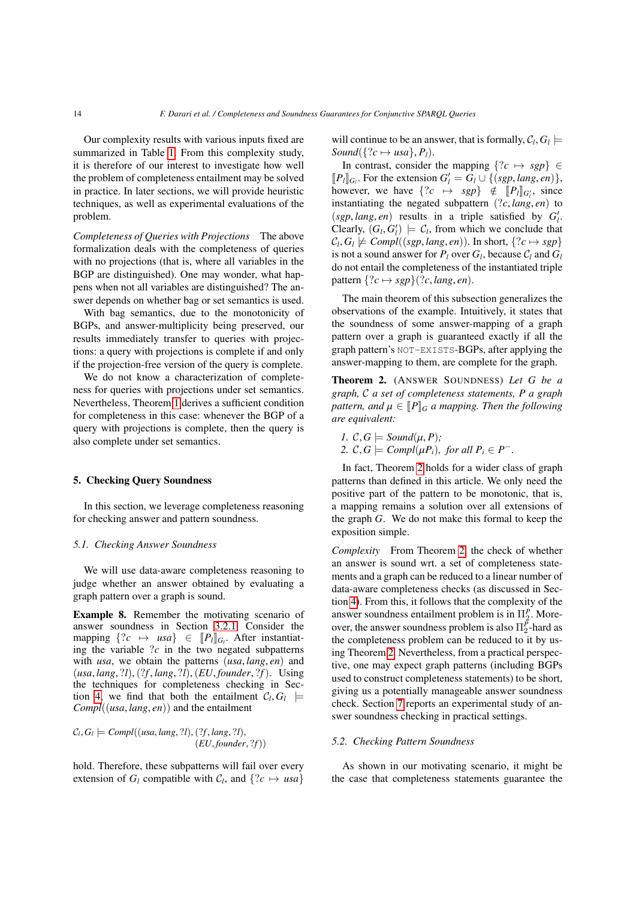Our complexity results with various inputs fixed are summarized in Table [1.](#page-12-2) From this complexity study, it is therefore of our interest to investigate how well the problem of completeness entailment may be solved in practice. In later sections, we will provide heuristic techniques, as well as experimental evaluations of the problem.

*Completeness of Queries with Projections* The above formalization deals with the completeness of queries with no projections (that is, where all variables in the BGP are distinguished). One may wonder, what happens when not all variables are distinguished? The answer depends on whether bag or set semantics is used.

With bag semantics, due to the monotonicity of BGPs, and answer-multiplicity being preserved, our results immediately transfer to queries with projections: a query with projections is complete if and only if the projection-free version of the query is complete.

We do not know a characterization of completeness for queries with projections under set semantics. Nevertheless, Theorem [1](#page-11-1) derives a sufficient condition for completeness in this case: whenever the BGP of a query with projections is complete, then the query is also complete under set semantics.

# <span id="page-13-0"></span>5. Checking Query Soundness

In this section, we leverage completeness reasoning for checking answer and pattern soundness.

# *5.1. Checking Answer Soundness*

We will use data-aware completeness reasoning to judge whether an answer obtained by evaluating a graph pattern over a graph is sound.

Example 8. Remember the motivating scenario of answer soundness in Section [3.2.1.](#page-7-2) Consider the mapping  $\{?c \mapsto usa\} \in [P_l]_{G_l}$ . After instantiat-<br>ing the variable  $?c$  in the two negated subpatterns ing the variable ?*c* in the two negated subpatterns with *usa*, we obtain the patterns (*usa*, *lang*, *en*) and (*usa*, *lang*, ?*l*),(?*<sup>f</sup>* , *lang*, ?*l*),(*EU*, *founder*, ?*f*). Using the techniques for completeness checking in Section [4,](#page-8-0) we find that both the entailment C*<sup>l</sup>* ,*Gl* |= *Compl*((*usa*, *lang*, *en*)) and the entailment

 $C_l, G_l \models Compl((usa, lang, ?l), (?f, lang, ?l),$ (*EU*, *founder*, ?*f*))

hold. Therefore, these subpatterns will fail over every extension of  $G_l$  compatible with  $C_l$ , and  $\{?c \mapsto usa\}$ 

will continue to be an answer, that is formally,  $C_l$ ,  $G_l$   $\models$ <br>Sound( $\Omega_c \mapsto \mu s a \cdot P_l$ .) *Sound*( ${?c \mapsto usa}$ , *P*<sub>*l*</sub>).

In contrast, consider the mapping  $\{?c \mapsto sgp\} \in$  $\llbracket P_l \rrbracket_{G_l}$ . For the extension  $G_l' = G_l \cup \{(sgp, lang, en)\},$ <br>however, we have  $J_c^2 \leftrightarrow sgn \downarrow d \parallel P_l \parallel_{G_l}$  since however, we have {?*<sup>c</sup>* 7→ *sgp*} <sup>∈</sup>/ <sup>J</sup>*P<sup>l</sup>*K*<sup>G</sup>*<sup>0</sup> *l* , since instantiating the negated subpattern (?*c*, *lang*, *en*) to  $(sgp, lang, en)$  results in a triple satisfied by  $G'_i$ .<br>Clearly  $(G, G') \models C$ , from which we conclude that Clearly,  $(G_l, G_l') \models C_l$ , from which we conclude that  $C \subseteq G_l \not\models \text{Compl}((\text{sgn} \text{ } \text{lang} \text{ } \text{gn}))$ . In short  $f \circ C_l \mapsto \text{sgn}$  $\mathcal{C}_l$ ,  $G_l \not\models \text{Compl}((sgp, lang, en)).$  In short,  $\{?c \mapsto sgp\}$ <br>is not a sound answer for  $P_l$  over  $G_l$ , because  $C_l$  and  $G_l$ is not a sound answer for  $P_l$  over  $G_l$ , because  $C_l$  and  $G_l$ do not entail the completeness of the instantiated triple pattern  $\{?c \mapsto sgp\}$  (?*c*, *lang*, *en*).

The main theorem of this subsection generalizes the observations of the example. Intuitively, it states that the soundness of some answer-mapping of a graph pattern over a graph is guaranteed exactly if all the graph pattern's NOT-EXISTS-BGPs, after applying the answer-mapping to them, are complete for the graph.

<span id="page-13-1"></span>Theorem 2. (ANSWER SOUNDNESS) *Let G be a graph,* C *a set of completeness statements, P a graph pattern, and*  $\mu \in [P]_G$  *a mapping. Then the following are equivalent:*

1. 
$$
C, G \models Sound(\mu, P)
$$
;  
2.  $C, G \models Compl(\mu, P)$  for all P

2.  $C, G \models Compl(\mu P_i)$ *, for all*  $P_i \in P^-$ *.* 

In fact, Theorem [2](#page-13-1) holds for a wider class of graph patterns than defined in this article. We only need the positive part of the pattern to be monotonic, that is, a mapping remains a solution over all extensions of the graph *G*. We do not make this formal to keep the exposition simple.

*Complexity* From Theorem [2,](#page-13-1) the check of whether an answer is sound wrt. a set of completeness statements and a graph can be reduced to a linear number of data-aware completeness checks (as discussed in Section [4\)](#page-8-0). From this, it follows that the complexity of the answer soundness entailment problem is in  $\Pi_2^P$ . Moreover, the answer soundness problem is also  $\Pi_2^P$ -hard as the completeness problem can be reduced to it by using Theorem [2.](#page-13-1) Nevertheless, from a practical perspective, one may expect graph patterns (including BGPs used to construct completeness statements) to be short, giving us a potentially manageable answer soundness check. Section [7](#page-22-0) reports an experimental study of answer soundness checking in practical settings.

### *5.2. Checking Pattern Soundness*

As shown in our motivating scenario, it might be the case that completeness statements guarantee the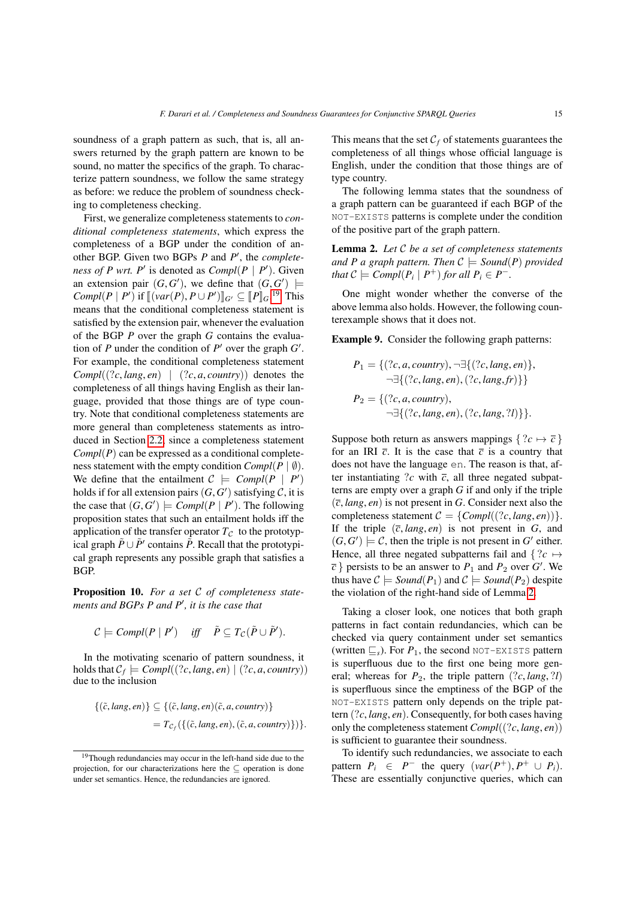soundness of a graph pattern as such, that is, all answers returned by the graph pattern are known to be sound, no matter the specifics of the graph. To characterize pattern soundness, we follow the same strategy as before: we reduce the problem of soundness checking to completeness checking.

First, we generalize completeness statements to *conditional completeness statements*, which express the completeness of a BGP under the condition of another BGP. Given two BGPs *P* and *P'*, the *completeness of P wrt. P*<sup> $\prime$ </sup> is denoted as *Compl*( $P \mid P'$ ). Given an extension pair  $(G, G')$ , we define that  $(G, G') \models$ <br>Compl( $B \mid B'$ ) if  $\mathbb{F}(\text{var}(B) \mid B \cap B') \mathbb{F}_{\text{var}} \subset \mathbb{F}P \mathbb{F}_{\text{var}}$  <sup>19</sup> This *Compl*(*P* | *P*<sup> $\prime$ </sup>) if  $[(var(P), P \cup P')]_{G'} \subseteq [P]_G$ .<sup>[19](#page-14-0)</sup> This means that the conditional completeness statement is satisfied by the extension pair, whenever the evaluation of the BGP *P* over the graph *G* contains the evaluation of *P* under the condition of  $P'$  over the graph  $G'$ . For example, the conditional completeness statement *Compl*( $(?c, \text{lang}, \text{en})$  |  $(?c, a, \text{countrv})$  denotes the completeness of all things having English as their language, provided that those things are of type country. Note that conditional completeness statements are more general than completeness statements as introduced in Section [2.2,](#page-4-2) since a completeness statement  $Compl(P)$  can be expressed as a conditional completeness statement with the empty condition  $Compl(P | \emptyset)$ . We define that the entailment  $C \models Compl(P \mid P')$ holds if for all extension pairs  $(G, G')$  satisfying C, it is<br>the case that  $(G, G') \models Comp1(P \mid P')$ . The following the case that  $(G, G') \models Compl(P | P')$ . The following<br>proposition states that such an entailment holds iff the proposition states that such an entailment holds iff the application of the transfer operator  $T_c$  to the prototypical graph  $\tilde{P} \cup \tilde{P}'$  contains  $\tilde{P}$ . Recall that the prototypical graph represents any possible graph that satisfies a BGP.

<span id="page-14-2"></span>Proposition 10. *For a set* C *of completeness statements and BGPs P and P* 0 *, it is the case that*

$$
C \models Compl(P \mid P') \quad \text{iff} \quad \tilde{P} \subseteq T_{\mathcal{C}}(\tilde{P} \cup \tilde{P}').
$$

In the motivating scenario of pattern soundness, it holds that  $C_f \models Compl((?c, lang, en) \mid (?c, a, country))$ <br>due to the inclusion due to the inclusion

$$
\begin{aligned} \{(\tilde{c}, \text{lang}, \text{en})\} &\subseteq \{(\tilde{c}, \text{lang}, \text{en})(\tilde{c}, a, \text{country})\} \\ &= T_{\mathcal{C}_f}(\{(\tilde{c}, \text{lang}, \text{en}), (\tilde{c}, a, \text{country})\})\}. \end{aligned}
$$

This means that the set  $C_f$  of statements guarantees the completeness of all things whose official language is English, under the condition that those things are of type country.

The following lemma states that the soundness of a graph pattern can be guaranteed if each BGP of the NOT-EXISTS patterns is complete under the condition of the positive part of the graph pattern.

<span id="page-14-1"></span>Lemma 2. *Let* C *be a set of completeness statements and P a* graph pattern. Then  $C \models$  *Sound*(*P*) *provided that*  $C \models Compl(P_i \mid P^+)$  *for all*  $P_i \in P^-$ *.* 

One might wonder whether the converse of the above lemma also holds. However, the following counterexample shows that it does not.

Example 9. Consider the following graph patterns:

$$
P_1 = \{ (?c, a, country), \neg \exists \{ (?c, lang, en) \},\n\neg \exists \{ (?c, lang, en), (?c, lang, fr) \} \}
$$
\n
$$
P_2 = \{ (?c, a, country),\n\neg \exists \{ (?c, lang, en), (?c, lang, ?l) \} \}.
$$

Suppose both return as answers mappings  $\{?c \mapsto \overline{c}\}$ for an IRI  $\bar{c}$ . It is the case that  $\bar{c}$  is a country that does not have the language en. The reason is that, after instantiating  $\partial c$  with  $\overline{c}$ , all three negated subpatterns are empty over a graph *G* if and only if the triple  $(\overline{c}, \text{lang}, \text{en})$  is not present in *G*. Consider next also the completeness statement  $C = \{Compl((?c, lang, en))\}.$ If the triple  $(\overline{c}, \text{lang}, \text{en})$  is not present in *G*, and  $(G, G') \models C$ , then the triple is not present in *G'* either.<br>Hence, all three pegated subpatterns fail and  $\frac{f}{c}$ Hence, all three negated subpatterns fail and  $\{?c \mapsto$  $\overline{c}$ } persists to be an answer to  $P_1$  and  $P_2$  over *G'*. We thus have  $C \models Sound(P_1)$  and  $C \models Sound(P_2)$  despite the violation of the right-hand side of Lemma [2.](#page-14-1)

Taking a closer look, one notices that both graph patterns in fact contain redundancies, which can be checked via query containment under set semantics (written  $\mathbb{Z}_s$ ). For  $P_1$ , the second NOT-EXISTS pattern is superfluous due to the first one being more general; whereas for  $P_2$ , the triple pattern  $(?c, lang, ?l)$ is superfluous since the emptiness of the BGP of the NOT-EXISTS pattern only depends on the triple pattern (?*c*, *lang*, *en*). Consequently, for both cases having only the completeness statement *Compl*((?*c*, *lang*, *en*)) is sufficient to guarantee their soundness.

To identify such redundancies, we associate to each pattern  $P_i \in P^-$  the query  $(var(P^+), P^+ \cup P_i)$ .<br>These are essentially conjunctive queries, which can These are essentially conjunctive queries, which can

<span id="page-14-0"></span><sup>19</sup>Though redundancies may occur in the left-hand side due to the projection, for our characterizations here the  $\subseteq$  operation is done under set semantics. Hence, the redundancies are ignored.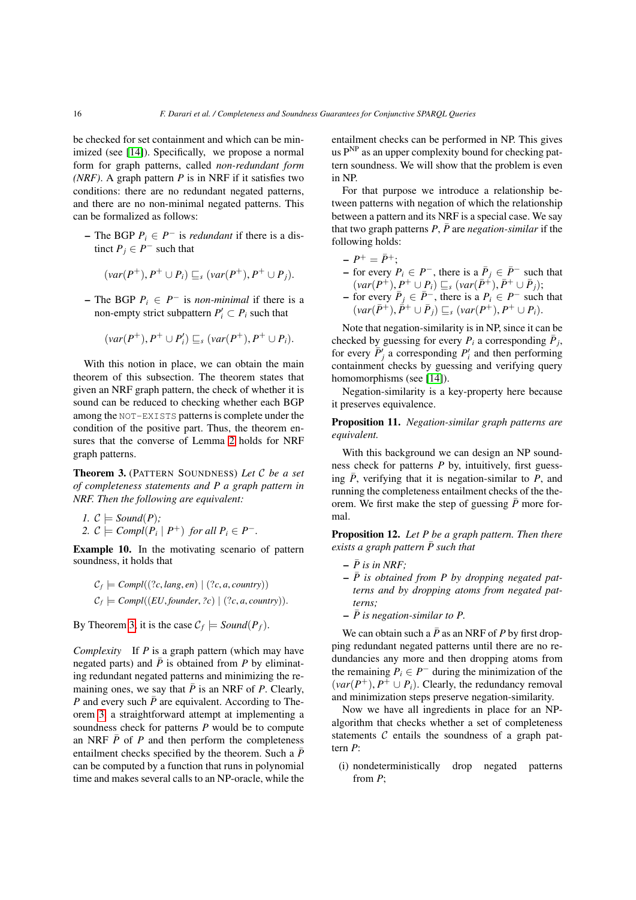be checked for set containment and which can be minimized (see [\[14\]](#page-32-2)). Specifically, we propose a normal form for graph patterns, called *non-redundant form (NRF)*. A graph pattern *P* is in NRF if it satisfies two conditions: there are no redundant negated patterns, and there are no non-minimal negated patterns. This can be formalized as follows:

− The BGP  $P_i$  ∈  $P^-$  is *redundant* if there is a distinct  $P_j \in P^-$  such that

$$
(var(P^+), P^+ \cup P_i) \sqsubseteq_s (var(P^+), P^+ \cup P_j).
$$

 $\blacksquare$  The BGP  $P_i$  ∈  $P^-$  is *non-minimal* if there is a non-empty strict subpattern  $P'_i \subset P_i$  such that

$$
(var(P^+), P^+ \cup P'_i) \sqsubseteq_s (var(P^+), P^+ \cup P_i).
$$

With this notion in place, we can obtain the main theorem of this subsection. The theorem states that given an NRF graph pattern, the check of whether it is sound can be reduced to checking whether each BGP among the NOT-EXISTS patterns is complete under the condition of the positive part. Thus, the theorem ensures that the converse of Lemma [2](#page-14-1) holds for NRF graph patterns.

<span id="page-15-0"></span>Theorem 3. (PATTERN SOUNDNESS) *Let* C *be a set of completeness statements and P a graph pattern in NRF. Then the following are equivalent:*

\n- $$
C \models Sound(P);
$$
\n- $C \models Compl(P_i \mid P^+)$  for all  $P_i \in P^-$ .
\n

Example 10. In the motivating scenario of pattern soundness, it holds that

$$
C_f
$$
 |= Compl((?c, lang, en) | (?c, a, country))  
 $C_f$  |= Compl((EU, founder, ?c) | (?c, a, country)).

By Theorem [3,](#page-15-0) it is the case  $\mathcal{C}_f \models \text{Sound}(P_f)$ .

*Complexity* If *P* is a graph pattern (which may have negated parts) and  $\overline{P}$  is obtained from *P* by eliminating redundant negated patterns and minimizing the remaining ones, we say that  $\overline{P}$  is an NRF of *P*. Clearly, *P* and every such  $\bar{P}$  are equivalent. According to Theorem [3,](#page-15-0) a straightforward attempt at implementing a soundness check for patterns *P* would be to compute an NRF  $\bar{P}$  of  $P$  and then perform the completeness entailment checks specified by the theorem. Such a  $\bar{P}$ can be computed by a function that runs in polynomial time and makes several calls to an NP-oracle, while the entailment checks can be performed in NP. This gives us  $P<sup>NP</sup>$  as an upper complexity bound for checking pattern soundness. We will show that the problem is even in NP.

For that purpose we introduce a relationship between patterns with negation of which the relationship between a pattern and its NRF is a special case. We say that two graph patterns  $P$ ,  $\bar{P}$  are *negation-similar* if the following holds:

- $-P^+ = \bar{P}^+;$
- $-$  for every  $P_i \in P^-$ , there is a  $\overline{P}_j \in \overline{P}^-$  such that  $\left(\text{var}(P^+), P^+ \cup P_i\right) \sqsubseteq_s (\text{var}(\overline{P^+}), \overline{P^+} \cup \overline{P_j});$ <br>
– for every  $\overline{P}_j \in \overline{P^-}$ , there is a  $P_i \in P^-$  such that  $(var(\bar{P}^+), \bar{P}^+ \cup \bar{P}_j) \sqsubseteq_s (var(P^+), P^+ \cup P_i).$

Note that negation-similarity is in NP, since it can be checked by guessing for every  $P_i$  a corresponding  $\overline{P}_j$ , for every  $\overline{P}'_j$  a corresponding  $P'_i$  and then performing containment checks by guessing and verifying query homomorphisms (see [\[14\]](#page-32-2)).

Negation-similarity is a key-property here because it preserves equivalence.

<span id="page-15-1"></span>Proposition 11. *Negation-similar graph patterns are equivalent.*

With this background we can design an NP soundness check for patterns *P* by, intuitively, first guessing  $\bar{P}$ , verifying that it is negation-similar to  $P$ , and running the completeness entailment checks of the theorem. We first make the step of guessing  $\bar{P}$  more formal.

Proposition 12. *Let P be a graph pattern. Then there exists a graph pattern*  $\overline{P}$  *such that* 

- $\bar{P}$  *is in NRF*;
- $-\bar{P}$  *is obtained from P by dropping negated patterns and by dropping atoms from negated patterns;*
- $\bar{P}$  *is negation-similar to*  $P$ .

We can obtain such a  $\bar{P}$  as an NRF of *P* by first dropping redundant negated patterns until there are no redundancies any more and then dropping atoms from the remaining  $P_i \in P^-$  during the minimization of the  $(var(P^+), P^+ \cup P_i)$ . Clearly, the redundancy removal and minimization steps preserve peoption-similarity and minimization steps preserve negation-similarity.

Now we have all ingredients in place for an NPalgorithm that checks whether a set of completeness statements  $C$  entails the soundness of a graph pattern *P*:

(i) nondeterministically drop negated patterns from *P*;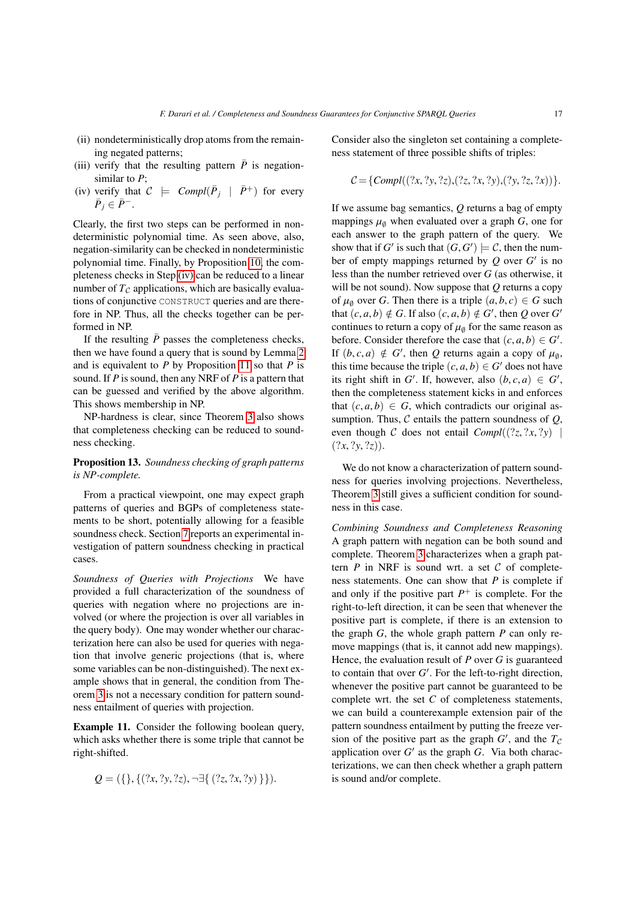- (ii) nondeterministically drop atoms from the remaining negated patterns;
- (iii) verify that the resulting pattern  $\overline{P}$  is negationsimilar to *P*;
- <span id="page-16-0"></span>(iv) verify that  $C \models Compl(\bar{P}_j | \bar{P}^+)$  for every  $\bar{P}_j$  ∈  $\bar{P}^-$ .

Clearly, the first two steps can be performed in nondeterministic polynomial time. As seen above, also, negation-similarity can be checked in nondeterministic polynomial time. Finally, by Proposition [10,](#page-14-2) the completeness checks in Step [\(iv\)](#page-16-0) can be reduced to a linear number of  $T_c$  applications, which are basically evaluations of conjunctive CONSTRUCT queries and are therefore in NP. Thus, all the checks together can be performed in NP.

If the resulting  $\bar{P}$  passes the completeness checks, then we have found a query that is sound by Lemma [2](#page-14-1) and is equivalent to *P* by Proposition [11](#page-15-1) so that *P* is sound. If *P* is sound, then any NRF of *P* is a pattern that can be guessed and verified by the above algorithm. This shows membership in NP.

NP-hardness is clear, since Theorem [3](#page-15-0) also shows that completeness checking can be reduced to soundness checking.

# Proposition 13. *Soundness checking of graph patterns is NP-complete.*

From a practical viewpoint, one may expect graph patterns of queries and BGPs of completeness statements to be short, potentially allowing for a feasible soundness check. Section [7](#page-22-0) reports an experimental investigation of pattern soundness checking in practical cases.

*Soundness of Queries with Projections* We have provided a full characterization of the soundness of queries with negation where no projections are involved (or where the projection is over all variables in the query body). One may wonder whether our characterization here can also be used for queries with negation that involve generic projections (that is, where some variables can be non-distinguished). The next example shows that in general, the condition from Theorem [3](#page-15-0) is not a necessary condition for pattern soundness entailment of queries with projection.

Example 11. Consider the following boolean query, which asks whether there is some triple that cannot be right-shifted.

$$
Q = (\{\}, \{ (?x, ?y, ?z), \neg \exists \{ (?z, ?x, ?y) \} \}).
$$

Consider also the singleton set containing a completeness statement of three possible shifts of triples:

$$
C = \{ Compl((?x, ?y, ?z), (?z, ?x, ?y), (?y, ?z, ?x))\}.
$$

If we assume bag semantics, *Q* returns a bag of empty mappings  $\mu_{\emptyset}$  when evaluated over a graph *G*, one for each answer to the graph pattern of the query. We show that if *G'* is such that  $(G, G') \models C$ , then the num-<br>her of empty mappings returned by *O* over *G'* is no ber of empty mappings returned by  $Q$  over  $G'$  is no less than the number retrieved over *G* (as otherwise, it will be not sound). Now suppose that *Q* returns a copy of  $\mu_{\emptyset}$  over *G*. Then there is a triple  $(a, b, c) \in G$  such that  $(c, a, b) \notin G$ . If also  $(c, a, b) \notin G'$ , then *Q* over *G*<sup>*'*</sup> continues to return a copy of  $u<sub>z</sub>$  for the same reason as continues to return a copy of  $\mu_{\emptyset}$  for the same reason as before. Consider therefore the case that  $(c, a, b) \in G'$ .<br>If  $(b, c, a) \notin G'$ , then  $O$  returns again a conv of  $u_0$ . If  $(b, c, a) \notin G'$ , then *Q* returns again a copy of  $\mu_{\emptyset}$ ,<br>this time because the triple  $(c, a, b) \in G'$  does not have this time because the triple  $(c, a, b) \in G'$  does not have<br>its right shift in  $G'$ . If however, also  $(b, c, a) \in G'$ its right shift in *G'*. If, however, also  $(b, c, a) \in G'$ , then the completeness statement kicks in and enforces then the completeness statement kicks in and enforces that  $(c, a, b) \in G$ , which contradicts our original assumption. Thus, C entails the pattern soundness of *Q*, even though C does not entail  $Compl((?z, ?x, ?y)$  $(?x, ?y, ?z).$ 

We do not know a characterization of pattern soundness for queries involving projections. Nevertheless, Theorem [3](#page-15-0) still gives a sufficient condition for soundness in this case.

*Combining Soundness and Completeness Reasoning* A graph pattern with negation can be both sound and complete. Theorem [3](#page-15-0) characterizes when a graph pattern  $P$  in NRF is sound wrt. a set  $C$  of completeness statements. One can show that *P* is complete if and only if the positive part  $P^+$  is complete. For the right-to-left direction, it can be seen that whenever the positive part is complete, if there is an extension to the graph *G*, the whole graph pattern *P* can only remove mappings (that is, it cannot add new mappings). Hence, the evaluation result of *P* over *G* is guaranteed to contain that over  $G'$ . For the left-to-right direction, whenever the positive part cannot be guaranteed to be complete wrt. the set *C* of completeness statements, we can build a counterexample extension pair of the pattern soundness entailment by putting the freeze version of the positive part as the graph  $G'$ , and the  $T_C$ application over  $G'$  as the graph  $G$ . Via both characterizations, we can then check whether a graph pattern is sound and/or complete.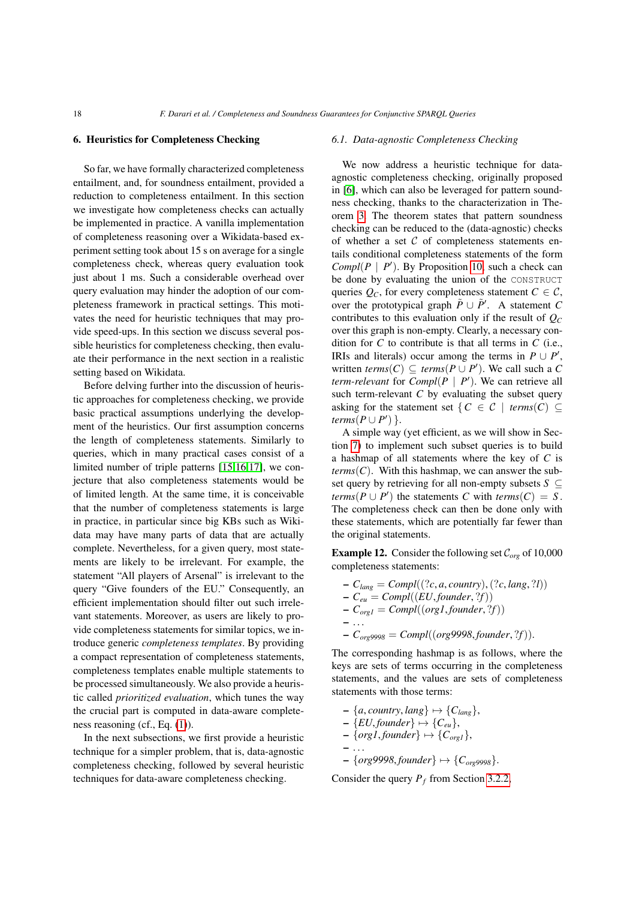#### <span id="page-17-0"></span>6. Heuristics for Completeness Checking

So far, we have formally characterized completeness entailment, and, for soundness entailment, provided a reduction to completeness entailment. In this section we investigate how completeness checks can actually be implemented in practice. A vanilla implementation of completeness reasoning over a Wikidata-based experiment setting took about 15 s on average for a single completeness check, whereas query evaluation took just about 1 ms. Such a considerable overhead over query evaluation may hinder the adoption of our completeness framework in practical settings. This motivates the need for heuristic techniques that may provide speed-ups. In this section we discuss several possible heuristics for completeness checking, then evaluate their performance in the next section in a realistic setting based on Wikidata.

Before delving further into the discussion of heuristic approaches for completeness checking, we provide basic practical assumptions underlying the development of the heuristics. Our first assumption concerns the length of completeness statements. Similarly to queries, which in many practical cases consist of a limited number of triple patterns [\[15](#page-32-3)[,16](#page-32-4)[,17\]](#page-32-5), we conjecture that also completeness statements would be of limited length. At the same time, it is conceivable that the number of completeness statements is large in practice, in particular since big KBs such as Wikidata may have many parts of data that are actually complete. Nevertheless, for a given query, most statements are likely to be irrelevant. For example, the statement "All players of Arsenal" is irrelevant to the query "Give founders of the EU." Consequently, an efficient implementation should filter out such irrelevant statements. Moreover, as users are likely to provide completeness statements for similar topics, we introduce generic *completeness templates*. By providing a compact representation of completeness statements, completeness templates enable multiple statements to be processed simultaneously. We also provide a heuristic called *prioritized evaluation*, which tunes the way the crucial part is computed in data-aware completeness reasoning (cf., Eq. [\(1\)](#page-9-3)).

In the next subsections, we first provide a heuristic technique for a simpler problem, that is, data-agnostic completeness checking, followed by several heuristic techniques for data-aware completeness checking.

#### <span id="page-17-1"></span>*6.1. Data-agnostic Completeness Checking*

We now address a heuristic technique for dataagnostic completeness checking, originally proposed in [\[6\]](#page-31-5), which can also be leveraged for pattern soundness checking, thanks to the characterization in Theorem [3.](#page-15-0) The theorem states that pattern soundness checking can be reduced to the (data-agnostic) checks of whether a set  $C$  of completeness statements entails conditional completeness statements of the form *Compl*( $P \mid P'$ ). By Proposition [10,](#page-14-2) such a check can be done by evaluating the union of the CONSTRUCT queries  $Q_C$ , for every completeness statement  $C \in \mathcal{C}$ , over the prototypical graph  $\tilde{P} \cup \tilde{P}'$ . A statement *C* contributes to this evaluation only if the result of  $O<sub>C</sub>$ over this graph is non-empty. Clearly, a necessary condition for *C* to contribute is that all terms in *C* (i.e., IRIs and literals) occur among the terms in  $P \cup P'$ , written *terms*( $C$ )  $\subseteq$  *terms*( $P \cup P'$ ). We call such a  $C$ *term-relevant* for  $Compl(P | P')$ . We can retrieve all such term-relevant *C* by evaluating the subset query asking for the statement set  $\{C \in \mathcal{C} \mid \text{terms}(C) \subseteq \mathcal{C} \}$  $terms(P \cup P')$  }.

A simple way (yet efficient, as we will show in Section [7\)](#page-22-0) to implement such subset queries is to build a hashmap of all statements where the key of *C* is  $terms(C)$ . With this hashmap, we can answer the subset query by retrieving for all non-empty subsets  $S \subseteq$  $terms(P \cup P')$  the statements *C* with  $terms(C) = S$ . The completeness check can then be done only with these statements, which are potentially far fewer than the original statements.

**Example 12.** Consider the following set  $C_{org}$  of 10,000 completeness statements:

 $-C_{lang} = Compl((?c, a, country), (?c, lang, ?l))$  $-C_{eu} = Compl((EU, founder, ?f))$  $-C_{\text{org1}} = Compl((\text{org1}, \text{founder}, ?f))$  $\dots$  $-C_{\text{ore9998}} = Compl((\text{org9998}, \text{founder}, ?f)).$ 

The corresponding hashmap is as follows, where the keys are sets of terms occurring in the completeness statements, and the values are sets of completeness statements with those terms:

- {*a*, country, lang} 
$$
\mapsto
$$
 {*C*<sub>lang</sub>},  
- {*EU*, *founder*}  $\mapsto$  {*C*<sub>eu</sub>},  
- {*org1*, *founder*}  $\mapsto$  {*C*<sub>org1</sub>},  
- ...  
- {*arc9998 fourder*}  $\mapsto$  {*C*<sub>org1</sub>},

– {*org9998*, *founder*} 7→ {*Corg9998*}.

Consider the query *P<sup>f</sup>* from Section [3.2.2,](#page-7-3)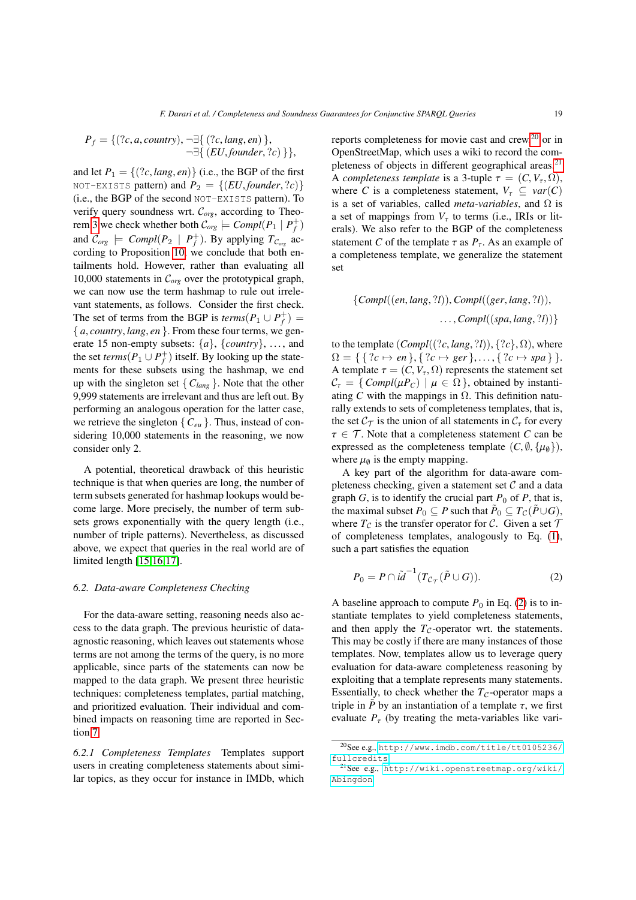$$
P_f = \{ (?c, a, country), \neg \exists \{ (?c, lang, en) \}, \neg \exists \{ (EU, founder, ?c) \} \},
$$

and let  $P_1 = \{(?c, lang, en)\}$  (i.e., the BGP of the first NOT-EXISTS pattern) and  $P_2 = \{(EU, founder, ?c)\}$ (i.e., the BGP of the second NOT-EXISTS pattern). To verify query soundness wrt. C*org*, according to Theo-rem [3](#page-15-0) we check whether both  $\mathcal{C}_{org} \models Compl(P_1 \mid P_f^+)$ and  $C_{org} \models Compl(P_2 \mid P_f^+)$ . By applying  $T_{C_{org}}$  according to Proposition [10,](#page-14-2) we conclude that both entailments hold. However, rather than evaluating all 10,000 statements in C*org* over the prototypical graph, we can now use the term hashmap to rule out irrelevant statements, as follows. Consider the first check. The set of terms from the BGP is  $terms(P_1 \cup P_f^+) =$ { *<sup>a</sup>*, *country*, *lang*, *en* }. From these four terms, we generate 15 non-empty subsets:  $\{a\}$ ,  $\{country\}$ , ..., and the set *terms*( $P_1 \cup P_f^+$ ) itself. By looking up the statements for these subsets using the hashmap, we end up with the singleton set {*Clang* }. Note that the other 9,999 statements are irrelevant and thus are left out. By performing an analogous operation for the latter case, we retrieve the singleton  ${C_{eu}}$ . Thus, instead of considering 10,000 statements in the reasoning, we now consider only 2.

A potential, theoretical drawback of this heuristic technique is that when queries are long, the number of term subsets generated for hashmap lookups would become large. More precisely, the number of term subsets grows exponentially with the query length (i.e., number of triple patterns). Nevertheless, as discussed above, we expect that queries in the real world are of limited length [\[15](#page-32-3)[,16](#page-32-4)[,17\]](#page-32-5).

#### <span id="page-18-3"></span>*6.2. Data-aware Completeness Checking*

For the data-aware setting, reasoning needs also access to the data graph. The previous heuristic of dataagnostic reasoning, which leaves out statements whose terms are not among the terms of the query, is no more applicable, since parts of the statements can now be mapped to the data graph. We present three heuristic techniques: completeness templates, partial matching, and prioritized evaluation. Their individual and combined impacts on reasoning time are reported in Section [7.](#page-22-0)

*6.2.1 Completeness Templates* Templates support users in creating completeness statements about similar topics, as they occur for instance in IMDb, which reports completeness for movie cast and crew,  $20$  or in OpenStreetMap, which uses a wiki to record the com-pleteness of objects in different geographical areas.<sup>[21](#page-18-1)</sup> A *completeness template* is a 3-tuple  $\tau = (C, V_\tau, \Omega)$ , where *C* is a completeness statement,  $V_\tau \subseteq \text{var}(C)$ is a set of variables, called *meta-variables*, and  $\Omega$  is a set of mappings from  $V<sub>\tau</sub>$  to terms (i.e., IRIs or literals). We also refer to the BGP of the completeness statement *C* of the template  $\tau$  as  $P_{\tau}$ . As an example of a completeness template, we generalize the statement set

$$
{\sf[Compl((en,lang, ?l)), Compl((ger,lang, ?l)),..., Compl((spa,lang, ?l))}
$$

to the template  $(Compl((?c, lang, ?l)), {?c}, \Omega)$ , where  $\Omega = \{ \{ ?c \mapsto en \}, \{ ?c \mapsto ger \}, \ldots, \{ ?c \mapsto spa \} \}.$ A template  $\tau = (C, V_\tau, \Omega)$  represents the statement set  $C_{\tau} = \{ Compl(\mu P_C) \mid \mu \in \Omega \}$ , obtained by instantiating *C* with the mappings in  $\Omega$ . This definition naturally extends to sets of completeness templates, that is, the set  $C_{\tau}$  is the union of all statements in  $C_{\tau}$  for every  $\tau \in \mathcal{T}$ . Note that a completeness statement *C* can be expressed as the completeness template  $(C, \emptyset, \{\mu_{\emptyset}\})$ , where  $\mu_{\emptyset}$  is the empty mapping.

A key part of the algorithm for data-aware completeness checking, given a statement set  $\mathcal C$  and a data graph *G*, is to identify the crucial part  $P_0$  of  $P$ , that is, the maximal subset  $P_0 \subseteq P$  such that  $\tilde{P}_0 \subseteq T_{\mathcal{C}}(\tilde{P} \cup G)$ , where  $T_c$  is the transfer operator for C. Given a set  $T_c$ of completeness templates, analogously to Eq. [\(1\)](#page-9-3), such a part satisfies the equation

<span id="page-18-2"></span>
$$
P_0 = P \cap \tilde{id}^{-1}(T_{\mathcal{C}_\mathcal{T}}(\tilde{P} \cup G)).
$$
 (2)

A baseline approach to compute  $P_0$  in Eq. [\(2\)](#page-18-2) is to instantiate templates to yield completeness statements, and then apply the  $T_C$ -operator wrt. the statements. This may be costly if there are many instances of those templates. Now, templates allow us to leverage query evaluation for data-aware completeness reasoning by exploiting that a template represents many statements. Essentially, to check whether the  $T<sub>C</sub>$ -operator maps a triple in  $\tilde{P}$  by an instantiation of a template  $\tau$ , we first evaluate  $P_{\tau}$  (by treating the meta-variables like vari-

<span id="page-18-0"></span><sup>20</sup>See e.g., [http://www.imdb.com/title/tt0105236/](http://www.imdb.com/title/tt0105236/fullcredits) [fullcredits](http://www.imdb.com/title/tt0105236/fullcredits)

<span id="page-18-1"></span><sup>21</sup>See e.g., [http://wiki.openstreetmap.org/wiki/](http://wiki.openstreetmap.org/wiki/Abingdon) [Abingdon](http://wiki.openstreetmap.org/wiki/Abingdon)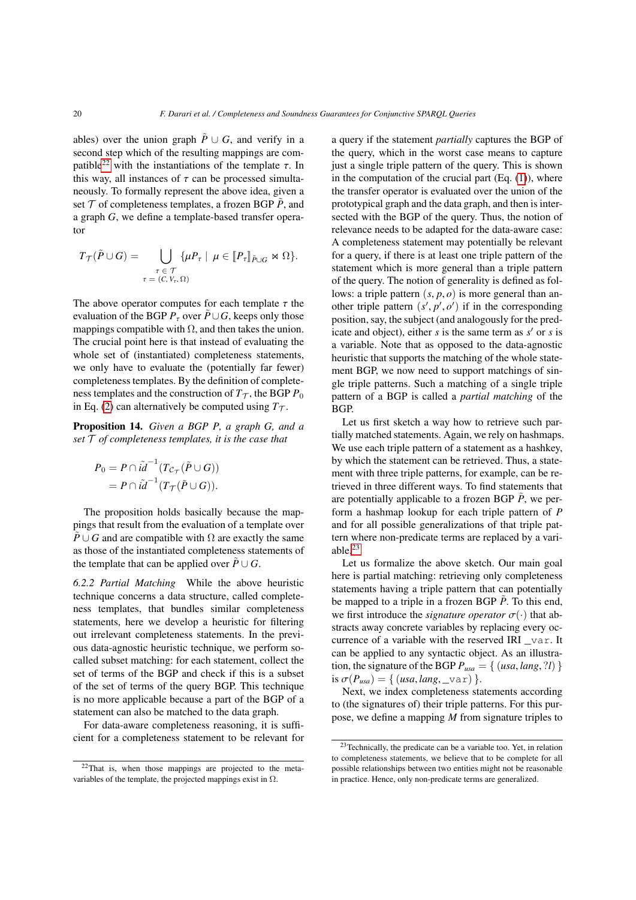ables) over the union graph  $\tilde{P} \cup G$ , and verify in a second step which of the resulting mappings are com-patible<sup>[22](#page-19-0)</sup> with the instantiations of the template  $\tau$ . In this way, all instances of  $\tau$  can be processed simultaneously. To formally represent the above idea, given a set  $T$  of completeness templates, a frozen BGP  $\tilde{P}$ , and a graph *G*, we define a template-based transfer operator

$$
T_{\mathcal{T}}(\tilde{P} \cup G) = \bigcup_{\substack{\tau \in \mathcal{T} \\ \tau = (C, V_{\tau}, \Omega)}} \{\mu P_{\tau} \mid \mu \in [P_{\tau}]_{\tilde{P} \cup G} \bowtie \Omega\}.
$$

The above operator computes for each template  $\tau$  the evaluation of the BGP  $P_{\tau}$  over  $\tilde{P} \cup G$ , keeps only those mappings compatible with  $\Omega$ , and then takes the union. The crucial point here is that instead of evaluating the whole set of (instantiated) completeness statements, we only have to evaluate the (potentially far fewer) completeness templates. By the definition of completeness templates and the construction of  $T_{\tau}$ , the BGP  $P_0$ in Eq. [\(2\)](#page-18-2) can alternatively be computed using  $T_{\tau}$ .

Proposition 14. *Given a BGP P, a graph G, and a set* T *of completeness templates, it is the case that*

$$
P_0 = P \cap \tilde{id}^{-1}(T_{\mathcal{C}_\mathcal{T}}(\tilde{P} \cup G))
$$
  
= 
$$
P \cap \tilde{id}^{-1}(T_{\mathcal{T}}(\tilde{P} \cup G)).
$$

The proposition holds basically because the mappings that result from the evaluation of a template over  $P \cup G$  and are compatible with  $\Omega$  are exactly the same as those of the instantiated completeness statements of the template that can be applied over  $\tilde{P} \cup G$ .

*6.2.2 Partial Matching* While the above heuristic technique concerns a data structure, called completeness templates, that bundles similar completeness statements, here we develop a heuristic for filtering out irrelevant completeness statements. In the previous data-agnostic heuristic technique, we perform socalled subset matching: for each statement, collect the set of terms of the BGP and check if this is a subset of the set of terms of the query BGP. This technique is no more applicable because a part of the BGP of a statement can also be matched to the data graph.

For data-aware completeness reasoning, it is sufficient for a completeness statement to be relevant for a query if the statement *partially* captures the BGP of the query, which in the worst case means to capture just a single triple pattern of the query. This is shown in the computation of the crucial part  $(Eq. (1))$  $(Eq. (1))$  $(Eq. (1))$ , where the transfer operator is evaluated over the union of the prototypical graph and the data graph, and then is intersected with the BGP of the query. Thus, the notion of relevance needs to be adapted for the data-aware case: A completeness statement may potentially be relevant for a query, if there is at least one triple pattern of the statement which is more general than a triple pattern of the query. The notion of generality is defined as follows: a triple pattern (*s*, *<sup>p</sup>*, *<sup>o</sup>*) is more general than another triple pattern  $(s', p', o')$  if in the corresponding<br>position say the subject (and analogously for the predposition, say, the subject (and analogously for the predicate and object), either  $s$  is the same term as  $s'$  or  $s$  is a variable. Note that as opposed to the data-agnostic heuristic that supports the matching of the whole statement BGP, we now need to support matchings of single triple patterns. Such a matching of a single triple pattern of a BGP is called a *partial matching* of the BGP.

Let us first sketch a way how to retrieve such partially matched statements. Again, we rely on hashmaps. We use each triple pattern of a statement as a hashkey, by which the statement can be retrieved. Thus, a statement with three triple patterns, for example, can be retrieved in three different ways. To find statements that are potentially applicable to a frozen BGP  $\tilde{P}$ , we perform a hashmap lookup for each triple pattern of *P* and for all possible generalizations of that triple pattern where non-predicate terms are replaced by a variable.[23](#page-19-1)

Let us formalize the above sketch. Our main goal here is partial matching: retrieving only completeness statements having a triple pattern that can potentially be mapped to a triple in a frozen BGP  $\tilde{P}$ . To this end, we first introduce the *signature operator*  $\sigma(\cdot)$  that abstracts away concrete variables by replacing every occurrence of a variable with the reserved IRI \_var. It can be applied to any syntactic object. As an illustration, the signature of the BGP  $P_{usa} = \{ (usa, lang, ?l) \}$ is  $\sigma(P_{usa}) = \{ (usa, lang, \text{var}) \}.$ 

Next, we index completeness statements according to (the signatures of) their triple patterns. For this purpose, we define a mapping *M* from signature triples to

<span id="page-19-0"></span><sup>22</sup>That is, when those mappings are projected to the metavariables of the template, the projected mappings exist in  $\Omega$ .

<span id="page-19-1"></span><sup>&</sup>lt;sup>23</sup>Technically, the predicate can be a variable too. Yet, in relation to completeness statements, we believe that to be complete for all possible relationships between two entities might not be reasonable in practice. Hence, only non-predicate terms are generalized.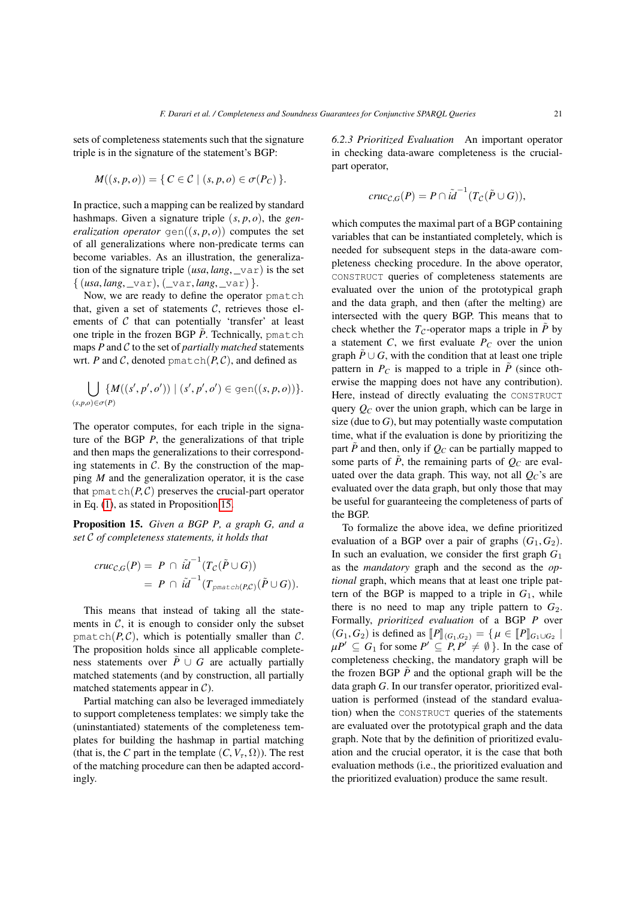sets of completeness statements such that the signature triple is in the signature of the statement's BGP:

$$
M((s, p, o)) = \{ C \in C \mid (s, p, o) \in \sigma(P_C) \}.
$$

In practice, such a mapping can be realized by standard hashmaps. Given a signature triple (*s*, *<sup>p</sup>*, *<sup>o</sup>*), the *generalization operator*  $gen((s, p, o))$  computes the set of all generalizations where non-predicate terms can become variables. As an illustration, the generalization of the signature triple (*usa*, *lang*, \_var) is the set { (*usa*, *lang*, \_var), (\_var, *lang*, \_var) }.

Now, we are ready to define the operator pmatch that, given a set of statements  $C$ , retrieves those elements of  $C$  that can potentially 'transfer' at least one triple in the frozen BGP  $\tilde{P}$ . Technically, pmatch maps  $P$  and  $C$  to the set of *partially matched* statements wrt. *P* and *C*, denoted pmatch( $P$ ,  $C$ ), and defined as

$$
\bigcup_{(s,p,o)\in\sigma(P)}\{M((s',p',o'))\mid (s',p',o')\in\text{gen}((s,p,o))\}.
$$

The operator computes, for each triple in the signature of the BGP *P*, the generalizations of that triple and then maps the generalizations to their corresponding statements in  $C$ . By the construction of the mapping *M* and the generalization operator, it is the case that  $p_{\text{mat}}(P, C)$  preserves the crucial-part operator in Eq. [\(1\)](#page-9-3), as stated in Proposition [15.](#page-20-0)

<span id="page-20-0"></span>Proposition 15. *Given a BGP P, a graph G, and a set* C *of completeness statements, it holds that*

$$
cruc_{\mathcal{C},G}(P) = P \cap \tilde{id}^{-1}(T_{\mathcal{C}}(\tilde{P} \cup G))
$$
  
=  $P \cap \tilde{id}^{-1}(T_{pmatch(P,C)}(\tilde{P} \cup G)).$ 

This means that instead of taking all the statements in  $C$ , it is enough to consider only the subset pmatch( $P, C$ ), which is potentially smaller than  $C$ . The proposition holds since all applicable completeness statements over  $\tilde{P} \cup G$  are actually partially matched statements (and by construction, all partially matched statements appear in  $C$ ).

Partial matching can also be leveraged immediately to support completeness templates: we simply take the (uninstantiated) statements of the completeness templates for building the hashmap in partial matching (that is, the *C* part in the template  $(C, V_\tau, \Omega)$ ). The rest of the matching procedure can then be adapted accordingly.

*6.2.3 Prioritized Evaluation* An important operator in checking data-aware completeness is the crucialpart operator,

$$
cruc_{\mathcal{C},G}(P) = P \cap \tilde{id}^{-1}(T_{\mathcal{C}}(\tilde{P} \cup G)),
$$

which computes the maximal part of a BGP containing variables that can be instantiated completely, which is needed for subsequent steps in the data-aware completeness checking procedure. In the above operator, CONSTRUCT queries of completeness statements are evaluated over the union of the prototypical graph and the data graph, and then (after the melting) are intersected with the query BGP. This means that to check whether the  $T_c$ -operator maps a triple in  $\ddot{P}$  by a statement *C*, we first evaluate  $P_C$  over the union graph  $\overline{P} \cup G$ , with the condition that at least one triple pattern in  $P_C$  is mapped to a triple in  $\tilde{P}$  (since otherwise the mapping does not have any contribution). Here, instead of directly evaluating the CONSTRUCT query  $Q_C$  over the union graph, which can be large in size (due to  $G$ ), but may potentially waste computation time, what if the evaluation is done by prioritizing the part  $\hat{P}$  and then, only if  $Q_C$  can be partially mapped to some parts of  $\tilde{P}$ , the remaining parts of  $Q_C$  are evaluated over the data graph. This way, not all  $Q_C$ 's are evaluated over the data graph, but only those that may be useful for guaranteeing the completeness of parts of the BGP.

To formalize the above idea, we define prioritized evaluation of a BGP over a pair of graphs  $(G_1, G_2)$ . In such an evaluation, we consider the first graph  $G_1$ as the *mandatory* graph and the second as the *optional* graph, which means that at least one triple pattern of the BGP is mapped to a triple in  $G_1$ , while there is no need to map any triple pattern to  $G_2$ . Formally, *prioritized evaluation* of a BGP *P* over  $(G_1, G_2)$  is defined as  $[\![P]\!]_{(G_1, G_2)} = \{ \mu \in [\![P]\!]_{G_1 \cup G_2} \mid \mu \in G_2 \}$  $\mu P' \subseteq G_1$  for some  $P' \subseteq P, P' \neq \emptyset$ . In the case of completeness checking the mandatory graph will be completeness checking, the mandatory graph will be the frozen BGP  $\tilde{P}$  and the optional graph will be the data graph *G*. In our transfer operator, prioritized evaluation is performed (instead of the standard evaluation) when the CONSTRUCT queries of the statements are evaluated over the prototypical graph and the data graph. Note that by the definition of prioritized evaluation and the crucial operator, it is the case that both evaluation methods (i.e., the prioritized evaluation and the prioritized evaluation) produce the same result.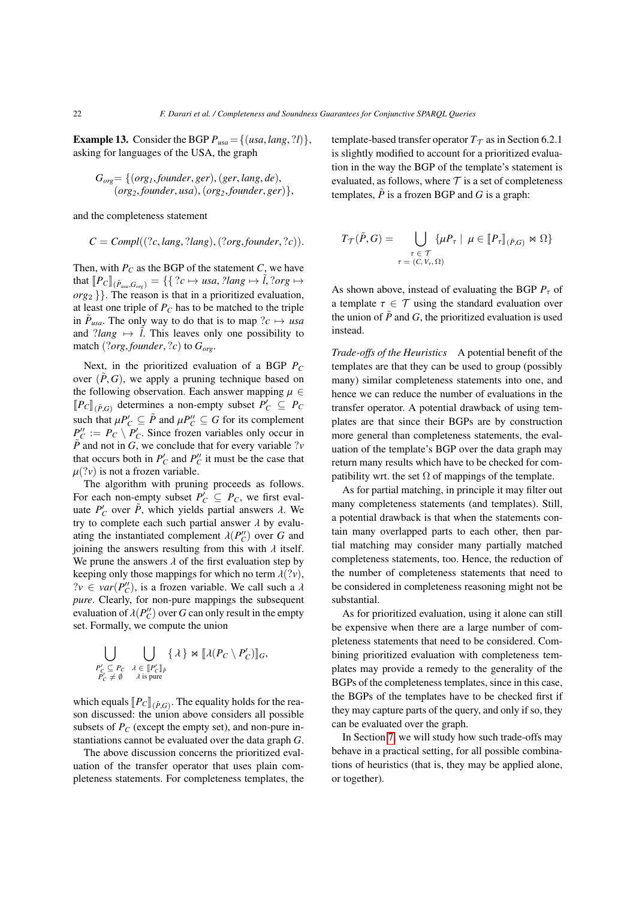**Example 13.** Consider the BGP  $P_{usa} = \{(usa, lang, ?l)\}\,$ asking for languages of the USA, the graph

$$
G_{org} = \{(org_1, founder, ger), (ger, lang, de), (org_2, founder, usa), (org_2, founder, ger)\},\
$$

and the completeness statement

$$
C = Compl((?c, lang, ?lang), (?org, founder, ?c)).
$$

Then, with  $P_C$  as the BGP of the statement *C*, we have that  $[P_C]_{(\tilde{P}_{usa}, G_{org})} = \{ \{ ?c \mapsto usa, ?lang \mapsto \tilde{l}, ?org \mapsto \emptyset \}$ *org*<sup>2</sup> }}. The reason is that in a prioritized evaluation, at least one triple of  $P_C$  has to be matched to the triple in  $\tilde{P}_{usa}$ . The only way to do that is to map  $?c \mapsto usa$ and  $?lang \mapsto \tilde{l}$ . This leaves only one possibility to match  $($ *?org, founder, ?c*) to  $G_{\text{ore}}$ .

Next, in the prioritized evaluation of a BGP *P<sup>C</sup>* over  $(\tilde{P}, G)$ , we apply a pruning technique based on the following observation. Each answer mapping  $\mu \in$  $[P_C]$ ( $\bar{P}_C$ *,G*) determines a non-empty subset  $P'_C$  ⊆  $P_C$ such that  $\mu P_C' \subseteq \tilde{P}$  and  $\mu P_C'' \subseteq G$  for its complement  $P'' := P_G \setminus P'$  Since frozen variables only occur in  $P''_c := P_c \setminus P'_c$ . Since frozen variables only occur in  $\tilde{P}$  and not in *G*, we conclude that for every variable ?*v* that occurs both in  $P'_C$  and  $P''_C$  it must be the case that  $\mu$ (?*v*) is not a frozen variable.

The algorithm with pruning proceeds as follows. For each non-empty subset  $P'_C \subseteq P_C$ , we first evaluate  $P'_C$  over  $\tilde{P}$ , which yields partial answers  $\lambda$ . We<br>try to complete each such partial answer  $\lambda$  by evalutry to complete each such partial answer  $\lambda$  by evaluating the instantiated complement  $\lambda(P''_C)$  over *G* and<br>ioning the answers resulting from this with *L* itself joining the answers resulting from this with  $\lambda$  itself. We prune the answers  $\lambda$  of the first evaluation step by keeping only those mappings for which no term  $\lambda$ (?*v*),  $?v \in var(P''_C)$ , is a frozen variable. We call such a  $\lambda$ <br>*pure*, Clearly, for non-pure mannings the subsequent *pure*. Clearly, for non-pure mappings the subsequent evaluation of  $\lambda(P''_C)$  over *G* can only result in the empty set. Formally, we compute the union set. Formally, we compute the union

$$
\bigcup_{\substack{P'_C \subseteq P_C \\ P'_C \neq \emptyset}} \bigcup_{\substack{\lambda \in [P'_C]_{\tilde{P}} \\ \lambda \text{ is pure}}} \{\lambda\} \bowtie [\![\lambda(P_C \setminus P'_C)]\!]_G,
$$

which equals  $[\![P_C]\!]_{(\tilde{P},G)}$ . The equality holds for the rea-<br>son discussed: the union above considers all possible son discussed: the union above considers all possible subsets of  $P_C$  (except the empty set), and non-pure instantiations cannot be evaluated over the data graph *G*.

The above discussion concerns the prioritized evaluation of the transfer operator that uses plain completeness statements. For completeness templates, the template-based transfer operator  $T_{\tau}$  as in Section 6.2.1 is slightly modified to account for a prioritized evaluation in the way the BGP of the template's statement is evaluated, as follows, where  $\mathcal T$  is a set of completeness templates,  $\tilde{P}$  is a frozen BGP and *G* is a graph:

$$
T_{\mathcal{T}}(\tilde{P}, G) = \bigcup_{\substack{\tau \in \mathcal{T} \\ \tau = (C, V_{\tau}, \Omega)}} \{\mu P_{\tau} \mid \mu \in [P_{\tau}]]_{(\tilde{P}, G)} \bowtie \Omega\}
$$

As shown above, instead of evaluating the BGP  $P<sub>\tau</sub>$  of a template  $\tau \in \mathcal{T}$  using the standard evaluation over the union of  $\tilde{P}$  and  $G$ , the prioritized evaluation is used instead.

*Trade-offs of the Heuristics* A potential benefit of the templates are that they can be used to group (possibly many) similar completeness statements into one, and hence we can reduce the number of evaluations in the transfer operator. A potential drawback of using templates are that since their BGPs are by construction more general than completeness statements, the evaluation of the template's BGP over the data graph may return many results which have to be checked for compatibility wrt. the set  $\Omega$  of mappings of the template.

As for partial matching, in principle it may filter out many completeness statements (and templates). Still, a potential drawback is that when the statements contain many overlapped parts to each other, then partial matching may consider many partially matched completeness statements, too. Hence, the reduction of the number of completeness statements that need to be considered in completeness reasoning might not be substantial.

As for prioritized evaluation, using it alone can still be expensive when there are a large number of completeness statements that need to be considered. Combining prioritized evaluation with completeness templates may provide a remedy to the generality of the BGPs of the completeness templates, since in this case, the BGPs of the templates have to be checked first if they may capture parts of the query, and only if so, they can be evaluated over the graph.

In Section [7,](#page-22-0) we will study how such trade-offs may behave in a practical setting, for all possible combinations of heuristics (that is, they may be applied alone, or together).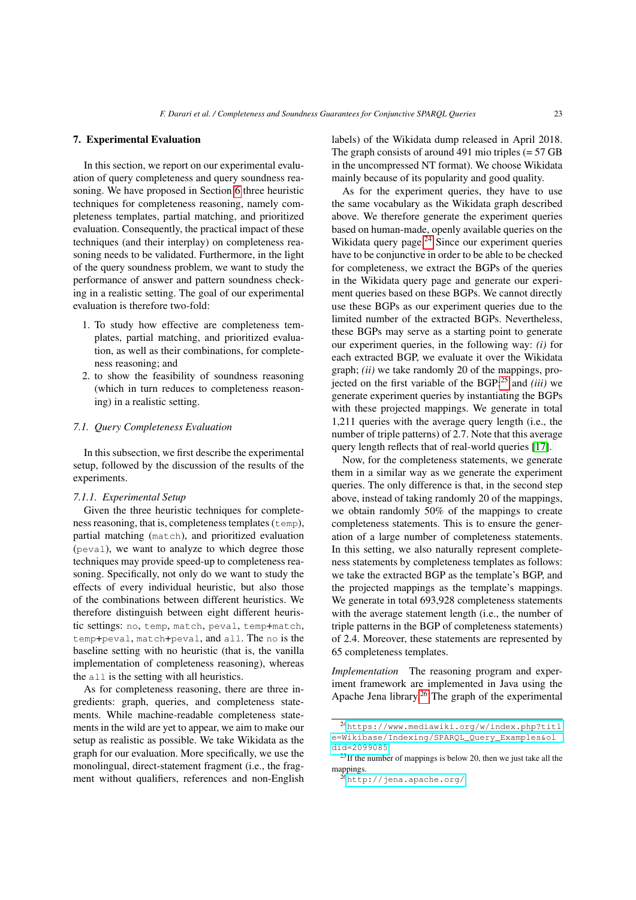# <span id="page-22-0"></span>7. Experimental Evaluation

In this section, we report on our experimental evaluation of query completeness and query soundness reasoning. We have proposed in Section [6](#page-17-0) three heuristic techniques for completeness reasoning, namely completeness templates, partial matching, and prioritized evaluation. Consequently, the practical impact of these techniques (and their interplay) on completeness reasoning needs to be validated. Furthermore, in the light of the query soundness problem, we want to study the performance of answer and pattern soundness checking in a realistic setting. The goal of our experimental evaluation is therefore two-fold:

- 1. To study how effective are completeness templates, partial matching, and prioritized evaluation, as well as their combinations, for completeness reasoning; and
- 2. to show the feasibility of soundness reasoning (which in turn reduces to completeness reasoning) in a realistic setting.

# <span id="page-22-4"></span>*7.1. Query Completeness Evaluation*

In this subsection, we first describe the experimental setup, followed by the discussion of the results of the experiments.

# *7.1.1. Experimental Setup*

Given the three heuristic techniques for completeness reasoning, that is, completeness templates (temp), partial matching (match), and prioritized evaluation (peval), we want to analyze to which degree those techniques may provide speed-up to completeness reasoning. Specifically, not only do we want to study the effects of every individual heuristic, but also those of the combinations between different heuristics. We therefore distinguish between eight different heuristic settings: no, temp, match, peval, temp+match, temp+peval, match+peval, and all. The no is the baseline setting with no heuristic (that is, the vanilla implementation of completeness reasoning), whereas the all is the setting with all heuristics.

As for completeness reasoning, there are three ingredients: graph, queries, and completeness statements. While machine-readable completeness statements in the wild are yet to appear, we aim to make our setup as realistic as possible. We take Wikidata as the graph for our evaluation. More specifically, we use the monolingual, direct-statement fragment (i.e., the fragment without qualifiers, references and non-English labels) of the Wikidata dump released in April 2018. The graph consists of around 491 mio triples  $(= 57 \text{ GB})$ in the uncompressed NT format). We choose Wikidata mainly because of its popularity and good quality.

As for the experiment queries, they have to use the same vocabulary as the Wikidata graph described above. We therefore generate the experiment queries based on human-made, openly available queries on the Wikidata query page. $^{24}$  $^{24}$  $^{24}$  Since our experiment queries have to be conjunctive in order to be able to be checked for completeness, we extract the BGPs of the queries in the Wikidata query page and generate our experiment queries based on these BGPs. We cannot directly use these BGPs as our experiment queries due to the limited number of the extracted BGPs. Nevertheless, these BGPs may serve as a starting point to generate our experiment queries, in the following way: *(i)* for each extracted BGP, we evaluate it over the Wikidata graph; *(ii)* we take randomly 20 of the mappings, projected on the first variable of the BGP;[25](#page-22-2) and *(iii)* we generate experiment queries by instantiating the BGPs with these projected mappings. We generate in total 1,211 queries with the average query length (i.e., the number of triple patterns) of 2.7. Note that this average query length reflects that of real-world queries [\[17\]](#page-32-5).

Now, for the completeness statements, we generate them in a similar way as we generate the experiment queries. The only difference is that, in the second step above, instead of taking randomly 20 of the mappings, we obtain randomly 50% of the mappings to create completeness statements. This is to ensure the generation of a large number of completeness statements. In this setting, we also naturally represent completeness statements by completeness templates as follows: we take the extracted BGP as the template's BGP, and the projected mappings as the template's mappings. We generate in total 693,928 completeness statements with the average statement length (i.e., the number of triple patterns in the BGP of completeness statements) of 2.4. Moreover, these statements are represented by 65 completeness templates.

*Implementation* The reasoning program and experiment framework are implemented in Java using the Apache Jena library.[26](#page-22-3) The graph of the experimental

<span id="page-22-1"></span><sup>24</sup>[https://www.mediawiki.org/w/index.php?titl](https://www.mediawiki.org/w/index.php?title=Wikibase/Indexing/SPARQL_Query_Examples&oldid=2099085) [e=Wikibase/Indexing/SPARQL\\_Query\\_Examples&ol](https://www.mediawiki.org/w/index.php?title=Wikibase/Indexing/SPARQL_Query_Examples&oldid=2099085) [did=2099085](https://www.mediawiki.org/w/index.php?title=Wikibase/Indexing/SPARQL_Query_Examples&oldid=2099085)

<span id="page-22-2"></span><sup>25</sup>If the number of mappings is below 20, then we just take all the mappings.

<span id="page-22-3"></span> $^{26}$ <http://jena.apache.org/>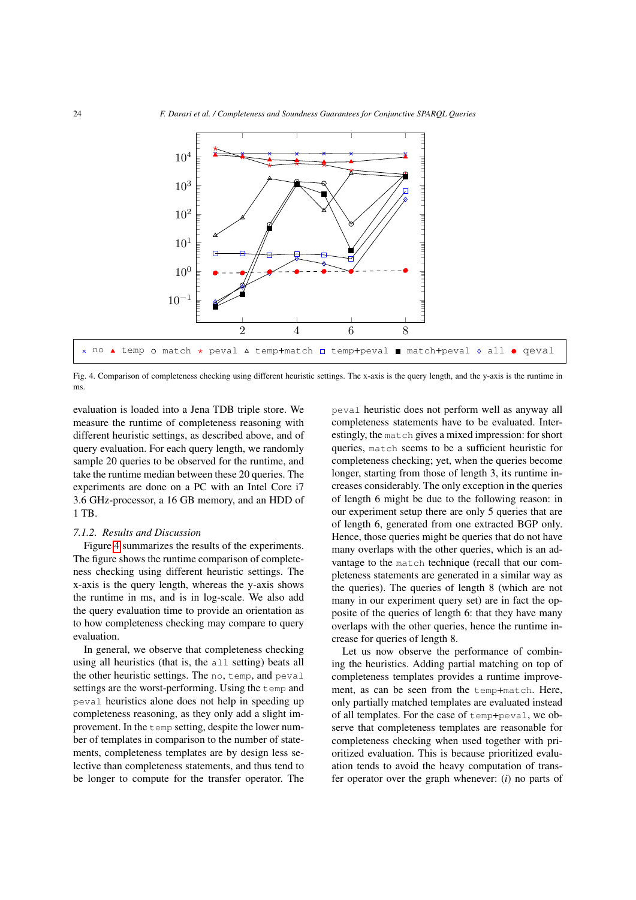

<span id="page-23-0"></span>Fig. 4. Comparison of completeness checking using different heuristic settings. The x-axis is the query length, and the y-axis is the runtime in ms.

evaluation is loaded into a Jena TDB triple store. We measure the runtime of completeness reasoning with different heuristic settings, as described above, and of query evaluation. For each query length, we randomly sample 20 queries to be observed for the runtime, and take the runtime median between these 20 queries. The experiments are done on a PC with an Intel Core i7 3.6 GHz-processor, a 16 GB memory, and an HDD of 1 TB.

## *7.1.2. Results and Discussion*

Figure [4](#page-23-0) summarizes the results of the experiments. The figure shows the runtime comparison of completeness checking using different heuristic settings. The x-axis is the query length, whereas the y-axis shows the runtime in ms, and is in log-scale. We also add the query evaluation time to provide an orientation as to how completeness checking may compare to query evaluation.

In general, we observe that completeness checking using all heuristics (that is, the all setting) beats all the other heuristic settings. The no, temp, and peval settings are the worst-performing. Using the temp and peval heuristics alone does not help in speeding up completeness reasoning, as they only add a slight improvement. In the temp setting, despite the lower number of templates in comparison to the number of statements, completeness templates are by design less selective than completeness statements, and thus tend to be longer to compute for the transfer operator. The peval heuristic does not perform well as anyway all completeness statements have to be evaluated. Interestingly, the match gives a mixed impression: for short queries, match seems to be a sufficient heuristic for completeness checking; yet, when the queries become longer, starting from those of length 3, its runtime increases considerably. The only exception in the queries of length 6 might be due to the following reason: in our experiment setup there are only 5 queries that are of length 6, generated from one extracted BGP only. Hence, those queries might be queries that do not have many overlaps with the other queries, which is an advantage to the match technique (recall that our completeness statements are generated in a similar way as the queries). The queries of length 8 (which are not many in our experiment query set) are in fact the opposite of the queries of length 6: that they have many overlaps with the other queries, hence the runtime increase for queries of length 8.

Let us now observe the performance of combining the heuristics. Adding partial matching on top of completeness templates provides a runtime improvement, as can be seen from the temp+match. Here, only partially matched templates are evaluated instead of all templates. For the case of temp+peval, we observe that completeness templates are reasonable for completeness checking when used together with prioritized evaluation. This is because prioritized evaluation tends to avoid the heavy computation of transfer operator over the graph whenever: (*i*) no parts of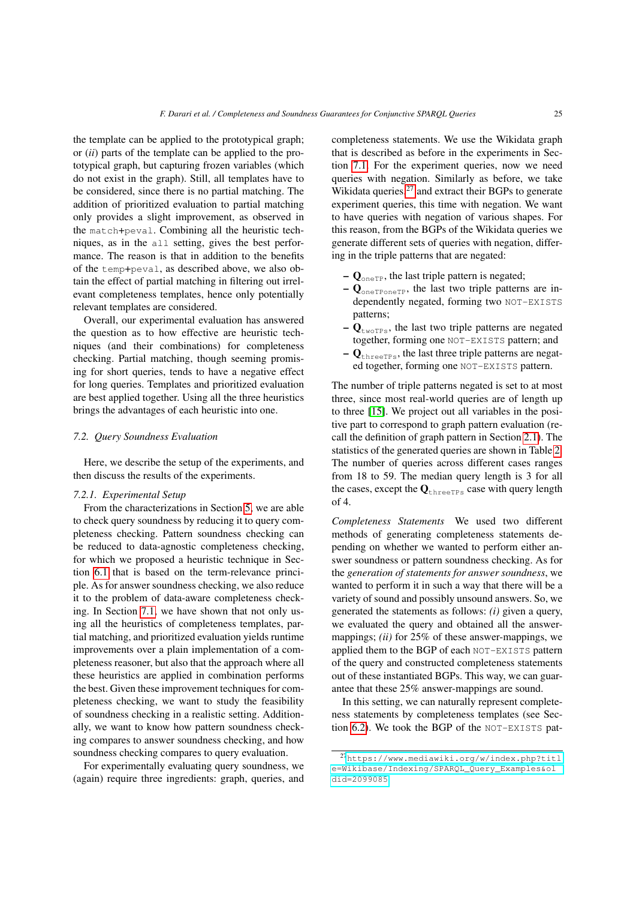the template can be applied to the prototypical graph; or (*ii*) parts of the template can be applied to the prototypical graph, but capturing frozen variables (which do not exist in the graph). Still, all templates have to be considered, since there is no partial matching. The addition of prioritized evaluation to partial matching only provides a slight improvement, as observed in the match+peval. Combining all the heuristic techniques, as in the all setting, gives the best performance. The reason is that in addition to the benefits of the temp+peval, as described above, we also obtain the effect of partial matching in filtering out irrelevant completeness templates, hence only potentially relevant templates are considered.

Overall, our experimental evaluation has answered the question as to how effective are heuristic techniques (and their combinations) for completeness checking. Partial matching, though seeming promising for short queries, tends to have a negative effect for long queries. Templates and prioritized evaluation are best applied together. Using all the three heuristics brings the advantages of each heuristic into one.

# *7.2. Query Soundness Evaluation*

Here, we describe the setup of the experiments, and then discuss the results of the experiments.

#### *7.2.1. Experimental Setup*

From the characterizations in Section [5,](#page-13-0) we are able to check query soundness by reducing it to query completeness checking. Pattern soundness checking can be reduced to data-agnostic completeness checking, for which we proposed a heuristic technique in Section [6.1](#page-17-1) that is based on the term-relevance principle. As for answer soundness checking, we also reduce it to the problem of data-aware completeness checking. In Section [7.1,](#page-22-4) we have shown that not only using all the heuristics of completeness templates, partial matching, and prioritized evaluation yields runtime improvements over a plain implementation of a completeness reasoner, but also that the approach where all these heuristics are applied in combination performs the best. Given these improvement techniques for completeness checking, we want to study the feasibility of soundness checking in a realistic setting. Additionally, we want to know how pattern soundness checking compares to answer soundness checking, and how soundness checking compares to query evaluation.

For experimentally evaluating query soundness, we (again) require three ingredients: graph, queries, and completeness statements. We use the Wikidata graph that is described as before in the experiments in Section [7.1.](#page-22-4) For the experiment queries, now we need queries with negation. Similarly as before, we take Wikidata queries, $27$  and extract their BGPs to generate experiment queries, this time with negation. We want to have queries with negation of various shapes. For this reason, from the BGPs of the Wikidata queries we generate different sets of queries with negation, differing in the triple patterns that are negated:

- $-Q_{\text{oneTP}}$ , the last triple pattern is negated;
- $-Q_{\text{oneTP}}$ , the last two triple patterns are independently negated, forming two NOT-EXISTS patterns;
- $-$  Q<sub>twoTPs</sub>, the last two triple patterns are negated together, forming one NOT-EXISTS pattern; and
- $-$  Q<sub>threeTPs</sub>, the last three triple patterns are negated together, forming one NOT-EXISTS pattern.

The number of triple patterns negated is set to at most three, since most real-world queries are of length up to three [\[15\]](#page-32-3). We project out all variables in the positive part to correspond to graph pattern evaluation (recall the definition of graph pattern in Section [2.1\)](#page-3-2). The statistics of the generated queries are shown in Table [2.](#page-26-1) The number of queries across different cases ranges from 18 to 59. The median query length is 3 for all the cases, except the  $Q_{\text{threeTBs}}$  case with query length of  $4.$ 

*Completeness Statements* We used two different methods of generating completeness statements depending on whether we wanted to perform either answer soundness or pattern soundness checking. As for the *generation of statements for answer soundness*, we wanted to perform it in such a way that there will be a variety of sound and possibly unsound answers. So, we generated the statements as follows: *(i)* given a query, we evaluated the query and obtained all the answermappings; *(ii)* for 25% of these answer-mappings, we applied them to the BGP of each NOT-EXISTS pattern of the query and constructed completeness statements out of these instantiated BGPs. This way, we can guarantee that these 25% answer-mappings are sound.

In this setting, we can naturally represent completeness statements by completeness templates (see Section [6.2\)](#page-18-3). We took the BGP of the NOT-EXISTS pat-

<span id="page-24-0"></span><sup>27</sup>[https://www.mediawiki.org/w/index.php?titl](https://www.mediawiki.org/w/index.php?title=Wikibase/Indexing/SPARQL_Query_Examples&oldid=2099085) [e=Wikibase/Indexing/SPARQL\\_Query\\_Examples&ol](https://www.mediawiki.org/w/index.php?title=Wikibase/Indexing/SPARQL_Query_Examples&oldid=2099085) [did=2099085](https://www.mediawiki.org/w/index.php?title=Wikibase/Indexing/SPARQL_Query_Examples&oldid=2099085)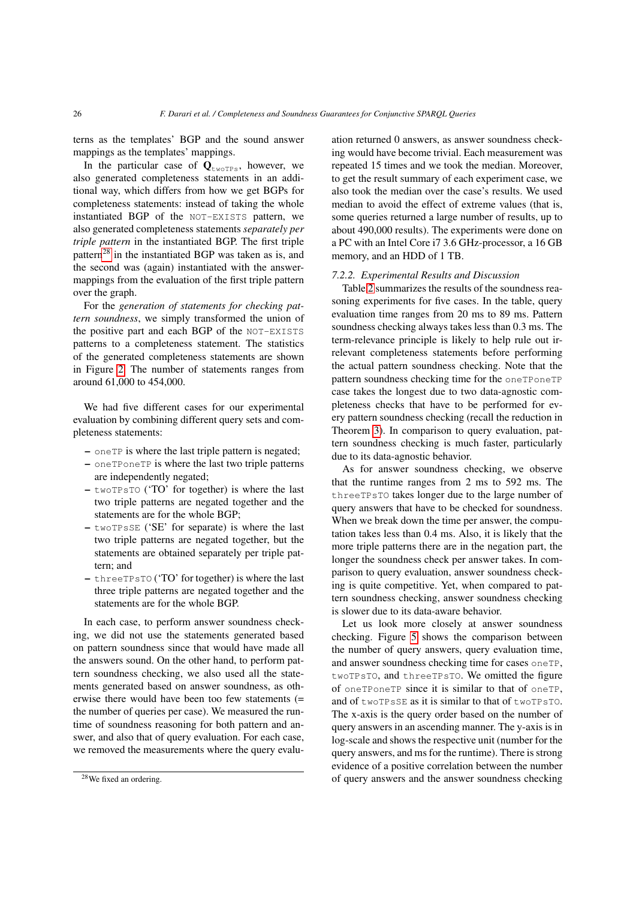terns as the templates' BGP and the sound answer mappings as the templates' mappings.

In the particular case of  $\mathbf{Q}_{t_{\text{WOTPs}}}$ , however, we also generated completeness statements in an additional way, which differs from how we get BGPs for completeness statements: instead of taking the whole instantiated BGP of the NOT-EXISTS pattern, we also generated completeness statements *separately per triple pattern* in the instantiated BGP. The first triple pattern<sup>[28](#page-25-0)</sup> in the instantiated BGP was taken as is, and the second was (again) instantiated with the answermappings from the evaluation of the first triple pattern over the graph.

For the *generation of statements for checking pattern soundness*, we simply transformed the union of the positive part and each BGP of the NOT-EXISTS patterns to a completeness statement. The statistics of the generated completeness statements are shown in Figure [2.](#page-26-1) The number of statements ranges from around 61,000 to 454,000.

We had five different cases for our experimental evaluation by combining different query sets and completeness statements:

- oneTP is where the last triple pattern is negated;
- oneTPoneTP is where the last two triple patterns are independently negated;
- twoTPsTO ('TO' for together) is where the last two triple patterns are negated together and the statements are for the whole BGP;
- twoTPsSE ('SE' for separate) is where the last two triple patterns are negated together, but the statements are obtained separately per triple pattern; and
- threeTPsTO ('TO' for together) is where the last three triple patterns are negated together and the statements are for the whole BGP.

In each case, to perform answer soundness checking, we did not use the statements generated based on pattern soundness since that would have made all the answers sound. On the other hand, to perform pattern soundness checking, we also used all the statements generated based on answer soundness, as otherwise there would have been too few statements (= the number of queries per case). We measured the runtime of soundness reasoning for both pattern and answer, and also that of query evaluation. For each case, we removed the measurements where the query evaluation returned 0 answers, as answer soundness checking would have become trivial. Each measurement was repeated 15 times and we took the median. Moreover, to get the result summary of each experiment case, we also took the median over the case's results. We used median to avoid the effect of extreme values (that is, some queries returned a large number of results, up to about 490,000 results). The experiments were done on a PC with an Intel Core i7 3.6 GHz-processor, a 16 GB memory, and an HDD of 1 TB.

# *7.2.2. Experimental Results and Discussion*

Table [2](#page-26-1) summarizes the results of the soundness reasoning experiments for five cases. In the table, query evaluation time ranges from 20 ms to 89 ms. Pattern soundness checking always takes less than 0.3 ms. The term-relevance principle is likely to help rule out irrelevant completeness statements before performing the actual pattern soundness checking. Note that the pattern soundness checking time for the oneTPoneTP case takes the longest due to two data-agnostic completeness checks that have to be performed for every pattern soundness checking (recall the reduction in Theorem [3\)](#page-15-0). In comparison to query evaluation, pattern soundness checking is much faster, particularly due to its data-agnostic behavior.

As for answer soundness checking, we observe that the runtime ranges from 2 ms to 592 ms. The threeTPsTO takes longer due to the large number of query answers that have to be checked for soundness. When we break down the time per answer, the computation takes less than 0.4 ms. Also, it is likely that the more triple patterns there are in the negation part, the longer the soundness check per answer takes. In comparison to query evaluation, answer soundness checking is quite competitive. Yet, when compared to pattern soundness checking, answer soundness checking is slower due to its data-aware behavior.

Let us look more closely at answer soundness checking. Figure [5](#page-26-2) shows the comparison between the number of query answers, query evaluation time, and answer soundness checking time for cases oneTP, twoTPsTO, and threeTPsTO. We omitted the figure of oneTPoneTP since it is similar to that of oneTP, and of twoTPsSE as it is similar to that of twoTPsTO. The x-axis is the query order based on the number of query answers in an ascending manner. The y-axis is in log-scale and shows the respective unit (number for the query answers, and ms for the runtime). There is strong evidence of a positive correlation between the number of query answers and the answer soundness checking

<span id="page-25-0"></span> $28$ We fixed an ordering.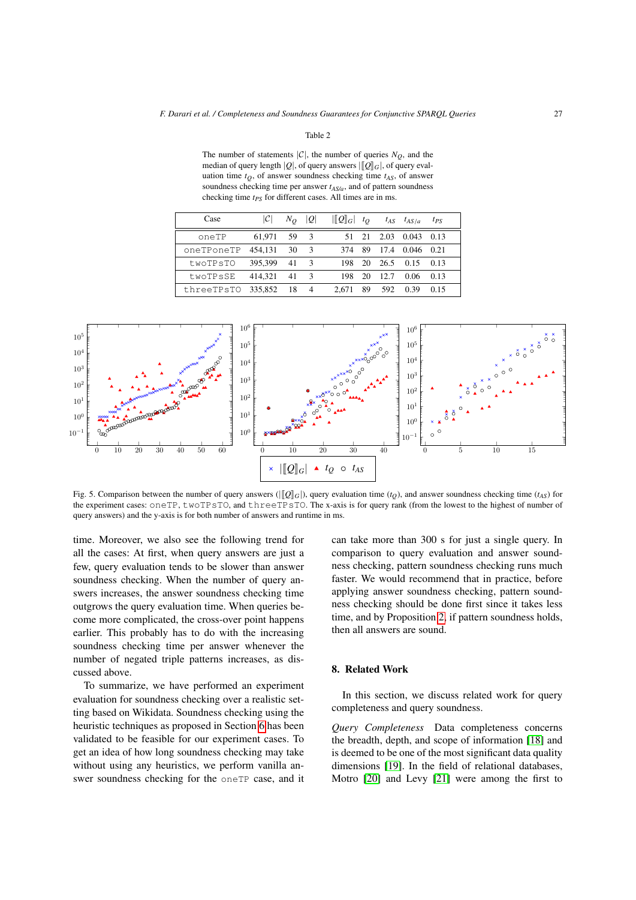| ٧ |  |  |  |
|---|--|--|--|
|---|--|--|--|

<span id="page-26-1"></span>The number of statements  $|C|$ , the number of queries  $N_Q$ , and the median of query length  $|Q|$ , of query answers  $|[Q]_G|$ , of query evaluation time  $t_Q$ , of answer soundness checking time  $t_{AS}$ , of answer soundness checking time per answer *tAS/a*, and of pattern soundness checking time *tPS* for different cases. All times are in ms.

| Case               | ICI        | $N_O$ | Q              | Q  G  | $t_O$ |              | $t_{AS}$ $t_{AS/a}$ | $tp_S$ |
|--------------------|------------|-------|----------------|-------|-------|--------------|---------------------|--------|
| oneTP              | 61.971     | -59   | $\mathcal{R}$  |       |       |              | 51 21 2.03 0.043    | 0.13   |
| oneTPoneTP         | 454,131 30 |       | $\mathcal{E}$  | 374   | 89    |              | 17.4 0.046 0.21     |        |
| twoTPsTO           | 395.399    | 41    | - 3            | 198   |       | 20 26.5 0.15 |                     | 0.13   |
| twoTPsSE           | 414.321    | -41   | $\mathcal{F}$  | 198   |       | 20 12.7      | 0.06                | 0.13   |
| threeTPsTO 335,852 |            | -18   | $\overline{4}$ | 2.671 | 89    | 592          | 0.39                | 0.15   |



<span id="page-26-2"></span>Fig. 5. Comparison between the number of query answers ( $\left\| \left[ \mathcal{Q} \right]_G \right\|$ ), query evaluation time (*t*<sub>*Q*</sub>), and answer soundness checking time (*t*<sub>*AS*</sub>) for the experiment cases: oneTP, twoTPsTO, and threeTPsTO. The x-axis is for query rank (from the lowest to the highest of number of query answers) and the y-axis is for both number of answers and runtime in ms.

time. Moreover, we also see the following trend for all the cases: At first, when query answers are just a few, query evaluation tends to be slower than answer soundness checking. When the number of query answers increases, the answer soundness checking time outgrows the query evaluation time. When queries become more complicated, the cross-over point happens earlier. This probably has to do with the increasing soundness checking time per answer whenever the number of negated triple patterns increases, as discussed above.

To summarize, we have performed an experiment evaluation for soundness checking over a realistic setting based on Wikidata. Soundness checking using the heuristic techniques as proposed in Section [6](#page-17-0) has been validated to be feasible for our experiment cases. To get an idea of how long soundness checking may take without using any heuristics, we perform vanilla answer soundness checking for the oneTP case, and it can take more than 300 s for just a single query. In comparison to query evaluation and answer soundness checking, pattern soundness checking runs much faster. We would recommend that in practice, before applying answer soundness checking, pattern soundness checking should be done first since it takes less time, and by Proposition [2,](#page-8-1) if pattern soundness holds, then all answers are sound.

# <span id="page-26-0"></span>8. Related Work

In this section, we discuss related work for query completeness and query soundness.

*Query Completeness* Data completeness concerns the breadth, depth, and scope of information [\[18\]](#page-32-6) and is deemed to be one of the most significant data quality dimensions [\[19\]](#page-32-7). In the field of relational databases, Motro [\[20\]](#page-32-8) and Levy [\[21\]](#page-32-9) were among the first to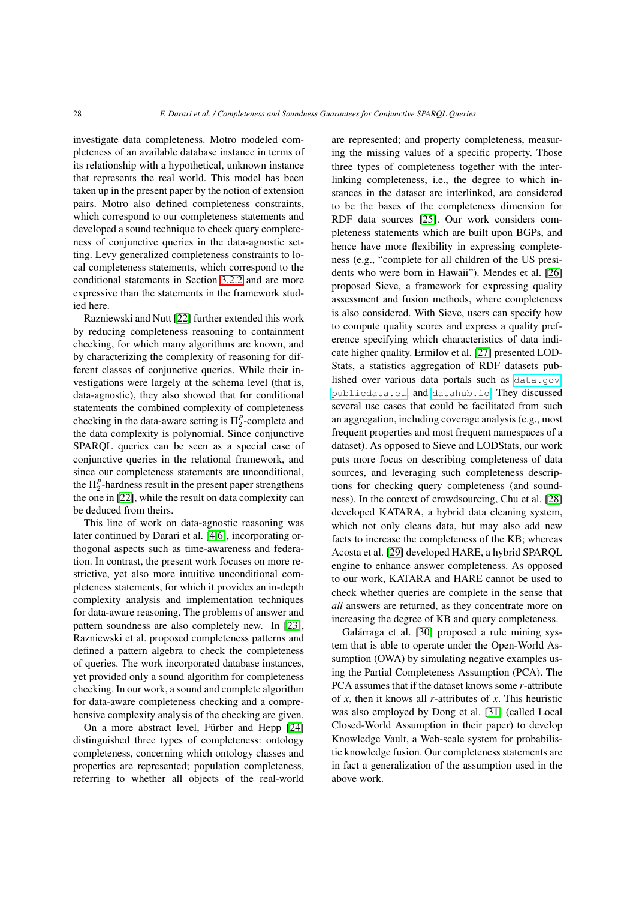investigate data completeness. Motro modeled completeness of an available database instance in terms of its relationship with a hypothetical, unknown instance that represents the real world. This model has been taken up in the present paper by the notion of extension pairs. Motro also defined completeness constraints, which correspond to our completeness statements and developed a sound technique to check query completeness of conjunctive queries in the data-agnostic setting. Levy generalized completeness constraints to local completeness statements, which correspond to the conditional statements in Section [3.2.2](#page-7-3) and are more expressive than the statements in the framework studied here.

Razniewski and Nutt [\[22\]](#page-32-10) further extended this work by reducing completeness reasoning to containment checking, for which many algorithms are known, and by characterizing the complexity of reasoning for different classes of conjunctive queries. While their investigations were largely at the schema level (that is, data-agnostic), they also showed that for conditional statements the combined complexity of completeness checking in the data-aware setting is  $\Pi_2^P$ -complete and the data complexity is polynomial. Since conjunctive SPARQL queries can be seen as a special case of conjunctive queries in the relational framework, and since our completeness statements are unconditional, the Π*<sup>P</sup>* 2 -hardness result in the present paper strengthens the one in [\[22\]](#page-32-10), while the result on data complexity can be deduced from theirs.

This line of work on data-agnostic reasoning was later continued by Darari et al. [\[4,](#page-31-3)[6\]](#page-31-5), incorporating orthogonal aspects such as time-awareness and federation. In contrast, the present work focuses on more restrictive, yet also more intuitive unconditional completeness statements, for which it provides an in-depth complexity analysis and implementation techniques for data-aware reasoning. The problems of answer and pattern soundness are also completely new. In [\[23\]](#page-32-11), Razniewski et al. proposed completeness patterns and defined a pattern algebra to check the completeness of queries. The work incorporated database instances, yet provided only a sound algorithm for completeness checking. In our work, a sound and complete algorithm for data-aware completeness checking and a comprehensive complexity analysis of the checking are given.

On a more abstract level, Fürber and Hepp [\[24\]](#page-32-12) distinguished three types of completeness: ontology completeness, concerning which ontology classes and properties are represented; population completeness, referring to whether all objects of the real-world are represented; and property completeness, measuring the missing values of a specific property. Those three types of completeness together with the interlinking completeness, i.e., the degree to which instances in the dataset are interlinked, are considered to be the bases of the completeness dimension for RDF data sources [\[25\]](#page-32-13). Our work considers completeness statements which are built upon BGPs, and hence have more flexibility in expressing completeness (e.g., "complete for all children of the US presidents who were born in Hawaii"). Mendes et al. [\[26\]](#page-32-14) proposed Sieve, a framework for expressing quality assessment and fusion methods, where completeness is also considered. With Sieve, users can specify how to compute quality scores and express a quality preference specifying which characteristics of data indicate higher quality. Ermilov et al. [\[27\]](#page-32-15) presented LOD-Stats, a statistics aggregation of RDF datasets published over various data portals such as <data.gov>, <publicdata.eu>, and <datahub.io>. They discussed several use cases that could be facilitated from such an aggregation, including coverage analysis (e.g., most frequent properties and most frequent namespaces of a dataset). As opposed to Sieve and LODStats, our work puts more focus on describing completeness of data sources, and leveraging such completeness descriptions for checking query completeness (and soundness). In the context of crowdsourcing, Chu et al. [\[28\]](#page-32-16) developed KATARA, a hybrid data cleaning system, which not only cleans data, but may also add new facts to increase the completeness of the KB; whereas Acosta et al. [\[29\]](#page-32-17) developed HARE, a hybrid SPARQL engine to enhance answer completeness. As opposed to our work, KATARA and HARE cannot be used to check whether queries are complete in the sense that *all* answers are returned, as they concentrate more on increasing the degree of KB and query completeness.

Galárraga et al. [\[30\]](#page-32-18) proposed a rule mining system that is able to operate under the Open-World Assumption (OWA) by simulating negative examples using the Partial Completeness Assumption (PCA). The PCA assumes that if the dataset knows some *r*-attribute of *x*, then it knows all *r*-attributes of *x*. This heuristic was also employed by Dong et al. [\[31\]](#page-32-19) (called Local Closed-World Assumption in their paper) to develop Knowledge Vault, a Web-scale system for probabilistic knowledge fusion. Our completeness statements are in fact a generalization of the assumption used in the above work.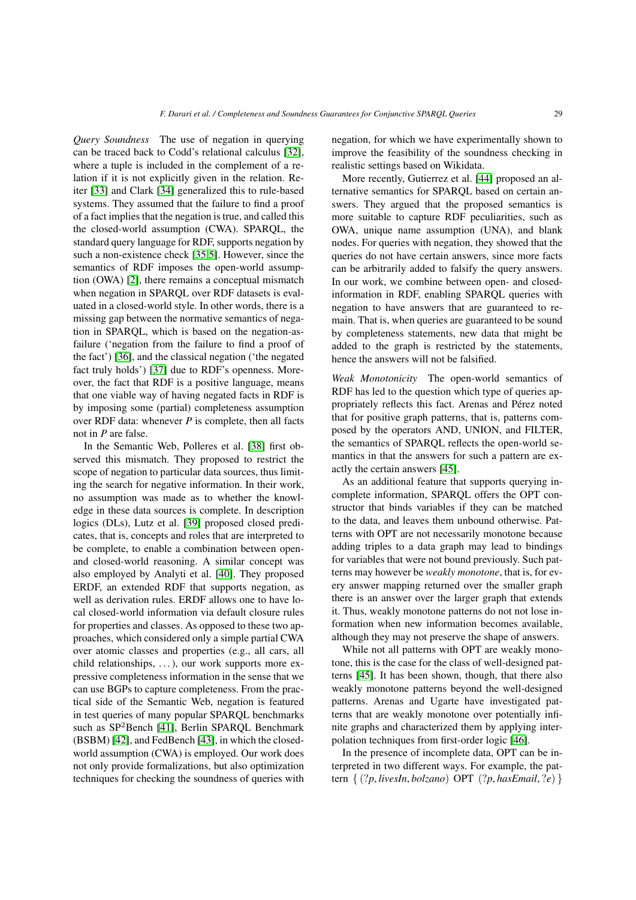*Query Soundness* The use of negation in querying can be traced back to Codd's relational calculus [\[32\]](#page-32-20), where a tuple is included in the complement of a relation if it is not explicitly given in the relation. Reiter [\[33\]](#page-32-21) and Clark [\[34\]](#page-32-22) generalized this to rule-based systems. They assumed that the failure to find a proof of a fact implies that the negation is true, and called this the closed-world assumption (CWA). SPARQL, the standard query language for RDF, supports negation by such a non-existence check [\[35,](#page-33-0)[5\]](#page-31-4). However, since the semantics of RDF imposes the open-world assumption (OWA) [\[2\]](#page-31-1), there remains a conceptual mismatch when negation in SPARQL over RDF datasets is evaluated in a closed-world style. In other words, there is a missing gap between the normative semantics of negation in SPARQL, which is based on the negation-asfailure ('negation from the failure to find a proof of the fact') [\[36\]](#page-33-1), and the classical negation ('the negated fact truly holds') [\[37\]](#page-33-2) due to RDF's openness. Moreover, the fact that RDF is a positive language, means that one viable way of having negated facts in RDF is by imposing some (partial) completeness assumption over RDF data: whenever *P* is complete, then all facts not in *P* are false.

In the Semantic Web, Polleres et al. [\[38\]](#page-33-3) first observed this mismatch. They proposed to restrict the scope of negation to particular data sources, thus limiting the search for negative information. In their work, no assumption was made as to whether the knowledge in these data sources is complete. In description logics (DLs), Lutz et al. [\[39\]](#page-33-4) proposed closed predicates, that is, concepts and roles that are interpreted to be complete, to enable a combination between openand closed-world reasoning. A similar concept was also employed by Analyti et al. [\[40\]](#page-33-5). They proposed ERDF, an extended RDF that supports negation, as well as derivation rules. ERDF allows one to have local closed-world information via default closure rules for properties and classes. As opposed to these two approaches, which considered only a simple partial CWA over atomic classes and properties (e.g., all cars, all child relationships, ...), our work supports more expressive completeness information in the sense that we can use BGPs to capture completeness. From the practical side of the Semantic Web, negation is featured in test queries of many popular SPARQL benchmarks such as SP<sup>2</sup>Bench [\[41\]](#page-33-6), Berlin SPARQL Benchmark (BSBM) [\[42\]](#page-33-7), and FedBench [\[43\]](#page-33-8), in which the closedworld assumption (CWA) is employed. Our work does not only provide formalizations, but also optimization techniques for checking the soundness of queries with negation, for which we have experimentally shown to improve the feasibility of the soundness checking in realistic settings based on Wikidata.

More recently, Gutierrez et al. [\[44\]](#page-33-9) proposed an alternative semantics for SPARQL based on certain answers. They argued that the proposed semantics is more suitable to capture RDF peculiarities, such as OWA, unique name assumption (UNA), and blank nodes. For queries with negation, they showed that the queries do not have certain answers, since more facts can be arbitrarily added to falsify the query answers. In our work, we combine between open- and closedinformation in RDF, enabling SPARQL queries with negation to have answers that are guaranteed to remain. That is, when queries are guaranteed to be sound by completeness statements, new data that might be added to the graph is restricted by the statements, hence the answers will not be falsified.

*Weak Monotonicity* The open-world semantics of RDF has led to the question which type of queries appropriately reflects this fact. Arenas and Pérez noted that for positive graph patterns, that is, patterns composed by the operators AND, UNION, and FILTER, the semantics of SPARQL reflects the open-world semantics in that the answers for such a pattern are exactly the certain answers [\[45\]](#page-33-10).

As an additional feature that supports querying incomplete information, SPARQL offers the OPT constructor that binds variables if they can be matched to the data, and leaves them unbound otherwise. Patterns with OPT are not necessarily monotone because adding triples to a data graph may lead to bindings for variables that were not bound previously. Such patterns may however be *weakly monotone*, that is, for every answer mapping returned over the smaller graph there is an answer over the larger graph that extends it. Thus, weakly monotone patterns do not not lose information when new information becomes available, although they may not preserve the shape of answers.

While not all patterns with OPT are weakly monotone, this is the case for the class of well-designed patterns [\[45\]](#page-33-10). It has been shown, though, that there also weakly monotone patterns beyond the well-designed patterns. Arenas and Ugarte have investigated patterns that are weakly monotone over potentially infinite graphs and characterized them by applying interpolation techniques from first-order logic [\[46\]](#page-33-11).

In the presence of incomplete data, OPT can be interpreted in two different ways. For example, the pattern { (?*p*, *livesIn*, *bolzano*) OPT (?*p*, *hasEmail*, ?*e*) }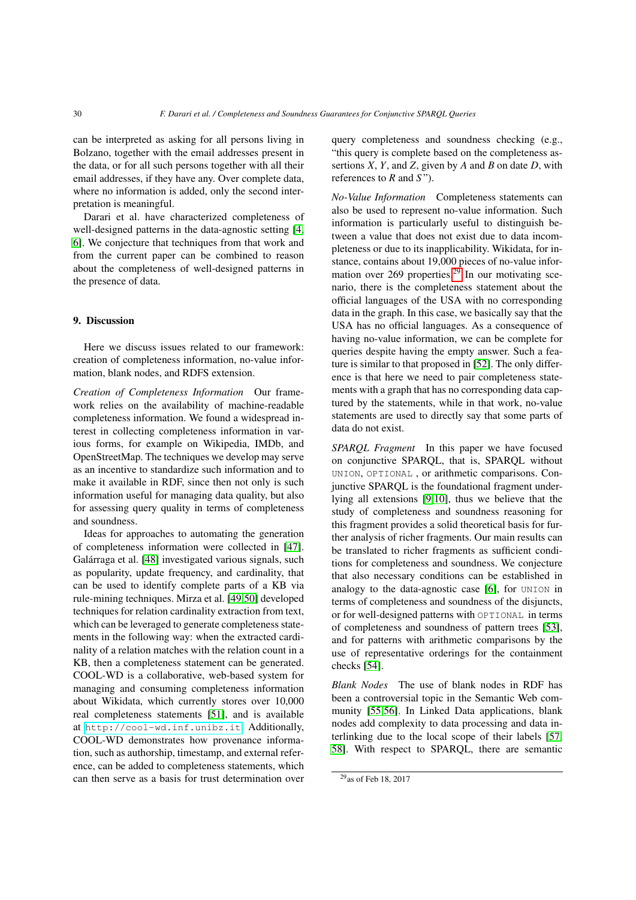can be interpreted as asking for all persons living in Bolzano, together with the email addresses present in the data, or for all such persons together with all their email addresses, if they have any. Over complete data, where no information is added, only the second interpretation is meaningful.

Darari et al. have characterized completeness of well-designed patterns in the data-agnostic setting [\[4,](#page-31-3) [6\]](#page-31-5). We conjecture that techniques from that work and from the current paper can be combined to reason about the completeness of well-designed patterns in the presence of data.

# <span id="page-29-0"></span>9. Discussion

Here we discuss issues related to our framework: creation of completeness information, no-value information, blank nodes, and RDFS extension.

*Creation of Completeness Information* Our framework relies on the availability of machine-readable completeness information. We found a widespread interest in collecting completeness information in various forms, for example on Wikipedia, IMDb, and OpenStreetMap. The techniques we develop may serve as an incentive to standardize such information and to make it available in RDF, since then not only is such information useful for managing data quality, but also for assessing query quality in terms of completeness and soundness.

Ideas for approaches to automating the generation of completeness information were collected in [\[47\]](#page-33-12). Galárraga et al. [\[48\]](#page-33-13) investigated various signals, such as popularity, update frequency, and cardinality, that can be used to identify complete parts of a KB via rule-mining techniques. Mirza et al. [\[49,](#page-33-14)[50\]](#page-33-15) developed techniques for relation cardinality extraction from text, which can be leveraged to generate completeness statements in the following way: when the extracted cardinality of a relation matches with the relation count in a KB, then a completeness statement can be generated. COOL-WD is a collaborative, web-based system for managing and consuming completeness information about Wikidata, which currently stores over 10,000 real completeness statements [\[51\]](#page-33-16), and is available at <http://cool-wd.inf.unibz.it>. Additionally, COOL-WD demonstrates how provenance information, such as authorship, timestamp, and external reference, can be added to completeness statements, which can then serve as a basis for trust determination over query completeness and soundness checking (e.g., "this query is complete based on the completeness assertions *X*, *Y*, and *Z*, given by *A* and *B* on date *D*, with references to *R* and *S* ").

*No-Value Information* Completeness statements can also be used to represent no-value information. Such information is particularly useful to distinguish between a value that does not exist due to data incompleteness or due to its inapplicability. Wikidata, for instance, contains about 19,000 pieces of no-value information over  $269$  properties.<sup>[29](#page-29-1)</sup> In our motivating scenario, there is the completeness statement about the official languages of the USA with no corresponding data in the graph. In this case, we basically say that the USA has no official languages. As a consequence of having no-value information, we can be complete for queries despite having the empty answer. Such a feature is similar to that proposed in [\[52\]](#page-33-17). The only difference is that here we need to pair completeness statements with a graph that has no corresponding data captured by the statements, while in that work, no-value statements are used to directly say that some parts of data do not exist.

*SPARQL Fragment* In this paper we have focused on conjunctive SPARQL, that is, SPARQL without UNION, OPTIONAL , or arithmetic comparisons. Conjunctive SPARQL is the foundational fragment underlying all extensions [\[9](#page-31-8)[,10\]](#page-31-9), thus we believe that the study of completeness and soundness reasoning for this fragment provides a solid theoretical basis for further analysis of richer fragments. Our main results can be translated to richer fragments as sufficient conditions for completeness and soundness. We conjecture that also necessary conditions can be established in analogy to the data-agnostic case [\[6\]](#page-31-5), for UNION in terms of completeness and soundness of the disjuncts, or for well-designed patterns with OPTIONAL in terms of completeness and soundness of pattern trees [\[53\]](#page-33-18), and for patterns with arithmetic comparisons by the use of representative orderings for the containment checks [\[54\]](#page-33-19).

*Blank Nodes* The use of blank nodes in RDF has been a controversial topic in the Semantic Web community [\[55](#page-33-20)[,56\]](#page-33-21). In Linked Data applications, blank nodes add complexity to data processing and data interlinking due to the local scope of their labels [\[57,](#page-33-22) [58\]](#page-33-23). With respect to SPARQL, there are semantic

<span id="page-29-1"></span><sup>29</sup>as of Feb 18, 2017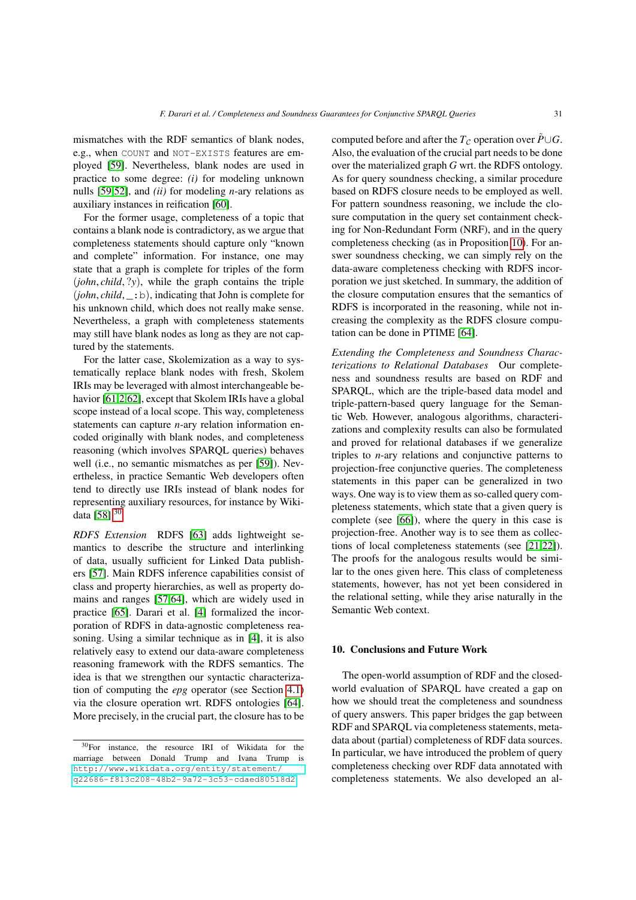mismatches with the RDF semantics of blank nodes, e.g., when COUNT and NOT-EXISTS features are employed [\[59\]](#page-34-1). Nevertheless, blank nodes are used in practice to some degree: *(i)* for modeling unknown nulls [\[59](#page-34-1)[,52\]](#page-33-17), and *(ii)* for modeling *n*-ary relations as auxiliary instances in reification [\[60\]](#page-34-2).

For the former usage, completeness of a topic that contains a blank node is contradictory, as we argue that completeness statements should capture only "known and complete" information. For instance, one may state that a graph is complete for triples of the form (*john*, *child*, ?*y*), while the graph contains the triple (*john*, *child*, \_:b), indicating that John is complete for his unknown child, which does not really make sense. Nevertheless, a graph with completeness statements may still have blank nodes as long as they are not captured by the statements.

For the latter case, Skolemization as a way to systematically replace blank nodes with fresh, Skolem IRIs may be leveraged with almost interchangeable behavior [\[61,](#page-34-3)[2,](#page-31-1)[62\]](#page-34-4), except that Skolem IRIs have a global scope instead of a local scope. This way, completeness statements can capture *n*-ary relation information encoded originally with blank nodes, and completeness reasoning (which involves SPARQL queries) behaves well (i.e., no semantic mismatches as per [\[59\]](#page-34-1)). Nevertheless, in practice Semantic Web developers often tend to directly use IRIs instead of blank nodes for representing auxiliary resources, for instance by Wikidata [\[58\]](#page-33-23).[30](#page-30-1)

*RDFS Extension* RDFS [\[63\]](#page-34-5) adds lightweight semantics to describe the structure and interlinking of data, usually sufficient for Linked Data publishers [\[57\]](#page-33-22). Main RDFS inference capabilities consist of class and property hierarchies, as well as property domains and ranges [\[57](#page-33-22)[,64\]](#page-34-6), which are widely used in practice [\[65\]](#page-34-7). Darari et al. [\[4\]](#page-31-3) formalized the incorporation of RDFS in data-agnostic completeness reasoning. Using a similar technique as in [\[4\]](#page-31-3), it is also relatively easy to extend our data-aware completeness reasoning framework with the RDFS semantics. The idea is that we strengthen our syntactic characterization of computing the *epg* operator (see Section [4.1\)](#page-8-2) via the closure operation wrt. RDFS ontologies [\[64\]](#page-34-6). More precisely, in the crucial part, the closure has to be computed before and after the  $T_C$  operation over  $P \cup G$ . Also, the evaluation of the crucial part needs to be done over the materialized graph *G* wrt. the RDFS ontology. As for query soundness checking, a similar procedure based on RDFS closure needs to be employed as well. For pattern soundness reasoning, we include the closure computation in the query set containment checking for Non-Redundant Form (NRF), and in the query completeness checking (as in Proposition [10\)](#page-14-2). For answer soundness checking, we can simply rely on the data-aware completeness checking with RDFS incorporation we just sketched. In summary, the addition of the closure computation ensures that the semantics of RDFS is incorporated in the reasoning, while not increasing the complexity as the RDFS closure computation can be done in PTIME [\[64\]](#page-34-6).

*Extending the Completeness and Soundness Characterizations to Relational Databases* Our completeness and soundness results are based on RDF and SPARQL, which are the triple-based data model and triple-pattern-based query language for the Semantic Web. However, analogous algorithms, characterizations and complexity results can also be formulated and proved for relational databases if we generalize triples to *n*-ary relations and conjunctive patterns to projection-free conjunctive queries. The completeness statements in this paper can be generalized in two ways. One way is to view them as so-called query completeness statements, which state that a given query is complete (see [\[66\]](#page-34-8)), where the query in this case is projection-free. Another way is to see them as collections of local completeness statements (see [\[21,](#page-32-9)[22\]](#page-32-10)). The proofs for the analogous results would be similar to the ones given here. This class of completeness statements, however, has not yet been considered in the relational setting, while they arise naturally in the Semantic Web context.

#### <span id="page-30-0"></span>10. Conclusions and Future Work

The open-world assumption of RDF and the closedworld evaluation of SPARQL have created a gap on how we should treat the completeness and soundness of query answers. This paper bridges the gap between RDF and SPARQL via completeness statements, metadata about (partial) completeness of RDF data sources. In particular, we have introduced the problem of query completeness checking over RDF data annotated with completeness statements. We also developed an al-

<span id="page-30-1"></span><sup>30</sup>For instance, the resource IRI of Wikidata for the marriage between Donald Trump and Ivana Trump is [http://www.wikidata.org/entity/statement/](http://www.wikidata.org/entity/statement/q22686-f813c208-48b2-9a72-3c53-cdaed80518d2) [q22686-f813c208-48b2-9a72-3c53-cdaed80518d2](http://www.wikidata.org/entity/statement/q22686-f813c208-48b2-9a72-3c53-cdaed80518d2).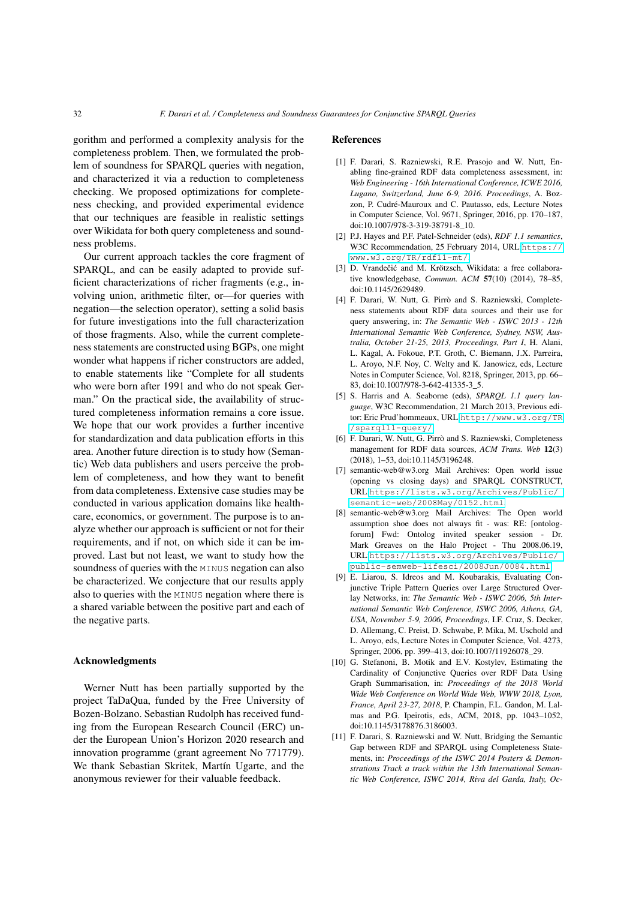gorithm and performed a complexity analysis for the completeness problem. Then, we formulated the problem of soundness for SPARQL queries with negation, and characterized it via a reduction to completeness checking. We proposed optimizations for completeness checking, and provided experimental evidence that our techniques are feasible in realistic settings over Wikidata for both query completeness and soundness problems.

Our current approach tackles the core fragment of SPARQL, and can be easily adapted to provide sufficient characterizations of richer fragments (e.g., involving union, arithmetic filter, or—for queries with negation—the selection operator), setting a solid basis for future investigations into the full characterization of those fragments. Also, while the current completeness statements are constructed using BGPs, one might wonder what happens if richer constructors are added, to enable statements like "Complete for all students who were born after 1991 and who do not speak German." On the practical side, the availability of structured completeness information remains a core issue. We hope that our work provides a further incentive for standardization and data publication efforts in this area. Another future direction is to study how (Semantic) Web data publishers and users perceive the problem of completeness, and how they want to benefit from data completeness. Extensive case studies may be conducted in various application domains like healthcare, economics, or government. The purpose is to analyze whether our approach is sufficient or not for their requirements, and if not, on which side it can be improved. Last but not least, we want to study how the soundness of queries with the MINUS negation can also be characterized. We conjecture that our results apply also to queries with the MINUS negation where there is a shared variable between the positive part and each of the negative parts.

# Acknowledgments

Werner Nutt has been partially supported by the project TaDaQua, funded by the Free University of Bozen-Bolzano. Sebastian Rudolph has received funding from the European Research Council (ERC) under the European Union's Horizon 2020 research and innovation programme (grant agreement No 771779). We thank Sebastian Skritek, Martín Ugarte, and the anonymous reviewer for their valuable feedback.

#### References

- <span id="page-31-0"></span>[1] F. Darari, S. Razniewski, R.E. Prasojo and W. Nutt, Enabling fine-grained RDF data completeness assessment, in: *Web Engineering - 16th International Conference, ICWE 2016, Lugano, Switzerland, June 6-9, 2016. Proceedings*, A. Bozzon, P. Cudré-Mauroux and C. Pautasso, eds, Lecture Notes in Computer Science, Vol. 9671, Springer, 2016, pp. 170–187, doi:10.1007/978-3-319-38791-8\_10.
- <span id="page-31-1"></span>[2] P.J. Hayes and P.F. Patel-Schneider (eds), *RDF 1.1 semantics*, W3C Recommendation, 25 February 2014, URL:[https://](https://www.w3.org/TR/rdf11-mt/) [www.w3.org/TR/rdf11-mt/](https://www.w3.org/TR/rdf11-mt/).
- <span id="page-31-2"></span>[3] D. Vrandečić and M. Krötzsch, Wikidata: a free collaborative knowledgebase, *Commun. ACM* 57(10) (2014), 78–85, doi:10.1145/2629489.
- <span id="page-31-3"></span>[4] F. Darari, W. Nutt, G. Pirrò and S. Razniewski, Completeness statements about RDF data sources and their use for query answering, in: *The Semantic Web - ISWC 2013 - 12th International Semantic Web Conference, Sydney, NSW, Australia, October 21-25, 2013, Proceedings, Part I*, H. Alani, L. Kagal, A. Fokoue, P.T. Groth, C. Biemann, J.X. Parreira, L. Aroyo, N.F. Noy, C. Welty and K. Janowicz, eds, Lecture Notes in Computer Science, Vol. 8218, Springer, 2013, pp. 66– 83, doi:10.1007/978-3-642-41335-3\_5.
- <span id="page-31-4"></span>[5] S. Harris and A. Seaborne (eds), *SPARQL 1.1 query language*, W3C Recommendation, 21 March 2013, Previous editor: Eric Prud'hommeaux, URL:[http://www.w3.org/TR](http://www.w3.org/TR/sparql11-query/) [/sparql11-query/](http://www.w3.org/TR/sparql11-query/).
- <span id="page-31-5"></span>[6] F. Darari, W. Nutt, G. Pirrò and S. Razniewski, Completeness management for RDF data sources, *ACM Trans. Web* 12(3) (2018), 1–53, doi:10.1145/3196248.
- <span id="page-31-6"></span>[7] semantic-web@w3.org Mail Archives: Open world issue (opening vs closing days) and SPARQL CONSTRUCT, URL:[https://lists.w3.org/Archives/Public/](https://lists.w3.org/Archives/Public/semantic-web/2008May/0152.html) [semantic-web/2008May/0152.html](https://lists.w3.org/Archives/Public/semantic-web/2008May/0152.html).
- <span id="page-31-7"></span>[8] semantic-web@w3.org Mail Archives: The Open world assumption shoe does not always fit - was: RE: [ontologforum] Fwd: Ontolog invited speaker session - Dr. Mark Greaves on the Halo Project - Thu 2008.06.19, URL:[https://lists.w3.org/Archives/Public/](https://lists.w3.org/Archives/Public/public-semweb-lifesci/2008Jun/0084.html) [public-semweb-lifesci/2008Jun/0084.html](https://lists.w3.org/Archives/Public/public-semweb-lifesci/2008Jun/0084.html).
- <span id="page-31-8"></span>[9] E. Liarou, S. Idreos and M. Koubarakis, Evaluating Conjunctive Triple Pattern Queries over Large Structured Overlay Networks, in: *The Semantic Web - ISWC 2006, 5th International Semantic Web Conference, ISWC 2006, Athens, GA, USA, November 5-9, 2006, Proceedings*, I.F. Cruz, S. Decker, D. Allemang, C. Preist, D. Schwabe, P. Mika, M. Uschold and L. Aroyo, eds, Lecture Notes in Computer Science, Vol. 4273, Springer, 2006, pp. 399–413, doi:10.1007/11926078\_29.
- <span id="page-31-9"></span>[10] G. Stefanoni, B. Motik and E.V. Kostylev, Estimating the Cardinality of Conjunctive Queries over RDF Data Using Graph Summarisation, in: *Proceedings of the 2018 World Wide Web Conference on World Wide Web, WWW 2018, Lyon, France, April 23-27, 2018*, P. Champin, F.L. Gandon, M. Lalmas and P.G. Ipeirotis, eds, ACM, 2018, pp. 1043–1052, doi:10.1145/3178876.3186003.
- <span id="page-31-10"></span>[11] F. Darari, S. Razniewski and W. Nutt, Bridging the Semantic Gap between RDF and SPARQL using Completeness Statements, in: *Proceedings of the ISWC 2014 Posters & Demonstrations Track a track within the 13th International Semantic Web Conference, ISWC 2014, Riva del Garda, Italy, Oc-*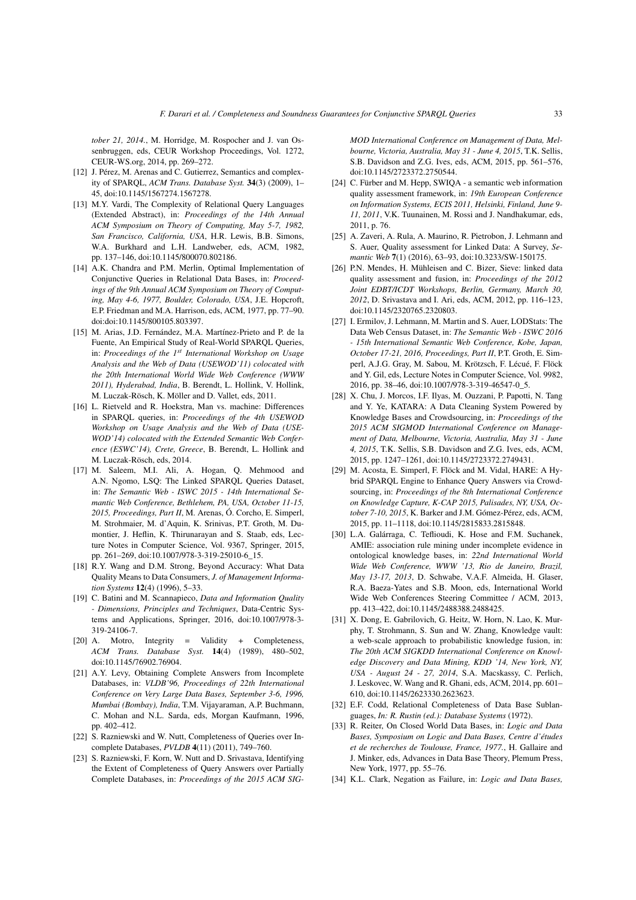*tober 21, 2014.*, M. Horridge, M. Rospocher and J. van Ossenbruggen, eds, CEUR Workshop Proceedings, Vol. 1272, CEUR-WS.org, 2014, pp. 269–272.

- <span id="page-32-0"></span>[12] J. Pérez, M. Arenas and C. Gutierrez, Semantics and complexity of SPARQL, *ACM Trans. Database Syst.* 34(3) (2009), 1– 45, doi:10.1145/1567274.1567278.
- <span id="page-32-1"></span>[13] M.Y. Vardi, The Complexity of Relational Query Languages (Extended Abstract), in: *Proceedings of the 14th Annual ACM Symposium on Theory of Computing, May 5-7, 1982, San Francisco, California, USA*, H.R. Lewis, B.B. Simons, W.A. Burkhard and L.H. Landweber, eds, ACM, 1982, pp. 137–146, doi:10.1145/800070.802186.
- <span id="page-32-2"></span>[14] A.K. Chandra and P.M. Merlin, Optimal Implementation of Conjunctive Queries in Relational Data Bases, in: *Proceedings of the 9th Annual ACM Symposium on Theory of Computing, May 4-6, 1977, Boulder, Colorado, USA*, J.E. Hopcroft, E.P. Friedman and M.A. Harrison, eds, ACM, 1977, pp. 77–90. doi:doi:10.1145/800105.803397.
- <span id="page-32-3"></span>[15] M. Arias, J.D. Fernández, M.A. Martínez-Prieto and P. de la Fuente, An Empirical Study of Real-World SPARQL Queries, in: *Proceedings of the 1st International Workshop on Usage Analysis and the Web of Data (USEWOD'11) colocated with the 20th International World Wide Web Conference (WWW 2011), Hyderabad, India*, B. Berendt, L. Hollink, V. Hollink, M. Luczak-Rösch, K. Möller and D. Vallet, eds, 2011.
- <span id="page-32-4"></span>[16] L. Rietveld and R. Hoekstra, Man vs. machine: Differences in SPARQL queries, in: *Proceedings of the 4th USEWOD Workshop on Usage Analysis and the Web of Data (USE-WOD'14) colocated with the Extended Semantic Web Conference (ESWC'14), Crete, Greece*, B. Berendt, L. Hollink and M. Luczak-Rösch, eds, 2014.
- <span id="page-32-5"></span>[17] M. Saleem, M.I. Ali, A. Hogan, Q. Mehmood and A.N. Ngomo, LSQ: The Linked SPARQL Queries Dataset, in: *The Semantic Web - ISWC 2015 - 14th International Semantic Web Conference, Bethlehem, PA, USA, October 11-15, 2015, Proceedings, Part II*, M. Arenas, Ó. Corcho, E. Simperl, M. Strohmaier, M. d'Aquin, K. Srinivas, P.T. Groth, M. Dumontier, J. Heflin, K. Thirunarayan and S. Staab, eds, Lecture Notes in Computer Science, Vol. 9367, Springer, 2015, pp. 261–269, doi:10.1007/978-3-319-25010-6\_15.
- <span id="page-32-6"></span>[18] R.Y. Wang and D.M. Strong, Beyond Accuracy: What Data Quality Means to Data Consumers, *J. of Management Information Systems* 12(4) (1996), 5–33.
- <span id="page-32-7"></span>[19] C. Batini and M. Scannapieco, *Data and Information Quality - Dimensions, Principles and Techniques*, Data-Centric Systems and Applications, Springer, 2016, doi:10.1007/978-3- 319-24106-7.
- <span id="page-32-8"></span>[20] A. Motro, Integrity = Validity + Completeness, *ACM Trans. Database Syst.* 14(4) (1989), 480–502, doi:10.1145/76902.76904.
- <span id="page-32-9"></span>[21] A.Y. Levy, Obtaining Complete Answers from Incomplete Databases, in: *VLDB'96, Proceedings of 22th International Conference on Very Large Data Bases, September 3-6, 1996, Mumbai (Bombay), India*, T.M. Vijayaraman, A.P. Buchmann, C. Mohan and N.L. Sarda, eds, Morgan Kaufmann, 1996, pp. 402–412.
- <span id="page-32-10"></span>[22] S. Razniewski and W. Nutt, Completeness of Queries over Incomplete Databases, *PVLDB* 4(11) (2011), 749–760.
- <span id="page-32-11"></span>[23] S. Razniewski, F. Korn, W. Nutt and D. Srivastava, Identifying the Extent of Completeness of Query Answers over Partially Complete Databases, in: *Proceedings of the 2015 ACM SIG-*

*MOD International Conference on Management of Data, Melbourne, Victoria, Australia, May 31 - June 4, 2015*, T.K. Sellis, S.B. Davidson and Z.G. Ives, eds, ACM, 2015, pp. 561–576, doi:10.1145/2723372.2750544.

- <span id="page-32-12"></span>[24] C. Fürber and M. Hepp, SWIQA - a semantic web information quality assessment framework, in: *19th European Conference on Information Systems, ECIS 2011, Helsinki, Finland, June 9- 11, 2011*, V.K. Tuunainen, M. Rossi and J. Nandhakumar, eds, 2011, p. 76.
- <span id="page-32-13"></span>[25] A. Zaveri, A. Rula, A. Maurino, R. Pietrobon, J. Lehmann and S. Auer, Quality assessment for Linked Data: A Survey, *Semantic Web* 7(1) (2016), 63–93, doi:10.3233/SW-150175.
- <span id="page-32-14"></span>[26] P.N. Mendes, H. Mühleisen and C. Bizer, Sieve: linked data quality assessment and fusion, in: *Proceedings of the 2012 Joint EDBT/ICDT Workshops, Berlin, Germany, March 30, 2012*, D. Srivastava and I. Ari, eds, ACM, 2012, pp. 116–123, doi:10.1145/2320765.2320803.
- <span id="page-32-15"></span>[27] I. Ermilov, J. Lehmann, M. Martin and S. Auer, LODStats: The Data Web Census Dataset, in: *The Semantic Web - ISWC 2016 - 15th International Semantic Web Conference, Kobe, Japan, October 17-21, 2016, Proceedings, Part II*, P.T. Groth, E. Simperl, A.J.G. Gray, M. Sabou, M. Krötzsch, F. Lécué, F. Flöck and Y. Gil, eds, Lecture Notes in Computer Science, Vol. 9982, 2016, pp. 38–46, doi:10.1007/978-3-319-46547-0\_5.
- <span id="page-32-16"></span>[28] X. Chu, J. Morcos, I.F. Ilyas, M. Ouzzani, P. Papotti, N. Tang and Y. Ye, KATARA: A Data Cleaning System Powered by Knowledge Bases and Crowdsourcing, in: *Proceedings of the 2015 ACM SIGMOD International Conference on Management of Data, Melbourne, Victoria, Australia, May 31 - June 4, 2015*, T.K. Sellis, S.B. Davidson and Z.G. Ives, eds, ACM, 2015, pp. 1247–1261, doi:10.1145/2723372.2749431.
- <span id="page-32-17"></span>[29] M. Acosta, E. Simperl, F. Flöck and M. Vidal, HARE: A Hybrid SPARQL Engine to Enhance Query Answers via Crowdsourcing, in: *Proceedings of the 8th International Conference on Knowledge Capture, K-CAP 2015, Palisades, NY, USA, October 7-10, 2015*, K. Barker and J.M. Gómez-Pérez, eds, ACM, 2015, pp. 11–1118, doi:10.1145/2815833.2815848.
- <span id="page-32-18"></span>[30] L.A. Galárraga, C. Teflioudi, K. Hose and F.M. Suchanek, AMIE: association rule mining under incomplete evidence in ontological knowledge bases, in: *22nd International World Wide Web Conference, WWW '13, Rio de Janeiro, Brazil, May 13-17, 2013*, D. Schwabe, V.A.F. Almeida, H. Glaser, R.A. Baeza-Yates and S.B. Moon, eds, International World Wide Web Conferences Steering Committee / ACM, 2013, pp. 413–422, doi:10.1145/2488388.2488425.
- <span id="page-32-19"></span>[31] X. Dong, E. Gabrilovich, G. Heitz, W. Horn, N. Lao, K. Murphy, T. Strohmann, S. Sun and W. Zhang, Knowledge vault: a web-scale approach to probabilistic knowledge fusion, in: *The 20th ACM SIGKDD International Conference on Knowledge Discovery and Data Mining, KDD '14, New York, NY, USA - August 24 - 27, 2014*, S.A. Macskassy, C. Perlich, J. Leskovec, W. Wang and R. Ghani, eds, ACM, 2014, pp. 601– 610, doi:10.1145/2623330.2623623.
- <span id="page-32-20"></span>[32] E.F. Codd, Relational Completeness of Data Base Sublanguages, *In: R. Rustin (ed.): Database Systems* (1972).
- <span id="page-32-21"></span>[33] R. Reiter, On Closed World Data Bases, in: *Logic and Data Bases, Symposium on Logic and Data Bases, Centre d'études et de recherches de Toulouse, France, 1977.*, H. Gallaire and J. Minker, eds, Advances in Data Base Theory, Plemum Press, New York, 1977, pp. 55–76.
- <span id="page-32-22"></span>[34] K.L. Clark, Negation as Failure, in: *Logic and Data Bases,*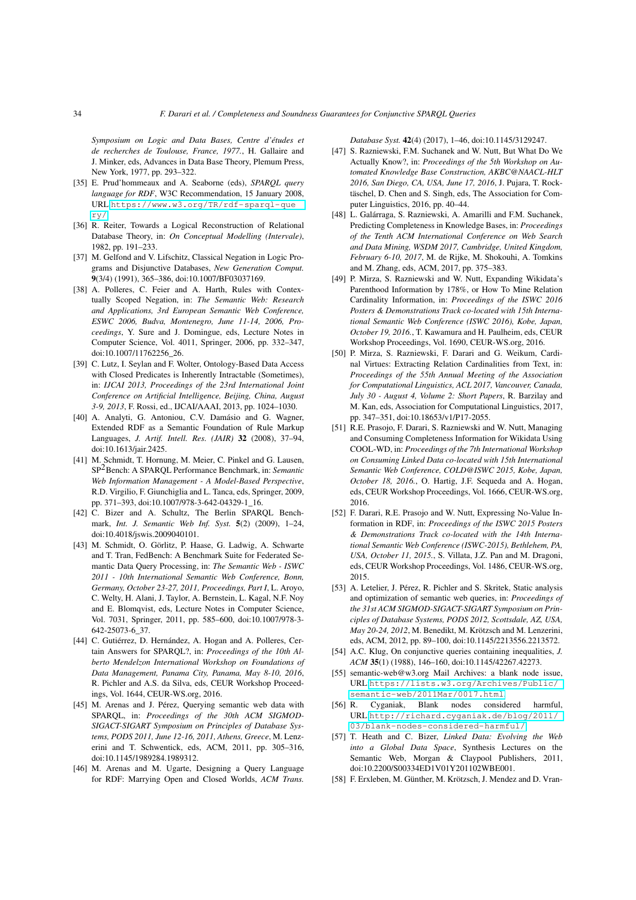*Symposium on Logic and Data Bases, Centre d'études et de recherches de Toulouse, France, 1977.*, H. Gallaire and J. Minker, eds, Advances in Data Base Theory, Plemum Press, New York, 1977, pp. 293–322.

- <span id="page-33-0"></span>[35] E. Prud'hommeaux and A. Seaborne (eds), *SPARQL query language for RDF*, W3C Recommendation, 15 January 2008, URL:[https://www.w3.org/TR/rdf-sparql-que](https://www.w3.org/TR/rdf-sparql-query/) [ry/](https://www.w3.org/TR/rdf-sparql-query/).
- <span id="page-33-1"></span>[36] R. Reiter, Towards a Logical Reconstruction of Relational Database Theory, in: *On Conceptual Modelling (Intervale)*, 1982, pp. 191–233.
- <span id="page-33-2"></span>[37] M. Gelfond and V. Lifschitz, Classical Negation in Logic Programs and Disjunctive Databases, *New Generation Comput.* 9(3/4) (1991), 365–386, doi:10.1007/BF03037169.
- <span id="page-33-3"></span>[38] A. Polleres, C. Feier and A. Harth, Rules with Contextually Scoped Negation, in: *The Semantic Web: Research and Applications, 3rd European Semantic Web Conference, ESWC 2006, Budva, Montenegro, June 11-14, 2006, Proceedings*, Y. Sure and J. Domingue, eds, Lecture Notes in Computer Science, Vol. 4011, Springer, 2006, pp. 332–347, doi:10.1007/11762256\_26.
- <span id="page-33-4"></span>[39] C. Lutz, I. Seylan and F. Wolter, Ontology-Based Data Access with Closed Predicates is Inherently Intractable (Sometimes), in: *IJCAI 2013, Proceedings of the 23rd International Joint Conference on Artificial Intelligence, Beijing, China, August 3-9, 2013*, F. Rossi, ed., IJCAI/AAAI, 2013, pp. 1024–1030.
- <span id="page-33-5"></span>[40] A. Analyti, G. Antoniou, C.V. Damásio and G. Wagner, Extended RDF as a Semantic Foundation of Rule Markup Languages, *J. Artif. Intell. Res. (JAIR)* 32 (2008), 37–94, doi:10.1613/jair.2425.
- <span id="page-33-6"></span>[41] M. Schmidt, T. Hornung, M. Meier, C. Pinkel and G. Lausen, SP2Bench: A SPARQL Performance Benchmark, in: *Semantic Web Information Management - A Model-Based Perspective*, R.D. Virgilio, F. Giunchiglia and L. Tanca, eds, Springer, 2009, pp. 371–393, doi:10.1007/978-3-642-04329-1\_16.
- <span id="page-33-7"></span>[42] C. Bizer and A. Schultz, The Berlin SPARQL Benchmark, *Int. J. Semantic Web Inf. Syst.* 5(2) (2009), 1–24, doi:10.4018/jswis.2009040101.
- <span id="page-33-8"></span>[43] M. Schmidt, O. Görlitz, P. Haase, G. Ladwig, A. Schwarte and T. Tran, FedBench: A Benchmark Suite for Federated Semantic Data Query Processing, in: *The Semantic Web - ISWC 2011 - 10th International Semantic Web Conference, Bonn, Germany, October 23-27, 2011, Proceedings, Part I*, L. Aroyo, C. Welty, H. Alani, J. Taylor, A. Bernstein, L. Kagal, N.F. Noy and E. Blomqvist, eds, Lecture Notes in Computer Science, Vol. 7031, Springer, 2011, pp. 585–600, doi:10.1007/978-3- 642-25073-6\_37.
- <span id="page-33-9"></span>[44] C. Gutiérrez, D. Hernández, A. Hogan and A. Polleres, Certain Answers for SPARQL?, in: *Proceedings of the 10th Alberto Mendelzon International Workshop on Foundations of Data Management, Panama City, Panama, May 8-10, 2016*, R. Pichler and A.S. da Silva, eds, CEUR Workshop Proceedings, Vol. 1644, CEUR-WS.org, 2016.
- <span id="page-33-10"></span>[45] M. Arenas and J. Pérez, Querying semantic web data with SPARQL, in: *Proceedings of the 30th ACM SIGMOD-SIGACT-SIGART Symposium on Principles of Database Systems, PODS 2011, June 12-16, 2011, Athens, Greece*, M. Lenzerini and T. Schwentick, eds, ACM, 2011, pp. 305–316, doi:10.1145/1989284.1989312.
- <span id="page-33-11"></span>[46] M. Arenas and M. Ugarte, Designing a Query Language for RDF: Marrying Open and Closed Worlds, *ACM Trans.*

*Database Syst.* 42(4) (2017), 1–46, doi:10.1145/3129247.

- <span id="page-33-12"></span>[47] S. Razniewski, F.M. Suchanek and W. Nutt, But What Do We Actually Know?, in: *Proceedings of the 5th Workshop on Automated Knowledge Base Construction, AKBC@NAACL-HLT 2016, San Diego, CA, USA, June 17, 2016*, J. Pujara, T. Rocktäschel, D. Chen and S. Singh, eds, The Association for Computer Linguistics, 2016, pp. 40–44.
- <span id="page-33-13"></span>[48] L. Galárraga, S. Razniewski, A. Amarilli and F.M. Suchanek, Predicting Completeness in Knowledge Bases, in: *Proceedings of the Tenth ACM International Conference on Web Search and Data Mining, WSDM 2017, Cambridge, United Kingdom, February 6-10, 2017*, M. de Rijke, M. Shokouhi, A. Tomkins and M. Zhang, eds, ACM, 2017, pp. 375–383.
- <span id="page-33-14"></span>[49] P. Mirza, S. Razniewski and W. Nutt, Expanding Wikidata's Parenthood Information by 178%, or How To Mine Relation Cardinality Information, in: *Proceedings of the ISWC 2016 Posters & Demonstrations Track co-located with 15th International Semantic Web Conference (ISWC 2016), Kobe, Japan, October 19, 2016.*, T. Kawamura and H. Paulheim, eds, CEUR Workshop Proceedings, Vol. 1690, CEUR-WS.org, 2016.
- <span id="page-33-15"></span>[50] P. Mirza, S. Razniewski, F. Darari and G. Weikum, Cardinal Virtues: Extracting Relation Cardinalities from Text, in: *Proceedings of the 55th Annual Meeting of the Association for Computational Linguistics, ACL 2017, Vancouver, Canada, July 30 - August 4, Volume 2: Short Papers*, R. Barzilay and M. Kan, eds, Association for Computational Linguistics, 2017, pp. 347–351, doi:10.18653/v1/P17-2055.
- <span id="page-33-16"></span>[51] R.E. Prasojo, F. Darari, S. Razniewski and W. Nutt, Managing and Consuming Completeness Information for Wikidata Using COOL-WD, in: *Proceedings of the 7th International Workshop on Consuming Linked Data co-located with 15th International Semantic Web Conference, COLD@ISWC 2015, Kobe, Japan, October 18, 2016.*, O. Hartig, J.F. Sequeda and A. Hogan, eds, CEUR Workshop Proceedings, Vol. 1666, CEUR-WS.org, 2016.
- <span id="page-33-17"></span>[52] F. Darari, R.E. Prasojo and W. Nutt, Expressing No-Value Information in RDF, in: *Proceedings of the ISWC 2015 Posters & Demonstrations Track co-located with the 14th International Semantic Web Conference (ISWC-2015), Bethlehem, PA, USA, October 11, 2015.*, S. Villata, J.Z. Pan and M. Dragoni, eds, CEUR Workshop Proceedings, Vol. 1486, CEUR-WS.org, 2015.
- <span id="page-33-18"></span>[53] A. Letelier, J. Pérez, R. Pichler and S. Skritek, Static analysis and optimization of semantic web queries, in: *Proceedings of the 31st ACM SIGMOD-SIGACT-SIGART Symposium on Principles of Database Systems, PODS 2012, Scottsdale, AZ, USA, May 20-24, 2012*, M. Benedikt, M. Krötzsch and M. Lenzerini, eds, ACM, 2012, pp. 89–100, doi:10.1145/2213556.2213572.
- <span id="page-33-19"></span>[54] A.C. Klug, On conjunctive queries containing inequalities, *J. ACM* 35(1) (1988), 146–160, doi:10.1145/42267.42273.
- <span id="page-33-20"></span>[55] semantic-web@w3.org Mail Archives: a blank node issue, URL:[https://lists.w3.org/Archives/Public/](https://lists.w3.org/Archives/Public/semantic-web/2011Mar/0017.html) [semantic-web/2011Mar/0017.html](https://lists.w3.org/Archives/Public/semantic-web/2011Mar/0017.html).
- <span id="page-33-21"></span>[56] R. Cyganiak, Blank nodes considered harmful, URL:[http://richard.cyganiak.de/blog/2011/](http://richard.cyganiak.de/blog/2011/03/blank-nodes-considered-harmful/) [03/blank-nodes-considered-harmful/](http://richard.cyganiak.de/blog/2011/03/blank-nodes-considered-harmful/).
- <span id="page-33-22"></span>[57] T. Heath and C. Bizer, *Linked Data: Evolving the Web into a Global Data Space*, Synthesis Lectures on the Semantic Web, Morgan & Claypool Publishers, 2011, doi:10.2200/S00334ED1V01Y201102WBE001.
- <span id="page-33-23"></span>[58] F. Erxleben, M. Günther, M. Krötzsch, J. Mendez and D. Vran-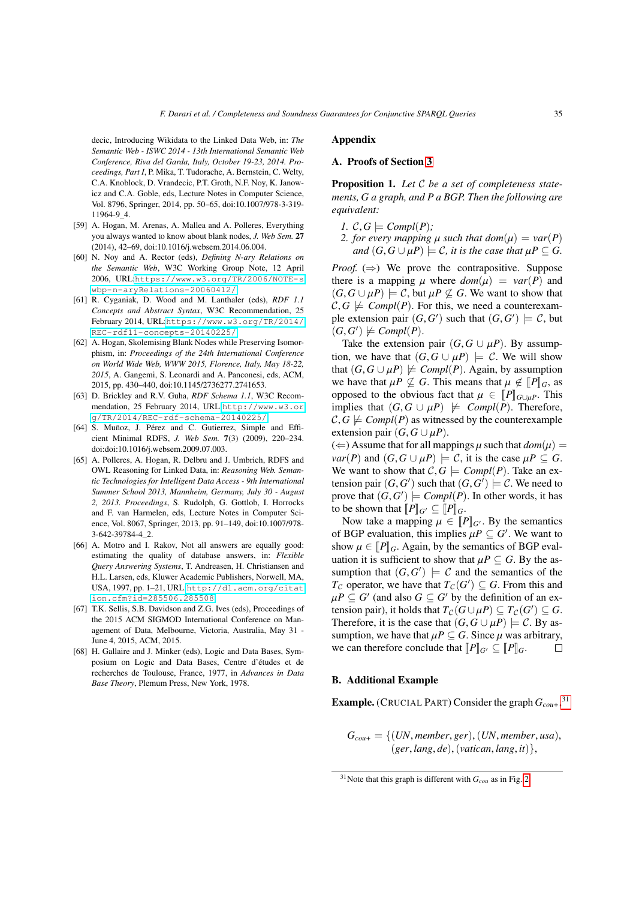decic, Introducing Wikidata to the Linked Data Web, in: *The Semantic Web - ISWC 2014 - 13th International Semantic Web Conference, Riva del Garda, Italy, October 19-23, 2014. Proceedings, Part I*, P. Mika, T. Tudorache, A. Bernstein, C. Welty, C.A. Knoblock, D. Vrandecic, P.T. Groth, N.F. Noy, K. Janowicz and C.A. Goble, eds, Lecture Notes in Computer Science, Vol. 8796, Springer, 2014, pp. 50–65, doi:10.1007/978-3-319- 11964-9\_4.

- <span id="page-34-1"></span>[59] A. Hogan, M. Arenas, A. Mallea and A. Polleres, Everything you always wanted to know about blank nodes, *J. Web Sem.* 27 (2014), 42–69, doi:10.1016/j.websem.2014.06.004.
- <span id="page-34-2"></span>[60] N. Noy and A. Rector (eds), *Defining N-ary Relations on the Semantic Web*, W3C Working Group Note, 12 April 2006, URL:[https://www.w3.org/TR/2006/NOTE-s](https://www.w3.org/TR/2006/NOTE-swbp-n-aryRelations-20060412/) [wbp-n-aryRelations-20060412/](https://www.w3.org/TR/2006/NOTE-swbp-n-aryRelations-20060412/).
- <span id="page-34-3"></span>[61] R. Cyganiak, D. Wood and M. Lanthaler (eds), *RDF 1.1 Concepts and Abstract Syntax*, W3C Recommendation, 25 February 2014, URL:[https://www.w3.org/TR/2014/](https://www.w3.org/TR/2014/REC-rdf11-concepts-20140225/) [REC-rdf11-concepts-20140225/](https://www.w3.org/TR/2014/REC-rdf11-concepts-20140225/).
- <span id="page-34-4"></span>[62] A. Hogan, Skolemising Blank Nodes while Preserving Isomorphism, in: *Proceedings of the 24th International Conference on World Wide Web, WWW 2015, Florence, Italy, May 18-22, 2015*, A. Gangemi, S. Leonardi and A. Panconesi, eds, ACM, 2015, pp. 430–440, doi:10.1145/2736277.2741653.
- <span id="page-34-5"></span>[63] D. Brickley and R.V. Guha, *RDF Schema 1.1*, W3C Recommendation, 25 February 2014, URL:[http://www.w3.or](http://www.w3.org/TR/2014/REC-rdf-schema-20140225/) [g/TR/2014/REC-rdf-schema-20140225/](http://www.w3.org/TR/2014/REC-rdf-schema-20140225/).
- <span id="page-34-6"></span>[64] S. Muñoz, J. Pérez and C. Gutierrez, Simple and Efficient Minimal RDFS, *J. Web Sem.* 7(3) (2009), 220–234. doi:doi:10.1016/j.websem.2009.07.003.
- <span id="page-34-7"></span>[65] A. Polleres, A. Hogan, R. Delbru and J. Umbrich, RDFS and OWL Reasoning for Linked Data, in: *Reasoning Web. Semantic Technologies for Intelligent Data Access - 9th International Summer School 2013, Mannheim, Germany, July 30 - August 2, 2013. Proceedings*, S. Rudolph, G. Gottlob, I. Horrocks and F. van Harmelen, eds, Lecture Notes in Computer Science, Vol. 8067, Springer, 2013, pp. 91–149, doi:10.1007/978- 3-642-39784-4\_2.
- <span id="page-34-8"></span>[66] A. Motro and I. Rakov, Not all answers are equally good: estimating the quality of database answers, in: *Flexible Query Answering Systems*, T. Andreasen, H. Christiansen and H.L. Larsen, eds, Kluwer Academic Publishers, Norwell, MA, USA, 1997, pp. 1–21, URL:[http://dl.acm.org/citat](http://dl.acm.org/citation.cfm?id=285506.285508) [ion.cfm?id=285506.285508](http://dl.acm.org/citation.cfm?id=285506.285508).
- [67] T.K. Sellis, S.B. Davidson and Z.G. Ives (eds), Proceedings of the 2015 ACM SIGMOD International Conference on Management of Data, Melbourne, Victoria, Australia, May 31 - June 4, 2015, ACM, 2015.
- [68] H. Gallaire and J. Minker (eds), Logic and Data Bases, Symposium on Logic and Data Bases, Centre d'études et de recherches de Toulouse, France, 1977, in *Advances in Data Base Theory*, Plemum Press, New York, 1978.

#### Appendix

# A. Proofs of Section [3](#page-5-0)

Proposition 1. *Let* C *be a set of completeness statements, G a graph, and P a BGP. Then the following are equivalent:*

- *1.*  $C$ *,*  $G \models Compl(P)$ *;*
- *2. for every mapping*  $\mu$  *such that dom* $(\mu) = \text{var}(P)$ *and*  $(G, G \cup \mu) \models C$ , *it is the case that*  $\mu$ *P*  $\subseteq$  *G*.

*Proof.*  $(\Rightarrow)$  We prove the contrapositive. Suppose there is a mapping  $\mu$  where  $dom(\mu) = var(P)$  and  $(G, G \cup \mu) \models C$ , but  $\mu P \not\subseteq G$ . We want to show that  $\mathcal{C}, G \not\models Compl(P)$ . For this, we need a counterexample extension pair  $(G, G')$  such that  $(G, G') \models C$ , but  $(G, G') \not\models Compl(P)$  $(G, G') \not\models Compl(P).$ <br>Take the extension

Take the extension pair  $(G, G \cup \mu P)$ . By assumption, we have that  $(G, G \cup \mu P) \models C$ . We will show that  $(G, G \cup \mu P) \not\models Compl(P)$ . Again, by assumption we have that  $\mu P \nsubseteq G$ . This means that  $\mu \notin [P]_G$ , as opposed to the obvious fact that  $\mu \in [P]_{G \cup \mu}$ . This implies that  $(G, G \cup \mu P) \not\models Compl(P)$ . Therefore,  $\mathcal{C}, G \not\models Compl(P)$  as witnessed by the counterexample extension pair  $(G, G \cup \mu P)$ .

 $(\Leftarrow)$  Assume that for all mappings  $\mu$  such that  $dom(\mu) =$ *var*(*P*) and  $(G, G \cup \mu) \models C$ , it is the case  $\mu$ *P*  $\subseteq G$ . We want to show that  $C, G \models Compl(P)$ . Take an extension pair  $(G, G')$  such that  $(G, G') \models C$ . We need to prove that  $(G, G') \models Comp1(P)$  In other words it has prove that  $(G, G') \models Compl(P)$ . In other words, it has to be shown that  $\mathbb{P} \mathbb{P}_{\alpha} \subset \mathbb{P} \mathbb{P}_{\alpha}$ to be shown that  $\llbracket P \rrbracket_{G'} \subseteq \llbracket P \rrbracket_G$ .

Now take a mapping  $\mu \in [P]_{G'}$ . By the semantics of BGP evaluation, this implies  $\mu P \subseteq G'$ . We want to show  $\mu \in \mathbb{P} \mathbb{P}_{\geq 0}$  Again by the semantics of BGP evaluation show  $\mu \in [P]_G$ . Again, by the semantics of BGP evaluation it is sufficient to show that  $\mu P \subseteq G$ . By the assumption that  $(G, G') \models C$  and the semantics of the <br>  $T_a$  operator, we have that  $T_a(G') \subseteq G$ . From this and *T*<sub>C</sub> operator, we have that  $T_c(G') \subseteq G$ . From this and  $\mu P \subseteq G'$  (and also  $G \subseteq G'$  by the definition of an ex-<br>tension pair) it holds that  $T_G(G \cup \mu P) \subset T_G(G') \subset G$ tension pair), it holds that  $T_C(G \cup \mu) \subseteq T_C(G') \subseteq G$ .<br>Therefore it is the case that  $(G, G \cup \mu) \models C$ . By as-Therefore, it is the case that  $(G, G \cup \mu P) \models C$ . By assumption, we have that  $\mu P \subseteq G$ . Since  $\mu$  was arbitrary,<br>we can therefore conclude that  $\llbracket P \rrbracket_{C} \subset \llbracket P \rrbracket_G$ we can therefore conclude that  $[P]_{G'} \subseteq [P]_G$ .

#### <span id="page-34-0"></span>B. Additional Example

Example. (CRUCIAL PART) Consider the graph *Gcou+*, [31](#page-34-9)

 $G_{cou+} = \{(UN, member, ger), (UN, member, usa),$ (*ger*, *lang*, *de*),(*vatican*, *lang*, *it*)},

<span id="page-34-9"></span><sup>&</sup>lt;sup>31</sup>Note that this graph is different with  $G_{cou}$  as in Fig. [2.](#page-5-1)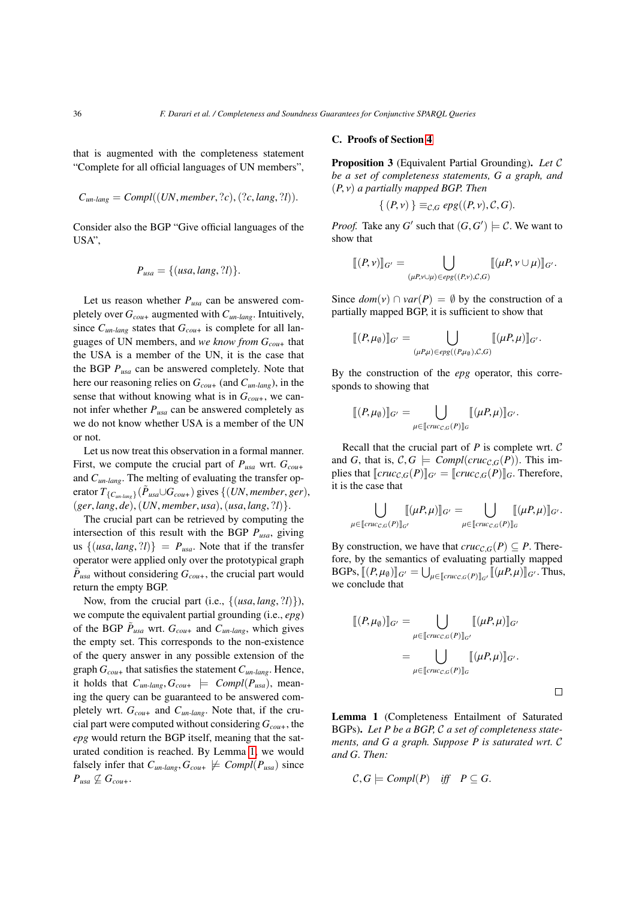that is augmented with the completeness statement "Complete for all official languages of UN members",

$$
C_{un-lang} = Compl((UN, member, ?c), (?c, lang, ?l)).
$$

Consider also the BGP "Give official languages of the USA",

$$
P_{usa} = \{ (usa, lang, ?l) \}.
$$

Let us reason whether  $P_{usa}$  can be answered completely over *Gcou+* augmented with *Cun-lang*. Intuitively, since  $C_{un-lang}$  states that  $G_{cou+}$  is complete for all languages of UN members, and *we know from Gcou+* that the USA is a member of the UN, it is the case that the BGP *Pusa* can be answered completely. Note that here our reasoning relies on *Gcou+* (and *Cun-lang*), in the sense that without knowing what is in *Gcou+*, we cannot infer whether *Pusa* can be answered completely as we do not know whether USA is a member of the UN or not.

Let us now treat this observation in a formal manner. First, we compute the crucial part of  $P_{usa}$  wrt.  $G_{cou+}$ and *Cun-lang*. The melting of evaluating the transfer operator  $T_{\{C_{un-lane}\}}(\tilde{P}_{usa} \cup G_{cou+})$  gives  $\{(UN, member, ger),$  $(ger, lang, de), (UN, member, usa), (usa, lang, ?l).$ 

The crucial part can be retrieved by computing the intersection of this result with the BGP *Pusa*, giving us  $\{(usa, lang, ?l)\}\ = P_{usa}$ . Note that if the transfer operator were applied only over the prototypical graph  $\tilde{P}_{usa}$  without considering  $G_{cou+}$ , the crucial part would return the empty BGP.

Now, from the crucial part (i.e.,  $\{(usa, lang, ?l)\},\$ we compute the equivalent partial grounding (i.e., *epg*) of the BGP  $\tilde{P}_{usa}$  wrt.  $G_{cou+}$  and  $C_{un-lang}$ , which gives the empty set. This corresponds to the non-existence of the query answer in any possible extension of the graph *Gcou+* that satisfies the statement *Cun-lang*. Hence, it holds that  $C_{un-lang}$ ,  $G_{cou+}$   $\models$   $Compl(P_{usa})$ , meaning the query can be guaranteed to be answered completely wrt. *Gcou+* and *Cun-lang*. Note that, if the crucial part were computed without considering *Gcou+*, the *epg* would return the BGP itself, meaning that the saturated condition is reached. By Lemma [1,](#page-10-3) we would falsely infer that  $C_{un-lang}$ ,  $G_{cou+} \not\models Compl(P_{usa})$  since  $P_{usa} \nsubseteq G_{cou+}.$ 

# C. Proofs of Section [4](#page-8-0)

Proposition 3 (Equivalent Partial Grounding). *Let* C *be a set of completeness statements, G a graph, and* (*P*, ν) *a partially mapped BGP. Then*

$$
\{ (P, v) \} \equiv_{\mathcal{C}, G} \text{epg}((P, v), \mathcal{C}, G).
$$

*Proof.* Take any *G*<sup> $\prime$ </sup> such that  $(G, G') \models C$ . We want to show that show that

$$
[\![ (P, \nu) ]\!]_{G'} = \bigcup_{(\mu P, \nu \cup \mu) \in \text{epg}((P, \nu), \mathcal{C}, G)} [\![ (\mu P, \nu \cup \mu) ]\!]_{G'}.
$$

Since  $dom(v) \cap var(P) = \emptyset$  by the construction of a partially mapped BGP, it is sufficient to show that

$$
[\![ (P,\mu_{\emptyset}) ]\!]_{G'} = \bigcup_{(\mu P,\mu) \in \text{epg}((P,\mu_{\emptyset}),\mathcal{C},G)} [\![ (\mu P,\mu) ]\!]_{G'}.
$$

By the construction of the *epg* operator, this corresponds to showing that

$$
[\![ (P,\mu_{\emptyset}) ]\!]_{G'} = \bigcup_{\mu \in [\![\mathit{crucc},\mathit{G}(P)]\!]_{G}} [\![ (\mu P,\mu) ]\!]_{G'}.
$$

Recall that the crucial part of  $P$  is complete wrt.  $C$ and *G*, that is,  $C$ ,  $G \models \text{Compl}(\text{cruc}_{C,G}(P))$ . This implies that  $\llbracket \text{crucc}_{\mathcal{C},G}(P) \rrbracket_{G'} = \llbracket \text{crucc}_{\mathcal{C},G}(P) \rrbracket_G$ . Therefore, it is the case that

$$
\bigcup_{\mu \in [\text{crucc}, G(P)]_{G'}} [\!\! [\mu P, \mu] \!\!]_{G'} = \bigcup_{\mu \in [\text{crucc}, G(P)]_G} [\!\! [\mu P, \mu] \!\!]_{G'}.
$$

By construction, we have that  $cruc_{\mathcal{C},G}(P) \subseteq P$ . Therefore, by the semantics of evaluating partially mapped  $BGBs, \llbracket (P, \mu_{\emptyset}) \rrbracket_{G'} = \bigcup_{\mu \in \llbracket \text{cruc}_{C,G}(P) \rrbracket_{G'}} \llbracket (\mu P, \mu) \rrbracket_{G'}.$  Thus, we conclude that

$$
[[P,\mu_{\emptyset})]]_{G'} = \bigcup_{\mu \in [crucc, G(P)]_{G'}} [[(\mu P, \mu)]]_{G'}
$$

$$
= \bigcup_{\mu \in [crucc, G(P)]_{G}} [[(\mu P, \mu)]]_{G'}.
$$

Lemma 1 (Completeness Entailment of Saturated BGPs). *Let P be a BGP,* C *a set of completeness statements, and G a graph. Suppose P is saturated wrt.* C *and G. Then:*

$$
C, G \models Compl(P) \quad \text{iff} \quad P \subseteq G.
$$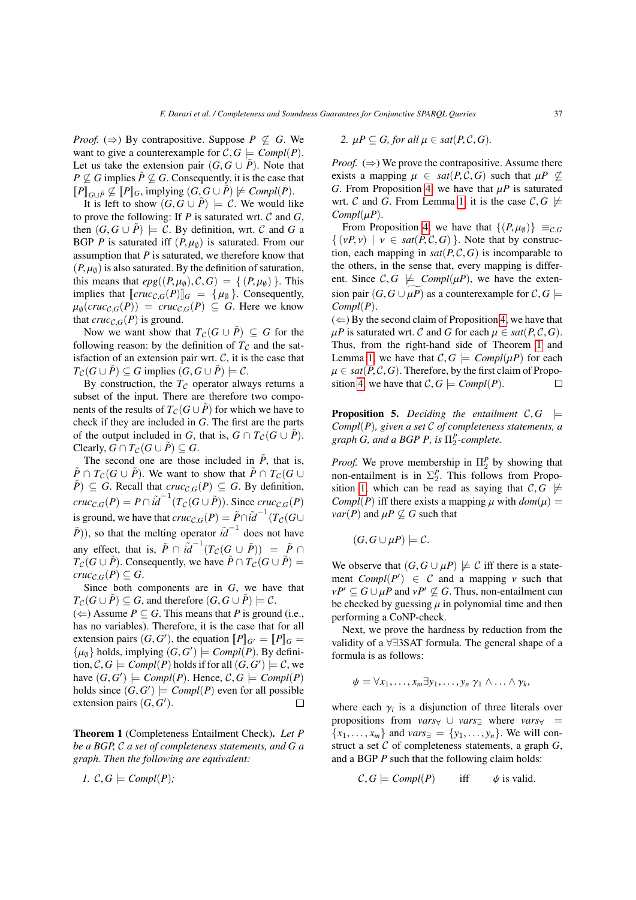*Proof.* ( $\Rightarrow$ ) By contrapositive. Suppose *P*  $\subseteq$  *G*. We want to give a counterexample for  $\mathcal{C}, G \models Compl(P)$ . Let us take the extension pair  $(G, G \cup \tilde{P})$ . Note that *P*  $\not\subseteq$  *G* implies  $\tilde{P} \not\subseteq G$ . Consequently, it is the case that <sup>J</sup>*P*K*<sup>G</sup>*∪*P*˜ 6⊆ <sup>J</sup>*P*K*<sup>G</sup>*, implying (*G*,*<sup>G</sup>* <sup>∪</sup> *<sup>P</sup>*˜) 6|<sup>=</sup> *Compl*(*P*).

It is left to show  $(G, G \cup \tilde{P}) \models C$ . We would like to prove the following: If *P* is saturated wrt. C and *G*, then  $(G, G \cup \tilde{P}) \models C$ . By definition, wrt. C and G a BGP *P* is saturated iff  $(P, \mu_{\emptyset})$  is saturated. From our assumption that *P* is saturated, we therefore know that  $(P, \mu_{\emptyset})$  is also saturated. By the definition of saturation, this means that  $epg((P,\mu_{\emptyset}),\mathcal{C},G) = \{ (P,\mu_{\emptyset}) \}$ . This implies that  $\llbracket \text{cruc}_{\mathcal{C},G}(P) \rrbracket_G = \{ \mu_{\emptyset} \}$ . Consequently,  $\mu_{\emptyset}(cruc_{\mathcal{C},G}(P)) = cruc_{\mathcal{C},G}(P) \subseteq G$ . Here we know that  $cruc_{\mathcal{C},G}(P)$  is ground.

Now we want show that  $T_C(G \cup \tilde{P}) \subseteq G$  for the following reason: by the definition of  $T_c$  and the satisfaction of an extension pair wrt.  $C$ , it is the case that  $T_{\mathcal{C}}(G \cup \tilde{P}) \subseteq G$  implies  $(G, G \cup \tilde{P}) \models \mathcal{C}$ .

By construction, the  $T_C$  operator always returns a subset of the input. There are therefore two components of the results of  $T_C(G \cup \tilde{P})$  for which we have to check if they are included in *G*. The first are the parts of the output included in *G*, that is,  $G \cap T_{\mathcal{C}}(G \cup \tilde{P})$ . Clearly,  $G \cap T_{\mathcal{C}}(G \cup \tilde{P}) \subseteq G$ .

The second one are those included in  $\tilde{P}$ , that is,  $\tilde{P} \cap T_C(G \cup \tilde{P})$ . We want to show that  $\tilde{P} \cap T_C(G \cup \tilde{P})$  $\tilde{P}$ )  $\subseteq$  *G*. Recall that *cruc<sub>C,G</sub>*( $P$ )  $\subseteq$  *G*. By definition,  $\mathcal{C}$ *cruc*<sub>C,*G*</sub>(*P*) =  $P \cap \tilde{id}^{-1}(T_{\mathcal{C}}(G \cup \tilde{P}))$ . Since  $\mathcal{C}$ *cruc*<sub>C,*G*</sub>(*P*) is ground, we have that  $cruc_{C,G}(P) = \tilde{P} \cap \tilde{id}^{-1}(T_C(G \cup \tilde{C}))$  $(\tilde{P})$ ), so that the melting operator  $\tilde{id}^{-1}$  does not have any effect, that is,  $\tilde{P} \cap \tilde{id}^{-1}(T_{\mathcal{C}}(G \cup \tilde{P})) = \tilde{P} \cap$ *T*<sub>C</sub>(*G* ∪  $\tilde{P}$ ). Consequently, we have  $\tilde{P} \cap T_C(G \cup \tilde{P}) =$  $cruc_{\mathcal{C},G}(P) \subseteq G$ .

Since both components are in *G*, we have that  $T_{\mathcal{C}}(G \cup P) \subseteq G$ , and therefore  $(G, G \cup P) \models \mathcal{C}$ .

(*∈*) Assume *P* ⊆ *G*. This means that *P* is ground (i.e., has no variables). Therefore, it is the case that for all extension pairs  $(G, G')$ , the equation  $[P]_{G'} = [P]_G =$ <br> $\mathcal{L}_{H\alpha}$ , holds implying  $(G, G')$  = Compl(P). By defini- $\{\mu_{\emptyset}\}\$  holds, implying  $(G, G') \models Compl(P)$ . By definition  $C, G \models Compl(P)$  holds if for all  $(G, G') \models C$  we tion,  $C, G \models Compl(P)$  holds if for all  $(G, G') \models C$ , we<br>have  $(G, G') \models Compl(P)$ . Hence  $C, G \models Compl(P)$ have  $(G, G') \models Compl(P)$ . Hence,  $C, G \models Compl(P)$ <br>holds since  $(G, G') \models Compl(P)$  even for all possible holds since  $(G, G') \models Compl(P)$  even for all possible<br>extension pairs  $(G, G')$ extension pairs  $(G, G')$ .  $\Box$ 

Theorem 1 (Completeness Entailment Check). *Let P be a BGP,* C *a set of completeness statements, and G a graph. Then the following are equivalent:*

$$
1. C, G \models Compl(P);
$$

$$
2. \ \mu P \subseteq G, \text{ for all } \mu \in \text{sat}(P, C, G).
$$

*Proof.*  $(\Rightarrow)$  We prove the contrapositive. Assume there exists a mapping  $\mu \in sat(P, C, G)$  such that  $\mu P \nsubseteq$ *G*. From Proposition [4,](#page-11-2) we have that  $\mu$ *P* is saturated wrt. C and G. From Lemma [1,](#page-10-3) it is the case  $\mathcal{C}, G \not\models$  $Compl(\mu P)$ .

From Proposition [4,](#page-11-2) we have that  $\{(P, \mu_{\emptyset})\}\equiv_{\mathcal{C}, G}$  $\{ (vP, v) \mid v \in sat(P, C, G) \}$ . Note that by construction, each mapping in  $sat(P, C, G)$  is incomparable to the others, in the sense that, every mapping is different. Since  $C, G \not\models Compl(\mu P)$ , we have the extension pair  $(G, G \cup \mu)$  as a counterexample for  $C, G \models$ *Compl*(*P*).

 $(\Leftarrow)$  By the second claim of Proposition [4,](#page-11-2) we have that  $\mu P$  is saturated wrt. C and G for each  $\mu \in sat(P, C, G)$ . Thus, from the right-hand side of Theorem [1](#page-11-1) and Lemma [1,](#page-10-3) we have that  $C, G \models Compl(\mu P)$  for each  $\mu \in sat(P, C, G)$ . Therefore, by the first claim of Proposition 4. we have that  $C, G \models Compl(P)$ . sition [4,](#page-11-2) we have that  $C$ ,  $G \models Compl(P)$ .

**Proposition 5.** *Deciding the entailment*  $C, G$   $\models$ *Compl*(*P*)*, given a set* C *of completeness statements, a graph G*, *and a BGP P*, *is*  $\Pi_2^P$ -*complete.* 

*Proof.* We prove membership in  $\Pi_2^P$  by showing that non-entailment is in  $\Sigma_2^P$ . This follows from Propo-sition [1,](#page-7-1) which can be read as saying that  $\mathcal{C}, G \not\models$ *Compl*(*P*) iff there exists a mapping  $\mu$  with  $dom(\mu)$  = *var*(*P*) and  $\mu$ *P*  $\subseteq$  *G* such that

$$
(G, G \cup \mu P) \models C.
$$

We observe that  $(G, G \cup \mu P) \not\models C$  iff there is a statement *Compl*(*P'*)  $\in$  *C* and a mapping *v* such that  $vP' \subset G \cup uP$  and  $vP' \subset G$ . Thus, non-entailment can  $vP' \subseteq G \cup \mu P$  and  $vP' \nsubseteq G$ . Thus, non-entailment can<br>be checked by quessing  $\mu$  in polynomial time and then be checked by guessing  $\mu$  in polynomial time and then performing a CoNP-check.

Next, we prove the hardness by reduction from the validity of a ∀∃3SAT formula. The general shape of a formula is as follows:

$$
\psi = \forall x_1, \ldots, x_m \exists y_1, \ldots, y_n \ \gamma_1 \wedge \ldots \wedge \gamma_k,
$$

where each  $\gamma_i$  is a disjunction of three literals over<br>propositions from varse livers, where varse  $\gamma$ propositions from *vars*<sup>∀</sup> ∪ *vars*<sup>∃</sup> where *vars*<sup>∀</sup> =  ${x_1, ..., x_m}$  and *vars*<sub> $\exists$ </sub> = {*y*<sub>1</sub>, ..., *y<sub>n</sub>*}. We will construct a set C of completeness statements, a graph *G*, and a BGP *P* such that the following claim holds:

$$
C, G \models Compl(P) \qquad \text{iff} \qquad \psi \text{ is valid.}
$$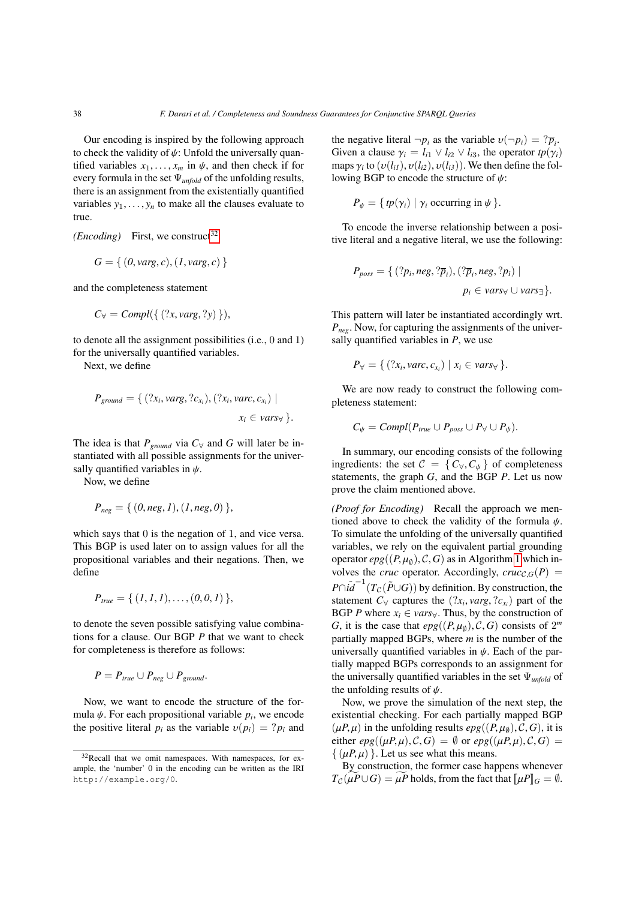Our encoding is inspired by the following approach to check the validity of  $\psi$ : Unfold the universally quantified variables  $x_1, \ldots, x_m$  in  $\psi$ , and then check if for every formula in the set Ψ*unfold* of the unfolding results, there is an assignment from the existentially quantified variables  $y_1, \ldots, y_n$  to make all the clauses evaluate to true.

*(Encoding)* First, we construct<sup>[32](#page-37-0)</sup>

$$
G = \{ (0, \text{varg}, c), (1, \text{varg}, c) \}
$$

and the completeness statement

$$
C_{\forall} = Compl(\{ (?x, varg, ?y) \}),
$$

to denote all the assignment possibilities (i.e., 0 and 1) for the universally quantified variables.

Next, we define

$$
P_{ground} = \{ (?x_i, varg, ?c_{x_i}), (?x_i, varc, c_{x_i}) |
$$

$$
x_i \in vars_{\forall} \}.
$$

The idea is that  $P_{ground}$  via  $C_{\forall}$  and  $G$  will later be instantiated with all possible assignments for the universally quantified variables in  $\psi$ .

Now, we define

$$
P_{neg} = \{ (0, neg, 1), (1, neg, 0) \},
$$

which says that 0 is the negation of 1, and vice versa. This BGP is used later on to assign values for all the propositional variables and their negations. Then, we define

$$
P_{true} = \{ (1,1,1), \ldots, (0,0,1) \},
$$

to denote the seven possible satisfying value combinations for a clause. Our BGP *P* that we want to check for completeness is therefore as follows:

$$
P = P_{true} \cup P_{neg} \cup P_{ground}.
$$

Now, we want to encode the structure of the formula  $\psi$ . For each propositional variable  $p_i$ , we encode the positive literal  $p_i$  as the variable  $y(p_i) = 2p_i$  and the positive literal  $p_i$  as the variable  $v(p_i) = ?p_i$  and

the negative literal  $\neg p_i$  as the variable  $\nu(\neg p_i) = ?\overline{p}_i$ .<br>Given a clause  $\nu_i = l_i \vee l_i \wedge l_i$ , the operator  $tn(\nu_i)$ Given a clause  $\gamma_i = l_{i1} \vee l_{i2} \vee l_{i3}$ , the operator  $tp(\gamma_i)$ maps  $\gamma_i$  to  $(\nu(l_{iI}), \nu(l_{i2}), \nu(l_{i3}))$ . We then define the fol-<br>lowing BGP to encode the structure of  $\psi$ lowing BGP to encode the structure of  $\psi$ :

$$
P_{\psi} = \{ tp(\gamma_i) \mid \gamma_i \text{ occurring in } \psi \}.
$$

To encode the inverse relationship between a positive literal and a negative literal, we use the following:

$$
P_{poss} = \{ (?p_i, neg, ?\overline{p}_i), (? \overline{p}_i, neg, ?p_i) \mid
$$
  

$$
p_i \in vars_{\forall} \cup vars_{\exists} \}.
$$

This pattern will later be instantiated accordingly wrt. *Pneg*. Now, for capturing the assignments of the universally quantified variables in *P*, we use

$$
P_{\forall} = \{ (?x_i, \text{varc}, c_{x_i}) \mid x_i \in \text{vars}_{\forall} \}.
$$

We are now ready to construct the following completeness statement:

$$
C_{\psi} = Compl(P_{true} \cup P_{poss} \cup P_{\forall} \cup P_{\psi}).
$$

In summary, our encoding consists of the following ingredients: the set  $C = \{C_{\forall}, C_{\psi}\}\$  of completeness statements, the graph *G*, and the BGP *P*. Let us now prove the claim mentioned above.

*(Proof for Encoding)* Recall the approach we mentioned above to check the validity of the formula  $\psi$ . To simulate the unfolding of the universally quantified variables, we rely on the equivalent partial grounding operator  $epg((P, \mu_{\emptyset}), C, G)$  as in Algorithm [1](#page-11-0) which involves the *cruc* operator. Accordingly,  $cruc_{C,G}(P)$  =  $P \cap i \tilde{d}^{-1}(T_{\mathcal{C}}(\tilde{P} \cup G))$  by definition. By construction, the statement  $C_\forall$  captures the  $(?x_i, \text{varg}, ?c_{x_i})$  part of the RGP *P* where  $x_i \in \text{vars}$ . Thus, by the construction of BGP *P* where  $x_i \in \text{vars}_{\forall}$ . Thus, by the construction of *G*, it is the case that  $epg((P,\mu_{\emptyset}), C, G)$  consists of  $2^m$ <br>partially manned BGPs, where m is the number of the partially mapped BGPs, where *m* is the number of the universally quantified variables in  $\psi$ . Each of the partially mapped BGPs corresponds to an assignment for the universally quantified variables in the set Ψ*unfold* of the unfolding results of  $\psi$ .

Now, we prove the simulation of the next step, the existential checking. For each partially mapped BGP  $(\mu P, \mu)$  in the unfolding results  $epg((P, \mu_{\emptyset}), C, G)$ , it is either  $epg((\mu P, \mu), C, G) = \emptyset$  or  $epg((\mu P, \mu), C, G) =$  $\{(\mu P, \mu)\}\.$  Let us see what this means.

By construction, the former case happens whenever  $T_{\mathcal{C}}(\widetilde{\mu P} \cup G) = \widetilde{\mu P}$  holds, from the fact that  $[\mu P]_G = \emptyset$ .

<span id="page-37-0"></span> $32$ Recall that we omit namespaces. With namespaces, for example, the 'number' 0 in the encoding can be written as the IRI http://example.org/0.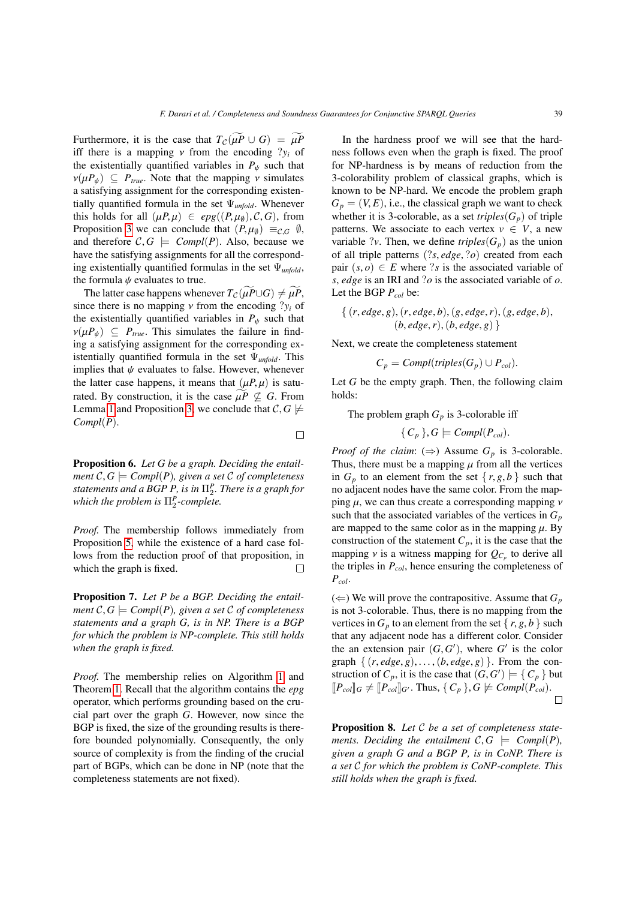Furthermore, it is the case that  $T_c(\mu P \cup G) = \mu P$ iff there is a mapping  $\nu$  from the encoding ?*y<sub>i</sub>* of the existentially quantified variables in  $P_{\psi}$  such that  $\nu(\mu P_{\psi}) \subseteq P_{true}$ . Note that the mapping *v* simulates a satisfying assignment for the corresponding existentially quantified formula in the set Ψ*unfold*. Whenever this holds for all  $(\mu P, \mu) \in epg((P, \mu_{\emptyset}), C, G)$ , from Proposition [3](#page-10-2) we can conclude that  $(P, \mu_{\emptyset}) \equiv_{C} G$   $\emptyset$ , and therefore  $C, G \models Compl(P)$ . Also, because we have the satisfying assignments for all the corresponding existentially quantified formulas in the set Ψ*unfold*, the formula  $\psi$  evaluates to true.

The latter case happens whenever  $T_{\mathcal{C}}(\widetilde{\mu P} \cup G) \neq \widetilde{\mu P}$ , since there is no mapping  $\nu$  from the encoding ?*y<sub>i</sub>* of the existentially quantified variables in  $P_{\psi}$  such that  $\nu(\mu P_{\psi}) \subseteq P_{true}$ . This simulates the failure in finding a satisfying assignment for the corresponding existentially quantified formula in the set  $\Psi_{unfold}$ . This implies that  $\psi$  evaluates to false. However, whenever the latter case happens, it means that  $(\mu P, \mu)$  is saturated. By construction, it is the case  $\mu P \nsubseteq G$ . From Lemma [1](#page-10-3) and Proposition [3,](#page-10-2) we conclude that  $\mathcal{C}, G \not\models$ *Compl*(*P*).

Proposition 6. *Let G be a graph. Deciding the entailment*  $C$ *,*  $G \models Compl(P)$ *, given a set* C *of completeness statements and a BGP P, is in* Π*<sup>P</sup>* 2 *. There is a graph for* which the problem is  $\Pi_2^P$ -complete.

*Proof.* The membership follows immediately from Proposition [5,](#page-12-0) while the existence of a hard case follows from the reduction proof of that proposition, in which the graph is fixed.  $\Box$ 

Proposition 7. *Let P be a BGP. Deciding the entailment*  $C$ *,*  $G \models Compl(P)$ *, given a set*  $C$  *of completeness statements and a graph G, is in NP. There is a BGP for which the problem is NP-complete. This still holds when the graph is fixed.*

*Proof.* The membership relies on Algorithm [1](#page-11-0) and Theorem [1.](#page-11-1) Recall that the algorithm contains the *epg* operator, which performs grounding based on the crucial part over the graph *G*. However, now since the BGP is fixed, the size of the grounding results is therefore bounded polynomially. Consequently, the only source of complexity is from the finding of the crucial part of BGPs, which can be done in NP (note that the completeness statements are not fixed).

In the hardness proof we will see that the hardness follows even when the graph is fixed. The proof for NP-hardness is by means of reduction from the 3-colorability problem of classical graphs, which is known to be NP-hard. We encode the problem graph  $G_p = (V, E)$ , i.e., the classical graph we want to check whether it is 3-colorable, as a set *triples*( $G_p$ ) of triple patterns. We associate to each vertex  $v \in V$ , a new variable ?*v*. Then, we define *triples*( $G_p$ ) as the union of all triple patterns (?*s*, *edge*, ?*o*) created from each pair  $(s, o) \in E$  where ?*s* is the associated variable of *s*, *edge* is an IRI and ?*o* is the associated variable of *o*. Let the BGP *Pcol* be:

$$
\{(r, edge, g), (r, edge, b), (g, edge, r), (g, edge, b), (b, edge, r), (b, edge, g)\}
$$

Next, we create the completeness statement

 $C_p = Compl(triples(G_p) \cup P_{col})$ .

Let *G* be the empty graph. Then, the following claim holds:

The problem graph  $G_p$  is 3-colorable iff

$$
\{C_p\}, G \models Compl(P_{col}).
$$

*Proof of the claim*: ( $\Rightarrow$ ) Assume *G<sub>p</sub>* is 3-colorable. Thus, there must be a mapping  $\mu$  from all the vertices in  $G_p$  to an element from the set  $\{r, g, b\}$  such that no adjacent nodes have the same color. From the mapping  $\mu$ , we can thus create a corresponding mapping  $\nu$ such that the associated variables of the vertices in  $G_p$ are mapped to the same color as in the mapping  $\mu$ . By construction of the statement  $C_p$ , it is the case that the mapping *v* is a witness mapping for  $Q_{C_p}$  to derive all<br>the triples in *P*, bence ensuring the completeness of the triples in *Pcol*, hence ensuring the completeness of *Pcol*.

( $\Leftarrow$ ) We will prove the contrapositive. Assume that  $G_p$ is not 3-colorable. Thus, there is no mapping from the vertices in  $G_p$  to an element from the set  $\{r, g, b\}$  such that any adjacent node has a different color. Consider the an extension pair  $(G, G')$ , where  $G'$  is the color<br>oranh  $f(r, gdeg, g)$  (*h*,  $gdeg, g$ ) From the congraph  $\{(r, edge, g), \ldots, (b, edge, g)\}\$ . From the construction of  $C_p$ , it is the case that  $(G, G') \models \{C_p\}$  but<br>  $\mathbb{F}_{p}$ ,  $\mathbb{F}_{q} \neq \mathbb{F}_{p}$ ,  $\mathbb{F}_{q}$ ,  $\mathbb{F}_{q}$ ,  $\mathbb{F}_{q}$ ,  $\mathbb{F}_{q}$ ,  $\mathbb{F}_{q}$ ,  $\mathbb{F}_{q}$ ,  $\mathbb{F}_{q}$ ,  $\mathbb{F}_{q}$ ,  $\mathbb{F}_{q}$ ,  $\mathbb{F}_{q}$ ,  $\mathbb{F}_{$  $[P_{col}]_G \neq [P_{col}]_G'$ . Thus,  $\{C_p\}$ ,  $G \not\models Compl(P_{col})$ .  $\Box$ 

Proposition 8. *Let* C *be a set of completeness statements. Deciding the entailment*  $C, G \models Compl(P)$ *, given a graph G and a BGP P, is in CoNP. There is a set* C *for which the problem is CoNP-complete. This still holds when the graph is fixed.*

 $\Box$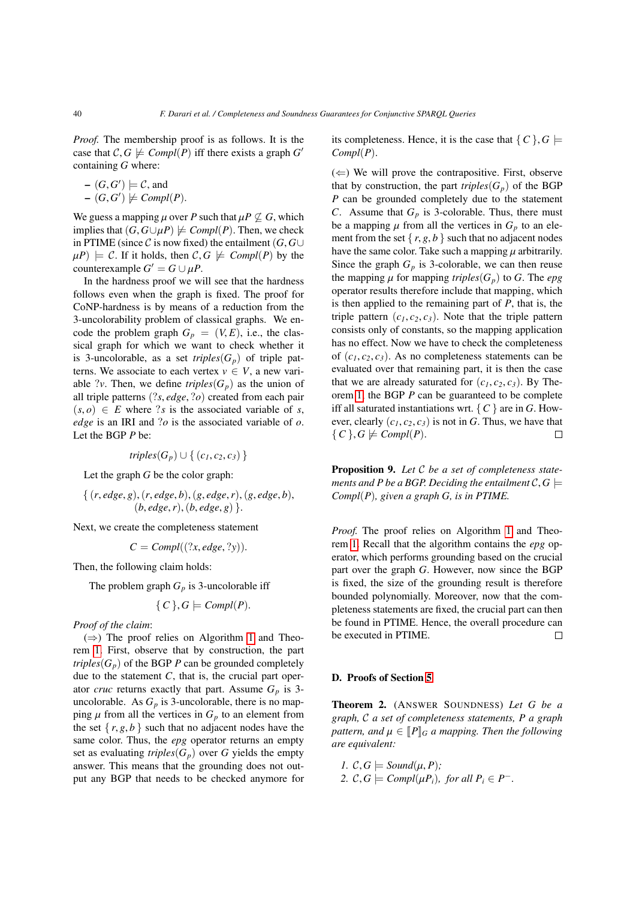*Proof.* The membership proof is as follows. It is the case that  $C$ ,  $G \not\models Compl(P)$  iff there exists a graph  $G'$ <br>containing  $G$  where: containing *G* where:

$$
-(G, G') \models C, \text{ and} -(G, G') \not\models Compl(P).
$$

We guess a mapping  $\mu$  over *P* such that  $\mu P \not\subseteq G$ , which implies that  $(G, G \cup \mu P) \not\models Compl(P)$ . Then, we check in PTIME (since  $\mathcal C$  is now fixed) the entailment (*G*,  $G \cup$  $\mu(P) \models C$ . If it holds, then  $C, G \not\models Compl(P)$  by the counterexample  $G' = G \cup \mu P$ .<br>In the hardness proof we w

In the hardness proof we will see that the hardness follows even when the graph is fixed. The proof for CoNP-hardness is by means of a reduction from the 3-uncolorability problem of classical graphs. We encode the problem graph  $G_p = (V, E)$ , i.e., the classical graph for which we want to check whether it is 3-uncolorable, as a set *triples*( $G_p$ ) of triple patterns. We associate to each vertex  $v \in V$ , a new variable ?*v*. Then, we define *triples*( $G_p$ ) as the union of all triple patterns (?*s*, *edge*, ?*o*) created from each pair  $(s, o) \in E$  where ?*s* is the associated variable of *s*, *edge* is an IRI and ?*o* is the associated variable of *o*. Let the BGP *P* be:

$$
triples(G_p) \cup \{ (c_1, c_2, c_3) \}
$$

Let the graph *G* be the color graph:

$$
\{(r, edge, g), (r, edge, b), (g, edge, r), (g, edge, b), (b, edge, r), (b, edge, g)\}.
$$

Next, we create the completeness statement

$$
C = Compl((?x, edge, ?y)).
$$

Then, the following claim holds:

The problem graph  $G_p$  is 3-uncolorable iff

$$
\{C\}, G \models Compl(P).
$$

*Proof of the claim*:

 $(\Rightarrow)$  The proof relies on Algorithm [1](#page-11-0) and Theorem [1.](#page-11-1) First, observe that by construction, the part *triples*( $G_p$ ) of the BGP *P* can be grounded completely due to the statement  $C$ , that is, the crucial part operator *cruc* returns exactly that part. Assume  $G_p$  is 3uncolorable. As  $G_p$  is 3-uncolorable, there is no mapping  $\mu$  from all the vertices in  $G_p$  to an element from the set  $\{r, g, b\}$  such that no adjacent nodes have the same color. Thus, the *epg* operator returns an empty set as evaluating *triples*( $G_p$ ) over  $G$  yields the empty answer. This means that the grounding does not output any BGP that needs to be checked anymore for its completeness. Hence, it is the case that  $\{C\}, G \models$ *Compl*(*P*).

 $(\Leftarrow)$  We will prove the contrapositive. First, observe that by construction, the part *triples*( $G_p$ ) of the BGP *P* can be grounded completely due to the statement *C*. Assume that *G<sup>p</sup>* is 3-colorable. Thus, there must be a mapping  $\mu$  from all the vertices in  $G_p$  to an element from the set  $\{r, g, b\}$  such that no adjacent nodes have the same color. Take such a mapping  $\mu$  arbitrarily. Since the graph  $G_p$  is 3-colorable, we can then reuse the mapping  $\mu$  for mapping *triples*( $G_p$ ) to *G*. The *epg* operator results therefore include that mapping, which is then applied to the remaining part of *P*, that is, the triple pattern  $(c_1, c_2, c_3)$ . Note that the triple pattern consists only of constants, so the mapping application has no effect. Now we have to check the completeness of  $(c_1, c_2, c_3)$ . As no completeness statements can be evaluated over that remaining part, it is then the case that we are already saturated for  $(c_1, c_2, c_3)$ . By Theorem [1,](#page-11-1) the BGP *P* can be guaranteed to be complete iff all saturated instantiations wrt.  $\{C\}$  are in *G*. However, clearly  $(c_1, c_2, c_3)$  is not in *G*. Thus, we have that  $\{C\}$ ,  $G \not\models Comol(P)$ .  $\{C\}, G \not\models Compl(P).$ 

Proposition 9. *Let* C *be a set of completeness statements and P be a BGP. Deciding the entailment*  $C, G \models$ *Compl*(*P*)*, given a graph G, is in PTIME.*

*Proof.* The proof relies on Algorithm [1](#page-11-0) and Theorem [1.](#page-11-1) Recall that the algorithm contains the *epg* operator, which performs grounding based on the crucial part over the graph *G*. However, now since the BGP is fixed, the size of the grounding result is therefore bounded polynomially. Moreover, now that the completeness statements are fixed, the crucial part can then be found in PTIME. Hence, the overall procedure can be executed in PTIME.  $\Box$ 

### D. Proofs of Section [5](#page-13-0)

Theorem 2. (ANSWER SOUNDNESS) *Let G be a graph,* C *a set of completeness statements, P a graph pattern, and*  $\mu \in [P]_G$  *a mapping. Then the following are equivalent:*

1. 
$$
C, G \models Sound(\mu, P)
$$
;  
2.  $C, G \models Compl(\mu P_i)$ , for all  $P_i \in P^-$ .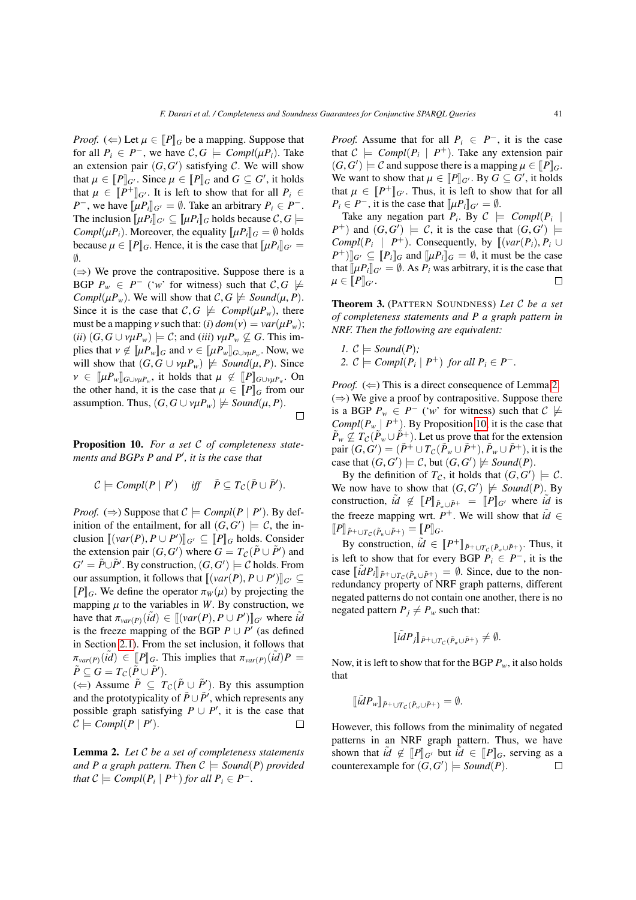$\Box$ 

*Proof.* ( $\Leftarrow$ ) Let  $\mu \in [P]_G$  be a mapping. Suppose that for all  $P_i \in P^-$ , we have  $C, G \models Compl(\mu P_i)$ . Take an extension pair  $(G, G')$  satisfying C. We will show<br>that  $U \subseteq \mathbb{P}^{\mathbb{R}}$  satisfying  $U \subseteq \mathbb{P}^{\mathbb{R}}$  and  $G \subseteq G'$  it holds that  $\mu \in [P]_{G'}$ . Since  $\mu \in [P]_G$  and  $G \subseteq G'$ , it holds<br>that  $\mu \in [P^+]_{\infty}$ . It is left to show that for all  $P \subseteq G$ that  $\mu \in [P^+]_{G'}$ . It is left to show that for all  $P_i \in P^-$  we have  $[\mu P_{i}]_{\alpha} = \emptyset$ . Take an arbitrary  $P_{i} \in P^-$ *P*<sup>−</sup>, we have  $[\mu P_i]_{G} = \emptyset$ . Take an arbitrary  $P_i \in P^-$ .<br>The inclusion  $[\mu P_i]_{G} \subset [\mu P_i]_{G}$  holds because  $\mathcal{C} \subset \Box$ The inclusion  $[\mu P_i]_{G'} \subseteq [\mu P_i]_G$  holds because  $\mathcal{C}, G \models$ *Compl*( $\mu P_i$ ). Moreover, the equality  $[\mu P_i]_G = \emptyset$  holds because  $\mu \in [P]_G$ . Hence, it is the case that  $[\mu P_i]_{G'} =$ ∅.

 $(\Rightarrow)$  We prove the contrapositive. Suppose there is a BGP  $P_w \text{ } \in P^-$  ('*w*' for witness) such that  $C$ ,  $G \not\models$ <br>Controlled by We will show that  $C \subseteq \text{ } \nvdash$  Sound(*u*, *P*) *Compl*( $\mu P_w$ ). We will show that  $C, G \not\models Sound(\mu, P)$ . Since it is the case that  $C, G \not\models Compl(\mu P_w)$ , there must be a mapping *v* such that: (*i*)  $dom(v) = var(\mu P_w)$ ;  $(iii)$   $(G, G \cup \nu \mu P_w) \models C$ ; and  $(iii)$   $\nu \mu P_w \not\subseteq G$ . This implies that  $v \notin [\![\mu P_w]\!]_G$  and  $v \in [\![\mu P_w]\!]_{G \cup \nu \mu P_w}$ . Now, we will show that  $(G, G \cup \nu P) \models \text{Sum}(G, P)$  since will show that  $(G, G \cup \nu \mu P_w) \not\models Sound(\mu, P)$ . Since  $\nu \in [\![\mu]\!]_{G \cup \nu \mu} P_w$ , it holds that  $\mu \notin [\![P]\!]_{G \cup \nu \mu} P_w$ . On the other hand it is the case that  $\mu \in [\![P]\!]_{G \cup \nu \mu} P_w$ . the other hand, it is the case that  $\mu \in [P]_G$  from our assumption. Thus,  $(G, G \cup \nu \mu P_w) \not\models Sound(\mu, P)$ .

Proposition 10. *For a set* C *of completeness statements and BGPs P and P* 0 *, it is the case that*

$$
C \models Compl(P \mid P') \quad \text{iff} \quad \tilde{P} \subseteq T_{\mathcal{C}}(\tilde{P} \cup \tilde{P}').
$$

*Proof.* ( $\Rightarrow$ ) Suppose that  $C \models Compl(P \mid P')$ . By definition of the entailment, for all  $(G, G') \models C$ , the in-<br>clusion  $\mathbb{I}(var(P), P \cup P') \mathbb{I}_{\alpha} \subset \mathbb{I}_{\alpha} P^{\parallel}$  bolds. Consider clusion  $[(\text{var}(P), P \cup P')]_{G'} \subseteq [P]_G$  holds. Consider<br>the extension pair  $(G, G')$  where  $G = T_G(\tilde{P} \cup \tilde{P}')$  and the extension pair  $(G, G')$  where  $G = T_C(\tilde{P} \cup \tilde{P}')$  and  $G' = \tilde{P} \cup \tilde{P}'$ . By construction  $(G, G') \models C$  holds. From  $G' = \tilde{P} \cup \tilde{P}'$ . By construction,  $(G, G') \models C$  holds. From our assumption, it follows that  $[(var(P), P \cup P')]_{G'} \subseteq$ <br> $\mathbb{F}P^{\mathbb{F}}$  as We define the operator  $\pi_w(u)$  by projecting the  $\llbracket P \rrbracket_G$ . We define the operator  $\pi_W(\mu)$  by projecting the mapping  $\mu$  to the variables in *W*. By construction, we have that  $\pi_{var(P)}(\tilde{u}) \in [[\langle var(P), P \cup P' \rangle]]_{G}$  where  $\tilde{u}$  is the freeze manning of the BGP  $P \cup P'$  (as defined is the freeze mapping of the BGP  $P \cup P'$  (as defined in Section [2.1\)](#page-3-2). From the set inclusion, it follows that  $\pi_{var(P)}(id) \in [P]_G$ . This implies that  $\pi_{var(P)}(id)P =$  $\tilde{P} \subseteq G = T_{\mathcal{C}}(\tilde{P} \cup \tilde{P}').$ 

(←) Assume  $\tilde{P}$  ⊆  $T_{\mathcal{C}}(\tilde{P} \cup \tilde{P}')$ . By this assumption and the prototypicality of  $\tilde{P} \cup \tilde{P}'$ , which represents any possible graph satisfying  $P \cup P'$ , it is the case that  $C \models Compl(P \mid P')$ .  $\Box$ 

Lemma 2. *Let* C *be a set of completeness statements and P a* graph pattern. Then  $C \models$  *Sound*(*P*) *provided that*  $C \models Compl(P_i \mid P^+)$  *for all*  $P_i \in P^-$ *.* 

*Proof.* Assume that for all  $P_i \in P^-$ , it is the case that  $C \models Compl(P_i \mid P^+)$ . Take any extension pair  $(G, G') \models C$  and suppose there is a mapping  $\mu \in [P]_G$ .<br>We want to show that  $\mu \in [P]_{G'}$ . By  $G \subseteq G'$  it holds We want to show that  $\mu \in [P]_{G'}$ . By  $G \subseteq G'$ , it holds<br>that  $\mu \in [P^+]_{G'}$ . Thus it is left to show that for all that  $\mu \in [P^+]_{G'}$ . Thus, it is left to show that for all  $P \in P^-$  it is the case that  $[\mu P \cdot \partial \mu - \emptyset]$  $P_i \in P^-$ , it is the case that  $[\![\mu P_i]\!]_{G'} = \emptyset$ .<br>Take any negation part  $P_i$ . By  $C \vdash$ 

Take any negation part  $P_i$ . By  $C \models \text{Compl}(P_i \mid$  $P^+$ ) and  $(G, G') \models C$ , it is the case that  $(G, G') \models$ <br>*Compl(P<sub>b</sub>*,  $|P^+$ ) Consequently by  $\mathbb{I}(var(P_1), P_1)$ *Compl*( $P_i \mid P^+$ ). Consequently, by  $[(var(P_i), P_i \cup P^+]_{\alpha} \subset [P_i]_{\alpha}$  and  $[UP_i]_{\alpha} = \emptyset$  it must be the case  $(P^+)$ <sub> $\parallel G' \subseteq \llbracket P_i \rrbracket_G$  and  $\llbracket \mu P_i \rrbracket_G = \emptyset$ , it must be the case that</sub> that  $[\![\mu P_i]\!]_{G'} = \emptyset$ . As  $P_i$  was arbitrary, it is the case that  $\mu \in [P]_{G'}$ .

Theorem 3. (PATTERN SOUNDNESS) *Let* C *be a set of completeness statements and P a graph pattern in NRF. Then the following are equivalent:*

\n- $$
C \models Sound(P);
$$
\n- $C \models CompI(P_i \mid P^+)$  for all  $P_i \in P^-$ .
\n

*Proof.*  $(\Leftarrow)$  This is a direct consequence of Lemma [2.](#page-14-1)  $(\Rightarrow)$  We give a proof by contrapositive. Suppose there is a BGP  $P_w \in P^-$  ('*w*' for witness) such that  $C \not\models$ *Compl*( $P_w$  |  $P^+$ ). By Proposition [10,](#page-14-2) it is the case that  $\tilde{P}_w \nsubseteq T_{\mathcal{C}}(\tilde{P}_w \cup \tilde{P}^+)$ . Let us prove that for the extension  $\text{pair } (G, G') = (\tilde{P}^+ \cup T_{\mathcal{C}}(\tilde{P}_w \cup \tilde{P}^+), \tilde{P}_w \cup \tilde{P}^+)$ , it is the case that  $(G, G') \models \mathcal{C}$  but  $(G, G') \models \text{Sound}(P)$ case that  $(G, G') \models C$ , but  $(G, G') \not\models Sound(P)$ .<br>By the definition of  $T_c$  it holds that  $(G, G')$ 

By the definition of  $T_c$ , it holds that  $(G, G') \models C$ .<br>
a now have to show that  $(G, G') \not\models$  Sound(*P*) By We now have to show that  $(G, G') \not\models Sound(P)$ . By<br>construction  $\tilde{id} \notin \mathbb{FPR}_{\tilde{g}}$ ,  $\vdash \mathbb{FPR}_{\tilde{g}}$ , where  $\tilde{id}$  is construction,  $id \notin [P]_{\tilde{P}_{w} \cup \tilde{P}^+} = [P]_{G'}$  where *id* is the freeze mapping wrt.  $P^+$ . We will show that  $\tilde{id} \in$  $[\![P]\!]_{\tilde{P}^+\cup T_{\mathcal{C}}(\tilde{P}_w\cup\tilde{P}^+)} = [\![P]\!]_G.$ 

By construction,  $\tilde{id} \in [P^+]_{\tilde{P}^+\cup T_C(\tilde{P}_w\cup\tilde{P}^+)}.$  Thus, it is left to show that for every BGP  $P_i \in P^-$ , it is the case  $\llbracket \tilde{id}P_i \rrbracket_{\tilde{P}^+\cup T_{\mathcal{C}}(\tilde{P}_w\cup\tilde{P}^+)} = \emptyset$ . Since, due to the nonredundancy property of NRF graph patterns, different negated patterns do not contain one another, there is no negated pattern  $P_i \neq P_w$  such that:

$$
[\![\tilde{id}P_j]\!]_{\tilde{P}^+\cup T_{\mathcal{C}}(\tilde{P}_w\cup\tilde{P}^+)}\neq\emptyset.
$$

Now, it is left to show that for the BGP *Pw*, it also holds that

$$
\llbracket \tilde{id}P_w \rrbracket_{\tilde{P}^+\cup T_{\mathcal{C}}(\tilde{P}_w\cup \tilde{P}^+)}=\emptyset.
$$

However, this follows from the minimality of negated patterns in an NRF graph pattern. Thus, we have shown that  $\tilde{id} \notin [P]_{G'}$  but  $\tilde{id} \in [P]_G$ , serving as a counterexample for  $(G, G') \models Sound(P)$ . counterexample for  $(G, G') \models Sound(P)$ .